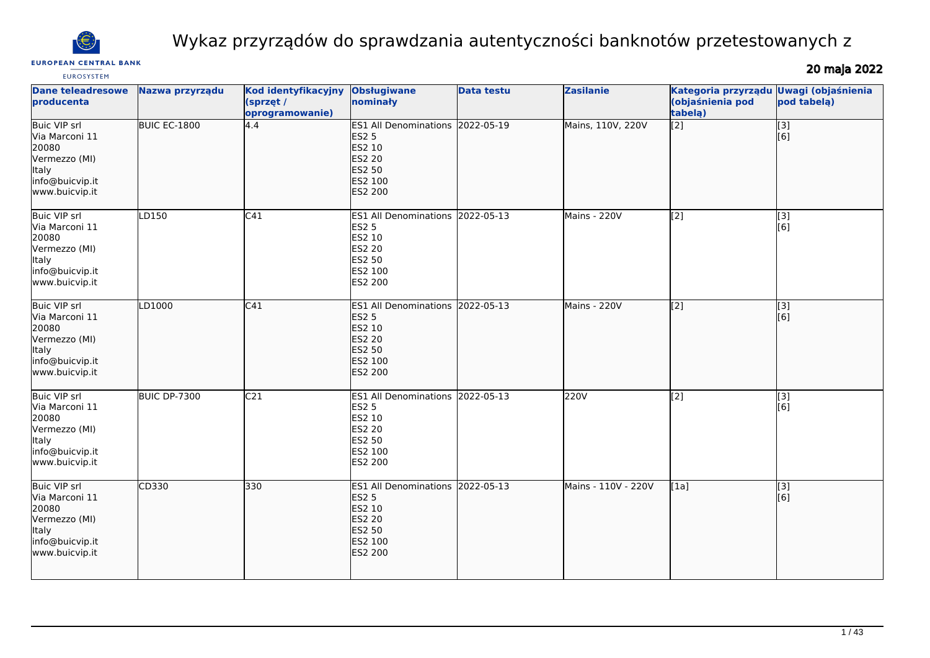

# Wykaz przyrządów do sprawdzania autentyczności banknotów przetestowanych z

#### **EUROPEAN CENTRAL BANK EUROSYSTEM**

# 20 maja 2022

| <b>Dane teleadresowe</b><br>producenta                                                                               | Nazwa przyrządu | Kod identyfikacyjny<br>(sprzęt /<br>oprogramowanie) | <b>Obsługiwane</b><br>nominały                                                                                            | <b>Data testu</b> | <b>Zasilanie</b>    | Kategoria przyrządu<br>(objaśnienia pod<br>tabelą) | <b>Uwagi (objaśnienia</b><br>pod tabelą) |
|----------------------------------------------------------------------------------------------------------------------|-----------------|-----------------------------------------------------|---------------------------------------------------------------------------------------------------------------------------|-------------------|---------------------|----------------------------------------------------|------------------------------------------|
| <b>Buic VIP srl</b><br>Via Marconi 11<br>20080<br>Vermezzo (MI)<br><b>Italy</b><br>info@buicvip.it<br>www.buicvip.it | BUIC EC-1800    | 4.4                                                 | ES1 All Denominations 2022-05-19<br><b>ES2 5</b><br>ES2 10<br><b>ES2 20</b><br><b>ES2 50</b><br>ES2 100<br>ES2 200        |                   | Mains, 110V, 220V   | $\overline{[2]}$                                   | $\overline{[}3]$<br>[6]                  |
| <b>Buic VIP srl</b><br>Via Marconi 11<br>20080<br>Vermezzo (MI)<br>Italy<br>info@buicvip.it<br>www.buicvip.it        | LD150           | C <sub>41</sub>                                     | ES1 All Denominations 2022-05-13<br><b>ES2 5</b><br>ES2 10<br><b>ES2 20</b><br>ES2 50<br>ES2 100<br>ES2 200               |                   | Mains - 220V        | [2]                                                | [3]<br>[6]                               |
| Buic VIP srl<br>Via Marconi 11<br>20080<br>Vermezzo (MI)<br>Italy<br>info@buicvip.it<br>www.buicvip.it               | LD1000          | C41                                                 | ES1 All Denominations 2022-05-13<br><b>ES2 5</b><br>ES2 10<br><b>ES2 20</b><br><b>ES2 50</b><br>ES2 100<br>ES2 200        |                   | Mains - 220V        | $\overline{[2]}$                                   | $\overline{[3]}$<br>[6]                  |
| <b>Buic VIP srl</b><br>Via Marconi 11<br>20080<br>Vermezzo (MI)<br>Italy<br>info@buicvip.it<br>www.buicvip.it        | BUIC DP-7300    | C <sub>21</sub>                                     | ES1 All Denominations 2022-05-13<br><b>ES2 5</b><br>ES2 10<br><b>ES2 20</b><br>ES2 50<br>ES2 100<br>ES2 200               |                   | 220V                | $\overline{[2]}$                                   | [3]<br>[6]                               |
| <b>Buic VIP srl</b><br>Via Marconi 11<br>20080<br>Vermezzo (MI)<br>Italy<br>info@buicvip.it<br>www.buicvip.it        | CD330           | 330                                                 | ES1 All Denominations 2022-05-13<br><b>ES2 5</b><br>ES2 10<br><b>ES2 20</b><br><b>ES2 50</b><br>ES2 100<br><b>ES2 200</b> |                   | Mains - 110V - 220V | [1a]                                               | $\overline{[}3]$<br>[6]                  |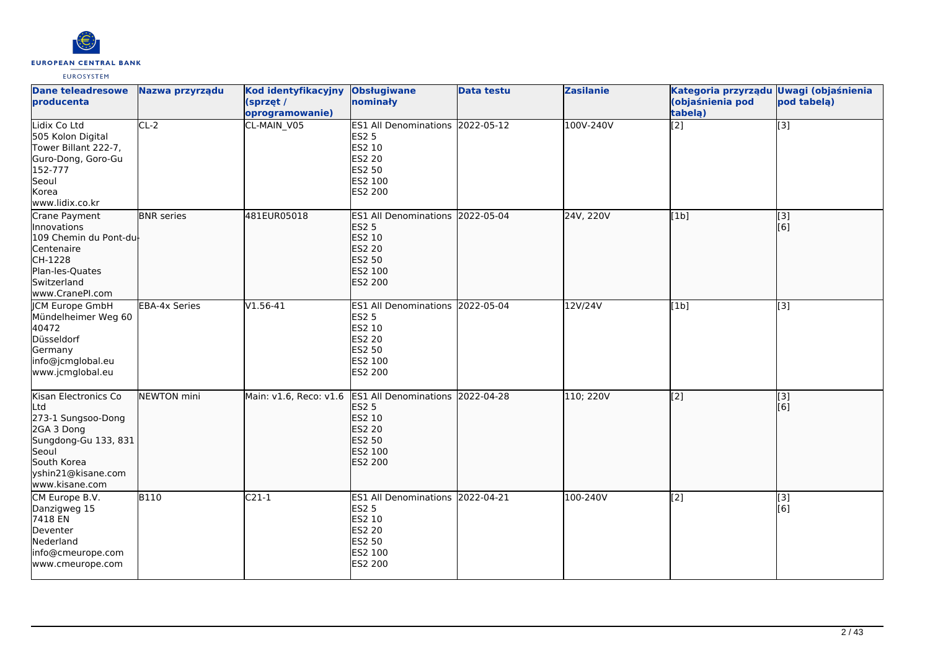

| <b>Dane teleadresowe</b><br>producenta                                                                                                                  | Nazwa przyrządu      | Kod identyfikacyjny<br>(sprzęt /<br>oprogramowanie) | <b>Obsługiwane</b><br>nominały                                                                                     | <b>Data testu</b> | <b>Zasilanie</b> | Kategoria przyrządu Uwagi (objaśnienia<br>(objaśnienia pod<br>tabela) | pod tabelą)             |
|---------------------------------------------------------------------------------------------------------------------------------------------------------|----------------------|-----------------------------------------------------|--------------------------------------------------------------------------------------------------------------------|-------------------|------------------|-----------------------------------------------------------------------|-------------------------|
| Lidix Co Ltd<br>505 Kolon Digital<br>Tower Billant 222-7,<br>Guro-Dong, Goro-Gu<br>152-777<br>Seoul<br>Korea<br>www.lidix.co.kr                         | $CL-2$               | CL-MAIN V05                                         | <b>ES1 All Denominations</b><br><b>ES2 5</b><br>ES2 10<br><b>ES2 20</b><br><b>ES2 50</b><br>ES2 100<br>ES2 200     | 2022-05-12        | 100V-240V        | $\overline{[2]}$                                                      | $\overline{[3]}$        |
| Crane Payment<br>Innovations<br>109 Chemin du Pont-du<br>Centenaire<br>CH-1228<br>Plan-les-Quates<br>Switzerland<br>www.CranePI.com                     | <b>BNR</b> series    | 481EUR05018                                         | <b>ES1 All Denominations</b><br><b>ES2 5</b><br>ES2 10<br><b>ES2 20</b><br><b>ES2 50</b><br>ES2 100<br>ES2 200     | 2022-05-04        | 24V, 220V        | [1b]                                                                  | $\overline{[}3]$<br>[6] |
| <b>CM Europe GmbH</b><br>Mündelheimer Weg 60<br>40472<br>Düsseldorf<br>Germany<br>info@jcmglobal.eu<br>www.jcmglobal.eu                                 | <b>EBA-4x Series</b> | $V1.56-41$                                          | ES1 All Denominations 2022-05-04<br><b>ES2 5</b><br>ES2 10<br>ES2 20<br><b>ES2 50</b><br>ES2 100<br><b>ES2 200</b> |                   | 12V/24V          | [1b]                                                                  | $\overline{[3]}$        |
| Kisan Electronics Co<br>Ltd<br>273-1 Sungsoo-Dong<br>2GA 3 Dong<br>Sungdong-Gu 133, 831<br>Seoul<br>South Korea<br>yshin21@kisane.com<br>www.kisane.com | NEWTON mini          | Main: v1.6, Reco: v1.6                              | <b>ES1 All Denominations</b><br><b>ES2 5</b><br><b>ES2 10</b><br><b>ES2 20</b><br>ES2 50<br>ES2 100<br>ES2 200     | 2022-04-28        | 110; 220V        | [[2]                                                                  | [3]<br>[[6]             |
| CM Europe B.V.<br>Danzigweg 15<br>7418 EN<br>Deventer<br>Nederland<br>info@cmeurope.com<br>www.cmeurope.com                                             | <b>B110</b>          | $C21-1$                                             | <b>ES1 All Denominations</b><br><b>ES2 5</b><br>ES2 10<br><b>ES2 20</b><br><b>ES2 50</b><br>ES2 100<br>ES2 200     | 2022-04-21        | 100-240V         | $\overline{[2]}$                                                      | [3]<br>[6]              |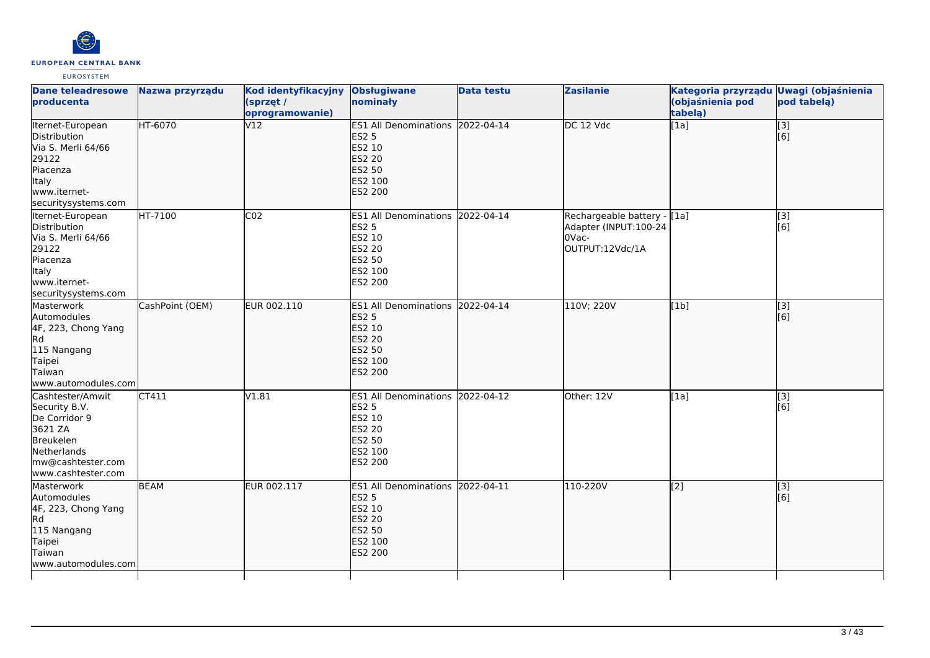

| <b>Dane teleadresowe</b><br><b>producenta</b>                                                                                        | Nazwa przyrządu | Kod identyfikacyjny<br>(sprzęt /<br>oprogramowanie) | <b>Obsługiwane</b><br>nominały                                                                              | <b>Data testu</b> | <b>Zasilanie</b>                                                                 | Kategoria przyrządu Uwagi (objaśnienia<br>(objaśnienia pod<br>tabelą) | pod tabela)             |
|--------------------------------------------------------------------------------------------------------------------------------------|-----------------|-----------------------------------------------------|-------------------------------------------------------------------------------------------------------------|-------------------|----------------------------------------------------------------------------------|-----------------------------------------------------------------------|-------------------------|
| Iternet-European<br>Distribution<br>Via S. Merli 64/66<br>29122<br>Piacenza<br>Italy<br>www.iternet-<br>securitysystems.com          | HT-6070         | V12                                                 | ES1 All Denominations 2022-04-14<br><b>ES2 5</b><br>ES2 10<br><b>ES2 20</b><br>ES2 50<br>ES2 100<br>ES2 200 |                   | DC 12 Vdc                                                                        | [1a]                                                                  | $\vert$ [3]<br>[6]      |
| Iternet-European<br>Distribution<br>Via S. Merli 64/66<br>29122<br>Piacenza<br><b>Italy</b><br>www.iternet-<br>securitysystems.com   | HT-7100         | CO <sub>2</sub>                                     | ES1 All Denominations 2022-04-14<br><b>ES2 5</b><br>ES2 10<br>ES2 20<br>ES2 50<br>ES2 100<br>ES2 200        |                   | Rechargeable battery - [1a]<br>Adapter (INPUT:100-24<br>OVac-<br>OUTPUT:12Vdc/1A |                                                                       | [3]<br>[6]              |
| Masterwork<br>Automodules<br>4F, 223, Chong Yang<br>lRd<br>115 Nangang<br>Taipei<br>Taiwan<br>www.automodules.com                    | CashPoint (OEM) | EUR 002.110                                         | ES1 All Denominations 2022-04-14<br><b>ES2 5</b><br>ES2 10<br><b>ES2 20</b><br>ES2 50<br>ES2 100<br>ES2 200 |                   | 110V; 220V                                                                       | [1b]                                                                  | [3]<br>[6]              |
| Cashtester/Amwit<br>Security B.V.<br>De Corridor 9<br>3621 ZA<br>Breukelen<br>Netherlands<br>mw@cashtester.com<br>www.cashtester.com | CT411           | V1.81                                               | ES1 All Denominations 2022-04-12<br><b>ES2 5</b><br>ES2 10<br>ES2 20<br>ES2 50<br>ES2 100<br>ES2 200        |                   | Other: 12V                                                                       | [1a]                                                                  | [3]<br>[6]              |
| Masterwork<br>Automodules<br>4F, 223, Chong Yang<br>lRd.<br>115 Nangang<br>Taipei<br>Taiwan<br>www.automodules.com                   | <b>BEAM</b>     | EUR 002.117                                         | ES1 All Denominations 2022-04-11<br><b>ES2 5</b><br>ES2 10<br><b>ES2 20</b><br>ES2 50<br>ES2 100<br>ES2 200 |                   | 110-220V                                                                         | $\sqrt{2}$                                                            | $\overline{[}3]$<br>[6] |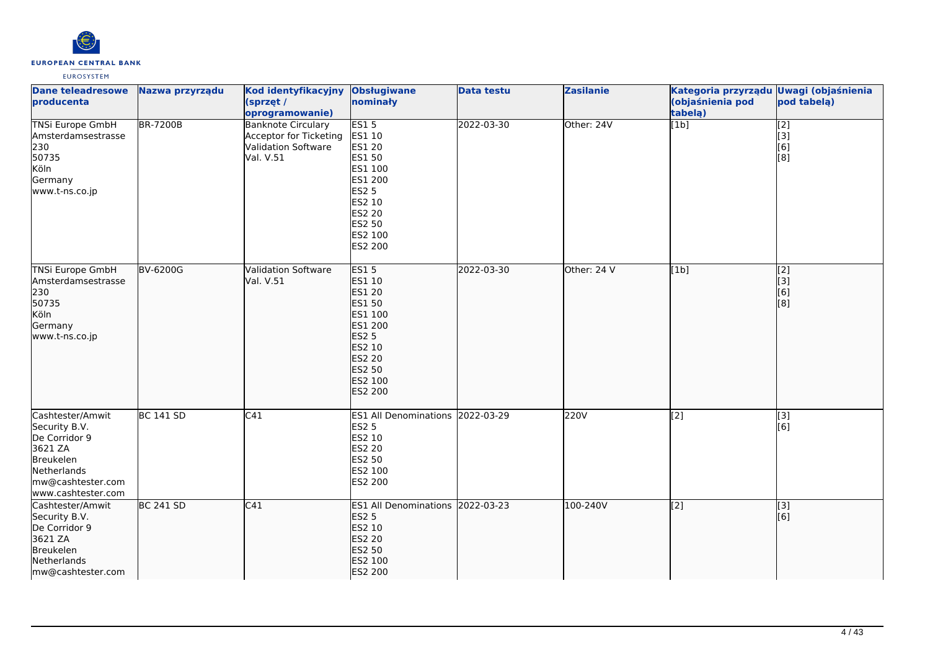

| <b>Dane teleadresowe</b><br>producenta                                                                                               | Nazwa przyrządu  | Kod identyfikacyjny<br>(sprzęt /<br>oprogramowanie)                                             | <b>Obsługiwane</b><br>nominały                                                                                                                    | <b>Data testu</b> | <b>Zasilanie</b> | Kategoria przyrządu Uwagi (objaśnienia<br>(objaśnienia pod<br>tabelą) | pod tabelą)                                          |
|--------------------------------------------------------------------------------------------------------------------------------------|------------------|-------------------------------------------------------------------------------------------------|---------------------------------------------------------------------------------------------------------------------------------------------------|-------------------|------------------|-----------------------------------------------------------------------|------------------------------------------------------|
| <b>TNSi Europe GmbH</b><br>Amsterdamsestrasse<br>230<br>50735<br>Köln<br>Germany<br>www.t-ns.co.jp                                   | <b>BR-7200B</b>  | <b>Banknote Circulary</b><br>Acceptor for Ticketing  ES1 10<br>Validation Software<br>Val. V.51 | ES15<br>ES1 20<br>ES1 50<br>ES1 100<br>ES1 200<br><b>ES2 5</b><br>ES2 10<br>ES2 20<br>ES2 50<br>ES2 100<br>ES2 200                                | 2022-03-30        | Other: 24V       | $\overline{[1b]}$                                                     | $\overline{[2]}$<br>$\vert$ [3]<br>[6]<br>[8]        |
| TNSi Europe GmbH<br>Amsterdamsestrasse<br>230<br>50735<br>Köln<br>Germany<br>www.t-ns.co.jp                                          | BV-6200G         | <b>Validation Software</b><br>Val. V.51                                                         | <b>ES15</b><br>ES1 10<br><b>ES1 20</b><br>ES1 50<br>ES1 100<br>ES1 200<br><b>ES2 5</b><br>ES2 10<br><b>ES2 20</b><br>ES2 50<br>ES2 100<br>ES2 200 | 2022-03-30        | Other: 24 V      | [1b]                                                                  | $\begin{bmatrix} 2 \\ 3 \end{bmatrix}$<br>[6]<br>[8] |
| Cashtester/Amwit<br>Security B.V.<br>De Corridor 9<br>3621 ZA<br>Breukelen<br>Netherlands<br>mw@cashtester.com<br>www.cashtester.com | <b>BC 141 SD</b> | C41                                                                                             | ES1 All Denominations 2022-03-29<br><b>ES2 5</b><br>ES2 10<br>ES2 20<br>ES2 50<br>ES2 100<br>ES2 200                                              |                   | 220V             | [2]                                                                   | [3]<br>[6]                                           |
| Cashtester/Amwit<br>Security B.V.<br>De Corridor 9<br>3621 ZA<br>Breukelen<br>Netherlands<br>mw@cashtester.com                       | <b>BC 241 SD</b> | C41                                                                                             | ES1 All Denominations 2022-03-23<br><b>ES2 5</b><br>ES2 10<br>ES2 20<br>ES2 50<br>ES2 100<br>ES2 200                                              |                   | 100-240V         | [2]                                                                   | [3]<br>[6]                                           |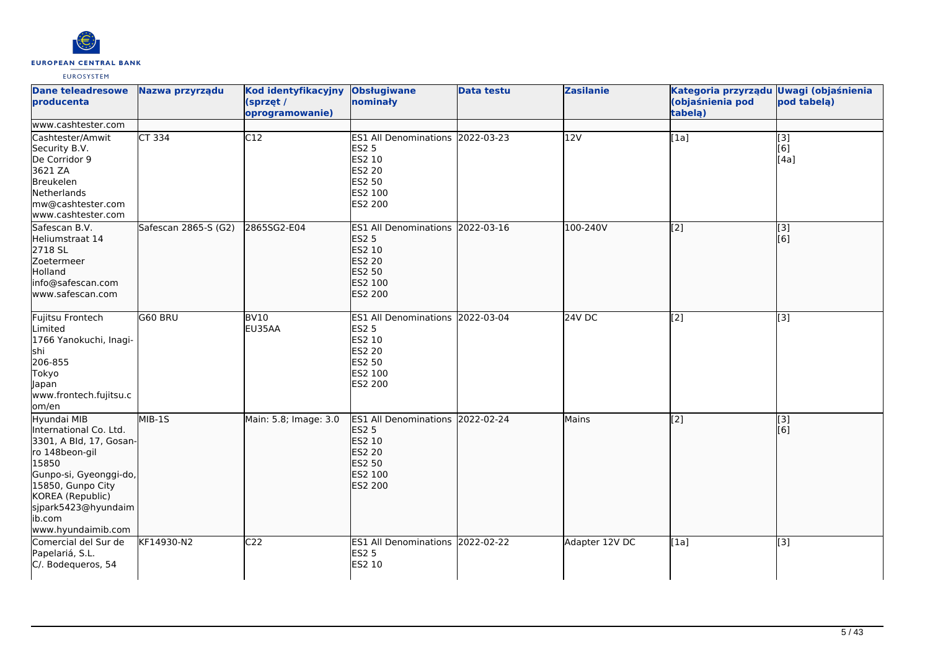

| <b>Dane teleadresowe</b><br><b>producenta</b>                                                                                                                                                                         | Nazwa przyrządu      | Kod identyfikacyjny<br>(sprzęt /<br>oprogramowanie) | <b>Obsługiwane</b><br>nominały                                                                              | <b>Data testu</b> | <b>Zasilanie</b> | Kategoria przyrządu Uwagi (objaśnienia<br>(objaśnienia pod<br>tabela) | pod tabelą)                     |
|-----------------------------------------------------------------------------------------------------------------------------------------------------------------------------------------------------------------------|----------------------|-----------------------------------------------------|-------------------------------------------------------------------------------------------------------------|-------------------|------------------|-----------------------------------------------------------------------|---------------------------------|
| www.cashtester.com<br>Cashtester/Amwit                                                                                                                                                                                | CT 334               | C12                                                 | ES1 All Denominations 2022-03-23                                                                            |                   | 12V              | [1a]                                                                  |                                 |
| Security B.V.<br>De Corridor 9<br>3621 ZA<br>Breukelen<br>Netherlands<br>mw@cashtester.com<br>www.cashtester.com                                                                                                      |                      |                                                     | <b>ES2 5</b><br>ES2 10<br><b>ES2 20</b><br>ES2 50<br>ES2 100<br>ES2 200                                     |                   |                  |                                                                       | $\overline{[}3]$<br>[6]<br>[4a] |
| Safescan B.V.<br>Heliumstraat 14<br>2718 SL<br>Zoetermeer<br>Holland<br>info@safescan.com<br>lwww.safescan.com                                                                                                        | Safescan 2865-S (G2) | 2865SG2-E04                                         | ES1 All Denominations 2022-03-16<br><b>ES2 5</b><br>ES2 10<br><b>ES2 20</b><br>ES2 50<br>ES2 100<br>ES2 200 |                   | 100-240V         | $\overline{[2]}$                                                      | $\overline{[3]}$<br>[[6]        |
| Fujitsu Frontech<br>Limited<br>1766 Yanokuchi, Inagi-<br>lshi<br>206-855<br>Tokyo<br>Japan<br>www.frontech.fujitsu.c<br>om/en                                                                                         | G60 BRU              | <b>BV10</b><br>EU35AA                               | ES1 All Denominations 2022-03-04<br><b>ES2 5</b><br>ES2 10<br>ES2 20<br>ES2 50<br>ES2 100<br>ES2 200        |                   | 24V DC           | $\overline{[2]}$                                                      | $\overline{[3]}$                |
| Hyundai MIB<br>International Co. Ltd.<br>3301, A Bld, 17, Gosan-<br>ro 148beon-gil<br>15850<br>Gunpo-si, Gyeonggi-do,<br>15850, Gunpo City<br>KOREA (Republic)<br>sjpark5423@hyundaim<br>ib.com<br>www.hyundaimib.com | MIB-1S               | Main: 5.8; Image: 3.0                               | ES1 All Denominations 2022-02-24<br><b>ES2 5</b><br>ES2 10<br><b>ES2 20</b><br>ES2 50<br>ES2 100<br>ES2 200 |                   | Mains            | $\overline{[2]}$                                                      | [3]<br>[[6]                     |
| Comercial del Sur de<br>Papelariá, S.L.<br>C/. Bodequeros, 54                                                                                                                                                         | KF14930-N2           | C <sub>22</sub>                                     | ES1 All Denominations 2022-02-22<br><b>ES2 5</b><br>ES2 10                                                  |                   | Adapter 12V DC   | [1a]                                                                  | [3]                             |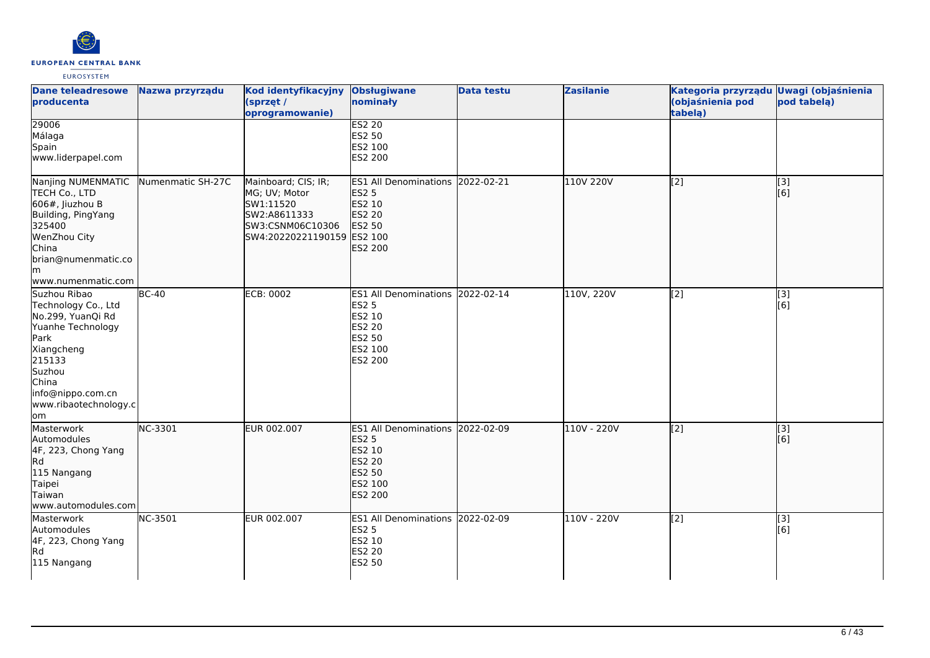

| <b>Dane teleadresowe</b><br>producenta                                                                                                                                                | Nazwa przyrządu   | Kod identyfikacyjny<br>(sprzęt /<br>oprogramowanie)                                                                 | <b>Obsługiwane</b><br>nominały                                                                              | <b>Data testu</b> | <b>Zasilanie</b> | Kategoria przyrządu Uwagi (objaśnienia<br>(objaśnienia pod<br>tabelą) | pod tabelą)               |
|---------------------------------------------------------------------------------------------------------------------------------------------------------------------------------------|-------------------|---------------------------------------------------------------------------------------------------------------------|-------------------------------------------------------------------------------------------------------------|-------------------|------------------|-----------------------------------------------------------------------|---------------------------|
| 29006<br>Málaga<br>Spain<br>www.liderpapel.com                                                                                                                                        |                   |                                                                                                                     | <b>ES2 20</b><br>ES2 50<br>ES2 100<br>ES2 200                                                               |                   |                  |                                                                       |                           |
| Nanjing NUMENMATIC<br>TECH Co., LTD<br>606#, Jiuzhou B<br>Building, PingYang<br>325400<br>WenZhou City<br>China<br>brian@numenmatic.co<br>lm<br>www.numenmatic.com                    | Numenmatic SH-27C | Mainboard; CIS; IR;<br>MG; UV; Motor<br>SW1:11520<br>SW2:A8611333<br>SW3:CSNM06C10306<br>SW4:20220221190159 ES2 100 | ES1 All Denominations 2022-02-21<br><b>ES2 5</b><br>ES2 10<br><b>ES2 20</b><br>ES2 50<br>ES2 200            |                   | 110V 220V        | $\left[2\right]$                                                      | [3]<br>[6]                |
| Suzhou Ribao<br>Technology Co., Ltd<br>No.299, YuanQi Rd<br>Yuanhe Technology<br>Park<br>Xiangcheng<br>215133<br>Suzhou<br>China<br>info@nippo.com.cn<br>www.ribaotechnology.c<br>lom | $BC-40$           | <b>ECB: 0002</b>                                                                                                    | ES1 All Denominations 2022-02-14<br><b>ES2 5</b><br>ES2 10<br><b>ES2 20</b><br>ES2 50<br>ES2 100<br>ES2 200 |                   | 110V, 220V       | [2]                                                                   | $\overline{[3]}$<br>[6]   |
| Masterwork<br>Automodules<br>4F, 223, Chong Yang<br>Rd<br>115 Nangang<br>Taipei<br>Taiwan<br>www.automodules.com                                                                      | NC-3301           | EUR 002.007                                                                                                         | ES1 All Denominations 2022-02-09<br><b>ES2 5</b><br>ES2 10<br>ES2 20<br>ES2 50<br>ES2 100<br>ES2 200        |                   | 110V - 220V      | $\left[2\right]$                                                      | [3]<br>[6]                |
| Masterwork<br>Automodules<br>4F, 223, Chong Yang<br>Rd<br>115 Nangang                                                                                                                 | NC-3501           | EUR 002.007                                                                                                         | ES1 All Denominations 2022-02-09<br><b>ES2 5</b><br>ES2 10<br><b>ES2 20</b><br><b>ES2 50</b>                |                   | 110V - 220V      | $\overline{[2]}$                                                      | $\overline{[}$ [3]<br>[6] |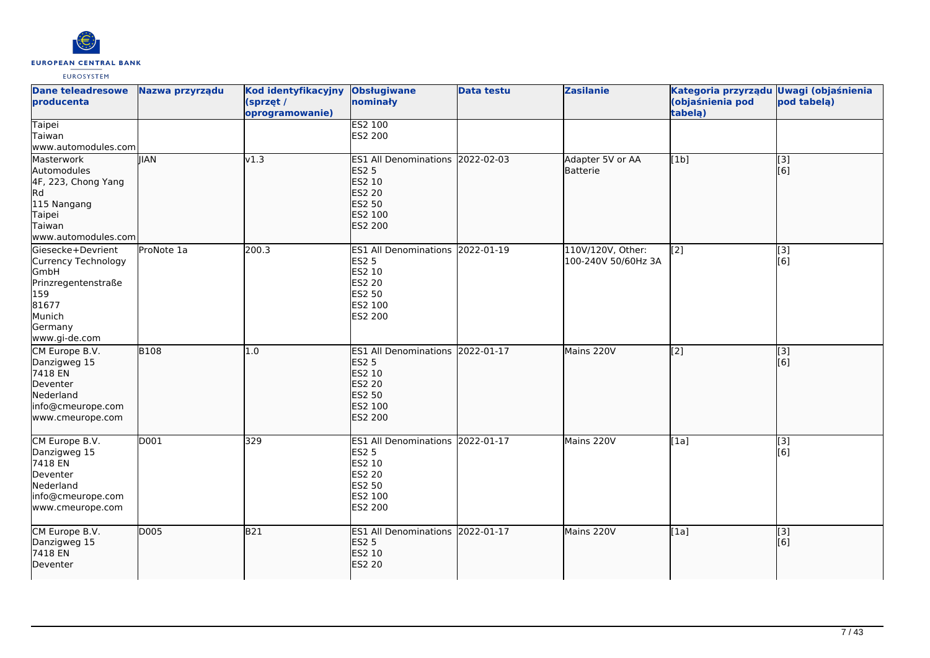

| <b>Dane teleadresowe</b><br>producenta                                                                                        | Nazwa przyrządu | Kod identyfikacyjny<br>(sprzęt /<br>oprogramowanie) | <b>Obsługiwane</b><br>nominały                                                                                            | <b>Data testu</b> | <b>Zasilanie</b>                         | Kategoria przyrządu Uwagi (objaśnienia<br>(objaśnienia pod<br>tabela) | pod tabelą)             |
|-------------------------------------------------------------------------------------------------------------------------------|-----------------|-----------------------------------------------------|---------------------------------------------------------------------------------------------------------------------------|-------------------|------------------------------------------|-----------------------------------------------------------------------|-------------------------|
| <b>Taipei</b><br>Taiwan<br>www.automodules.com                                                                                |                 |                                                     | <b>ES2 100</b><br>ES2 200                                                                                                 |                   |                                          |                                                                       |                         |
| Masterwork<br>Automodules<br>4F, 223, Chong Yang<br>Rd<br>115 Nangang<br>Taipei<br>Taiwan<br>www.automodules.com              | <b>IIAN</b>     | v1.3                                                | ES1 All Denominations 2022-02-03<br><b>ES2 5</b><br>ES2 10<br><b>ES2 20</b><br>ES2 50<br>ES2 100<br><b>ES2 200</b>        |                   | Adapter 5V or AA<br>lBatterie            | [1b]                                                                  | $\overline{[3]}$<br>[6] |
| Giesecke+Devrient<br>Currency Technology<br>GmbH<br>Prinzregentenstraße<br>159<br>81677<br>Munich<br>Germany<br>www.gi-de.com | ProNote 1a      | 200.3                                               | ES1 All Denominations 2022-01-19<br><b>ES2 5</b><br>ES2 10<br>ES2 20<br>ES2 50<br>ES2 100<br>ES2 200                      |                   | 110V/120V, Other:<br>100-240V 50/60Hz 3A | [2]                                                                   | [3]<br>[6]              |
| CM Europe B.V.<br>Danzigweg 15<br>7418 EN<br>Deventer<br>Nederland<br>info@cmeurope.com<br>www.cmeurope.com                   | <b>B108</b>     | 1.0                                                 | ES1 All Denominations 2022-01-17<br><b>ES2 5</b><br>ES2 10<br><b>ES2 20</b><br><b>ES2 50</b><br>ES2 100<br><b>ES2 200</b> |                   | Mains 220V                               | $\sqrt{2}$                                                            | [3]<br>[6]              |
| CM Europe B.V.<br>Danzigweg 15<br>7418 EN<br>Deventer<br>Nederland<br>info@cmeurope.com<br>www.cmeurope.com                   | D001            | 329                                                 | ES1 All Denominations 2022-01-17<br><b>ES2 5</b><br>ES2 10<br><b>ES2 20</b><br>ES2 50<br>ES2 100<br>ES2 200               |                   | Mains 220V                               | [1a]                                                                  | $\overline{[}3]$<br>[6] |
| CM Europe B.V.<br>Danzigweg 15<br>7418 EN<br>Deventer                                                                         | D005            | <b>B21</b>                                          | ES1 All Denominations 2022-01-17<br><b>ES2 5</b><br>ES2 10<br><b>ES2 20</b>                                               |                   | Mains 220V                               | [1a]                                                                  | [3]<br>[6]              |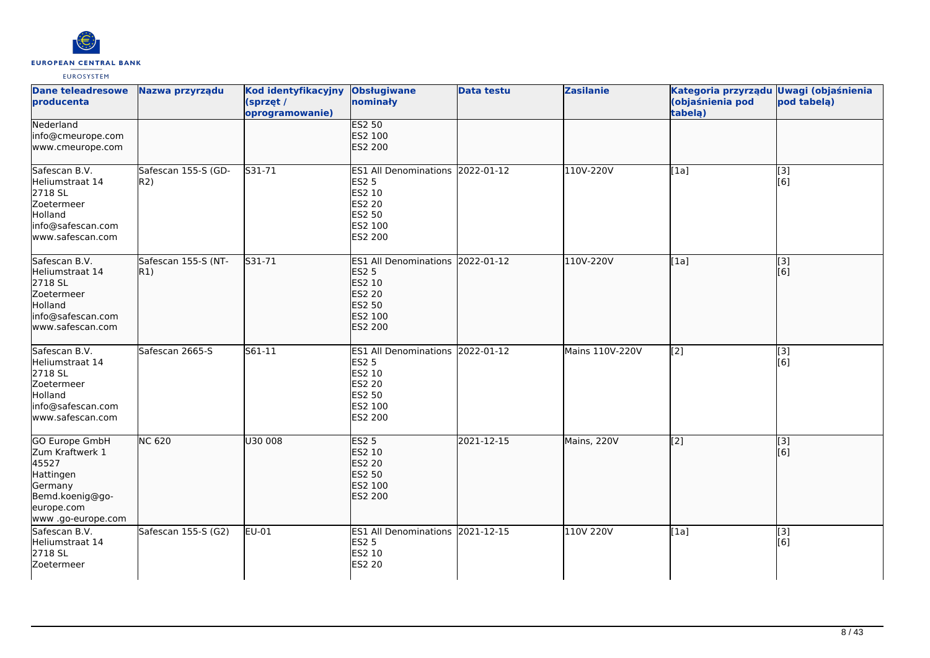

| Dane teleadresowe<br>producenta                                                                                                  | Nazwa przyrządu            | Kod identyfikacyjny<br>(sprzęt /<br>oprogramowanie) | <b>Obsługiwane</b><br>nominały                                                                                     | <b>Data testu</b> | <b>Zasilanie</b> | Kategoria przyrządu Uwagi (objaśnienia<br>(objaśnienia pod<br>tabelą) | pod tabelą)             |
|----------------------------------------------------------------------------------------------------------------------------------|----------------------------|-----------------------------------------------------|--------------------------------------------------------------------------------------------------------------------|-------------------|------------------|-----------------------------------------------------------------------|-------------------------|
| Nederland<br>info@cmeurope.com<br>www.cmeurope.com                                                                               |                            |                                                     | <b>ES2 50</b><br>ES2 100<br><b>ES2 200</b>                                                                         |                   |                  |                                                                       |                         |
| Safescan B.V.<br>Heliumstraat 14<br>2718 SL<br>Zoetermeer<br>Holland<br>info@safescan.com<br>www.safescan.com                    | Safescan 155-S (GD-<br>R2) | S31-71                                              | ES1 All Denominations 2022-01-12<br><b>ES2 5</b><br>ES2 10<br>ES2 20<br>ES2 50<br>ES2 100<br>ES2 200               |                   | 110V-220V        | [1a]                                                                  | [3]<br>[6]              |
| Safescan B.V.<br>Heliumstraat 14<br>2718 SL<br>Zoetermeer<br>Holland<br>info@safescan.com<br>www.safescan.com                    | Safescan 155-S (NT-<br>R1) | S31-71                                              | ES1 All Denominations 2022-01-12<br><b>ES2 5</b><br>ES2 10<br><b>ES2 20</b><br>ES2 50<br>ES2 100<br><b>ES2 200</b> |                   | 110V-220V        | [1a]                                                                  | [3]<br>[6]              |
| Safescan B.V.<br>Heliumstraat 14<br>2718 SL<br>Zoetermeer<br>Holland<br>info@safescan.com<br>www.safescan.com                    | Safescan 2665-S            | S61-11                                              | ES1 All Denominations 2022-01-12<br><b>ES2 5</b><br>ES2 10<br>ES2 20<br>ES2 50<br>ES2 100<br>ES2 200               |                   | Mains 110V-220V  | [2]                                                                   | [3]<br>[6]              |
| <b>GO Europe GmbH</b><br>Zum Kraftwerk 1<br>45527<br>Hattingen<br>Germany<br>Bemd.koenig@go-<br>europe.com<br>www .go-europe.com | <b>NC 620</b>              | U30 008                                             | <b>ES2 5</b><br>ES2 10<br><b>ES2 20</b><br>ES2 50<br>ES2 100<br>ES2 200                                            | 2021-12-15        | Mains, 220V      | $\left[2\right]$                                                      | $\overline{[3]}$<br>[6] |
| Safescan B.V.<br>Heliumstraat 14<br>2718 SL<br>Zoetermeer                                                                        | Safescan 155-S (G2)        | EU-01                                               | ES1 All Denominations 2021-12-15<br><b>ES2 5</b><br>ES2 10<br><b>ES2 20</b>                                        |                   | 110V 220V        | [1a]                                                                  | [3]<br>[6]              |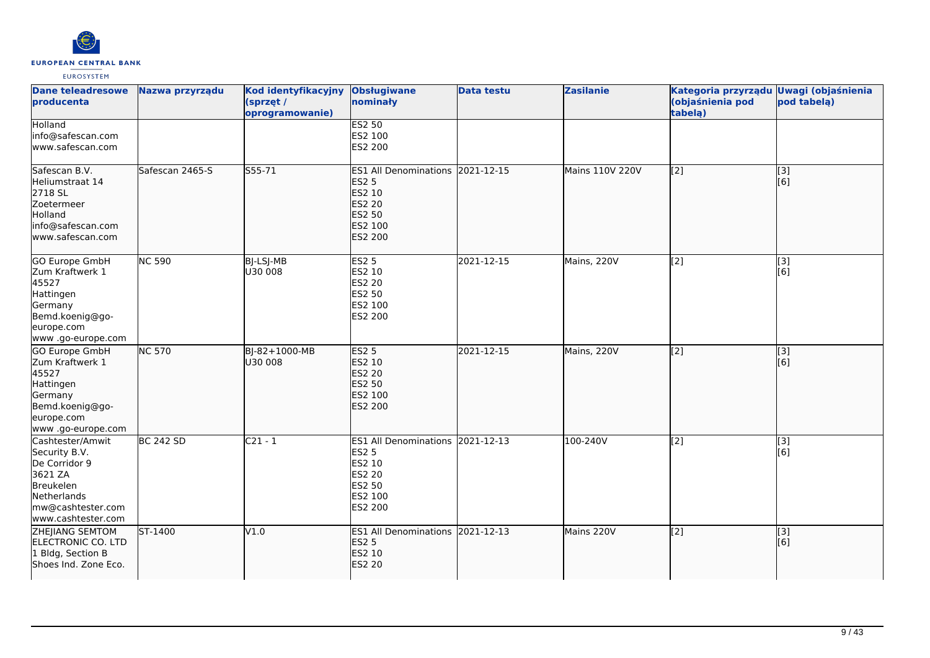

| <b>Dane teleadresowe</b><br>producenta                                                                                               | Nazwa przyrządu            | Kod identyfikacyjny<br>(sprzęt /<br>oprogramowanie) | <b>Obsługiwane</b><br>nominały                                                                              | <b>Data testu</b> | <b>Zasilanie</b> | Kategoria przyrządu Uwagi (objaśnienia<br>(objaśnienia pod<br>tabelą) | pod tabelą) |
|--------------------------------------------------------------------------------------------------------------------------------------|----------------------------|-----------------------------------------------------|-------------------------------------------------------------------------------------------------------------|-------------------|------------------|-----------------------------------------------------------------------|-------------|
| <b>Holland</b><br>info@safescan.com<br>www.safescan.com                                                                              |                            |                                                     | <b>ES2 50</b><br>ES2 100<br>ES2 200                                                                         |                   |                  |                                                                       |             |
| Safescan B.V.<br>Heliumstraat 14<br>2718 SL<br>Zoetermeer<br>Holland<br>info@safescan.com<br>www.safescan.com                        | Safescan 2465-S            | S55-71                                              | ES1 All Denominations 2021-12-15<br><b>ES2 5</b><br>ES2 10<br><b>ES2 20</b><br>ES2 50<br>ES2 100<br>ES2 200 |                   | Mains 110V 220V  | [[2]                                                                  | [3]<br>[6]  |
| GO Europe GmbH<br>Zum Kraftwerk 1<br>45527<br>Hattingen<br>Germany<br>Bemd.koenig@go-<br>europe.com<br>www .go-europe.com            | $\overline{\text{NC}}$ 590 | BJ-LSJ-MB<br>U30 008                                | <b>ES2 5</b><br>ES2 10<br>ES2 20<br>ES2 50<br>ES2 100<br>ES2 200                                            | 2021-12-15        | Mains, 220V      | [2]                                                                   | [3]<br>[6]  |
| GO Europe GmbH<br>Zum Kraftwerk 1<br>45527<br>Hattingen<br>Germany<br>Bemd.koenig@go-<br>europe.com<br>www.go-europe.com             | <b>NC 570</b>              | BJ-82+1000-MB<br>U30 008                            | <b>ES2 5</b><br>ES2 10<br>ES2 20<br>ES2 50<br>ES2 100<br><b>ES2 200</b>                                     | 2021-12-15        | Mains, 220V      | $\sqrt{2}$                                                            | [3]<br>[6]  |
| Cashtester/Amwit<br>Security B.V.<br>De Corridor 9<br>3621 ZA<br>Breukelen<br>Netherlands<br>mw@cashtester.com<br>www.cashtester.com | <b>BC 242 SD</b>           | $C21 - 1$                                           | ES1 All Denominations 2021-12-13<br>ES2 5<br>ES2 10<br>ES2 20<br>ES2 50<br>ES2 100<br>ES2 200               |                   | 100-240V         | [2]                                                                   | [3]<br>[6]  |
| <b>ZHEJIANG SEMTOM</b><br>ELECTRONIC CO. LTD<br>1 Bldg, Section B<br>Shoes Ind. Zone Eco.                                            | ST-1400                    | V1.0                                                | ES1 All Denominations 2021-12-13<br><b>ES2 5</b><br>ES2 10<br><b>ES2 20</b>                                 |                   | Mains 220V       | $\left[2\right]$                                                      | [3]<br>[6]  |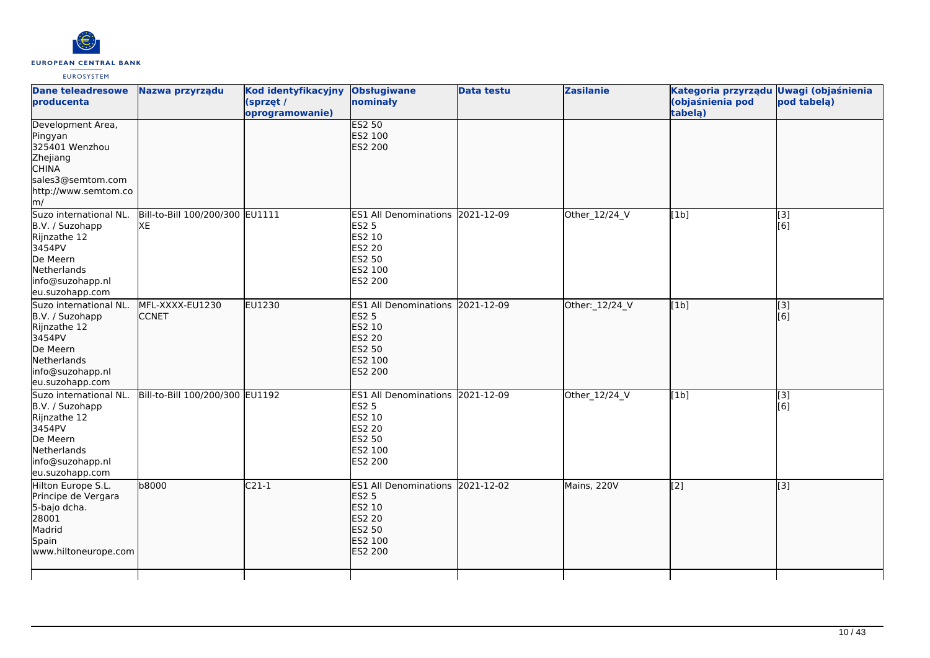

| <b>Dane teleadresowe</b><br>producenta                                                                                                              | Nazwa przyrządu                       | Kod identyfikacyjny<br>(sprzęt /<br>oprogramowanie) | <b>Obsługiwane</b><br>nominały                                                                                            | <b>Data testu</b> | <b>Zasilanie</b> | Kategoria przyrządu<br>(objaśnienia pod<br>tabelą) | <b>Uwagi (objaśnienia</b><br>pod tabelą) |
|-----------------------------------------------------------------------------------------------------------------------------------------------------|---------------------------------------|-----------------------------------------------------|---------------------------------------------------------------------------------------------------------------------------|-------------------|------------------|----------------------------------------------------|------------------------------------------|
| Development Area,<br>Pingyan<br>325401 Wenzhou<br>Zhejiang<br><b>CHINA</b><br>sales3@semtom.com<br>http://www.semtom.co<br>$\mathsf{Im}/\mathsf{I}$ |                                       |                                                     | <b>ES2 50</b><br>ES2 100<br><b>ES2 200</b>                                                                                |                   |                  |                                                    |                                          |
| Suzo international NL.<br>B.V. / Suzohapp<br>Rijnzathe 12<br>3454PV<br>De Meern<br>Netherlands<br>info@suzohapp.nl<br>eu.suzohapp.com               | Bill-to-Bill 100/200/300 EU1111<br>XE |                                                     | ES1 All Denominations 2021-12-09<br><b>ES2 5</b><br>ES2 10<br>ES2 20<br>ES2 50<br>ES2 100<br>ES2 200                      |                   | Other_12/24_V    | [1b]                                               | $[3]$<br>[6]                             |
| Suzo international NL.<br>B.V. / Suzohapp<br>Rijnzathe 12<br>3454PV<br>De Meern<br>Netherlands<br>info@suzohapp.nl<br>eu.suzohapp.com               | MFL-XXXX-EU1230<br><b>CCNET</b>       | EU1230                                              | ES1 All Denominations 2021-12-09<br><b>ES2 5</b><br>ES2 10<br><b>ES2 20</b><br><b>ES2 50</b><br>ES2 100<br><b>ES2 200</b> |                   | Other: 12/24_V   | [1b]                                               | [3]<br>[6]                               |
| Suzo international NL.<br>B.V. / Suzohapp<br>Rijnzathe 12<br>3454PV<br>De Meern<br>Netherlands<br>info@suzohapp.nl<br>eu.suzohapp.com               | Bill-to-Bill 100/200/300 EU1192       |                                                     | ES1 All Denominations 2021-12-09<br><b>ES2 5</b><br>ES2 10<br>ES2 20<br>ES2 50<br>ES2 100<br>ES2 200                      |                   | Other_12/24_V    | [1b]                                               | $\overline{[3]}$<br>[6]                  |
| Hilton Europe S.L.<br>Principe de Vergara<br>5-bajo dcha.<br>28001<br>Madrid<br>Spain<br>www.hiltoneurope.com                                       | b8000                                 | $C21-1$                                             | ES1 All Denominations 2021-12-02<br><b>ES2 5</b><br>ES2 10<br><b>ES2 20</b><br>ES2 50<br>ES2 100<br><b>ES2 200</b>        |                   | Mains, 220V      | [2]                                                | [3]                                      |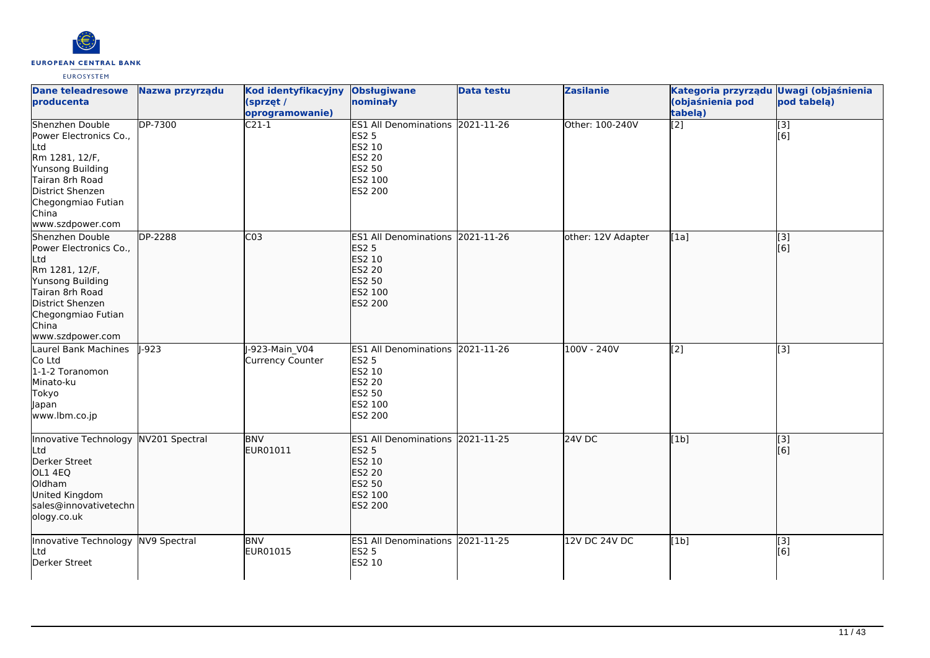

| <b>Dane teleadresowe</b><br>producenta                                                                                                                                           | Nazwa przyrządu | Kod identyfikacyjny Obsługiwane<br>(sprzęt /<br>oprogramowanie) | nominały                                                                                                           | <b>Data testu</b> | <b>Zasilanie</b>   | Kategoria przyrządu Uwagi (objaśnienia<br>(objaśnienia pod<br>tabelą) | pod tabela)             |
|----------------------------------------------------------------------------------------------------------------------------------------------------------------------------------|-----------------|-----------------------------------------------------------------|--------------------------------------------------------------------------------------------------------------------|-------------------|--------------------|-----------------------------------------------------------------------|-------------------------|
| Shenzhen Double<br>Power Electronics Co.,<br>Ltd<br>Rm 1281, 12/F,<br>Yunsong Building<br>Tairan 8rh Road<br>District Shenzen<br>Chegongmiao Futian<br>China<br>www.szdpower.com | <b>DP-7300</b>  | $C21-1$                                                         | ES1 All Denominations 2021-11-26<br><b>ES2 5</b><br>ES2 10<br><b>ES2 20</b><br>ES2 50<br>ES2 100<br>ES2 200        |                   | Other: 100-240V    | $\overline{[2]}$                                                      | $\overline{[}3]$<br>[6] |
| Shenzhen Double<br>Power Electronics Co.,<br>Ltd<br>Rm 1281, 12/F,<br>Yunsong Building<br>Tairan 8rh Road<br>District Shenzen<br>Chegongmiao Futian<br>China<br>www.szdpower.com | <b>DP-2288</b>  | CO <sub>3</sub>                                                 | ES1 All Denominations 2021-11-26<br><b>ES2 5</b><br>ES2 10<br><b>ES2 20</b><br>ES2 50<br>ES2 100<br><b>ES2 200</b> |                   | other: 12V Adapter | [1a]                                                                  | $\overline{[}3]$<br>[6] |
| Laurel Bank Machines<br>Co Ltd<br>1-1-2 Toranomon<br>Minato-ku<br>Tokyo<br>Japan<br>www.lbm.co.jp                                                                                | $\sqrt{1-923}$  | -923-Main V04<br>Currency Counter                               | ES1 All Denominations 2021-11-26<br><b>ES2 5</b><br>ES2 10<br>ES2 20<br>ES2 50<br>ES2 100<br>ES2 200               |                   | $100V - 240V$      | [2]                                                                   | $\overline{[3]}$        |
| Innovative Technology NV201 Spectral<br>Ltd<br>Derker Street<br>OL1 4EQ<br>Oldham<br>United Kingdom<br>sales@innovativetechn<br>ology.co.uk                                      |                 | <b>BNV</b><br>EUR01011                                          | ES1 All Denominations 2021-11-25<br><b>ES2 5</b><br><b>ES2 10</b><br>ES2 20<br>ES2 50<br>ES2 100<br><b>ES2 200</b> |                   | $24V$ DC           | [1b]                                                                  | $\overline{[}3]$<br>[6] |
| Innovative Technology NV9 Spectral<br>Ltd<br>Derker Street                                                                                                                       |                 | <b>BNV</b><br>EUR01015                                          | ES1 All Denominations 2021-11-25<br><b>ES2 5</b><br>ES2 10                                                         |                   | 12V DC 24V DC      | [1b]                                                                  | [3]<br>[6]              |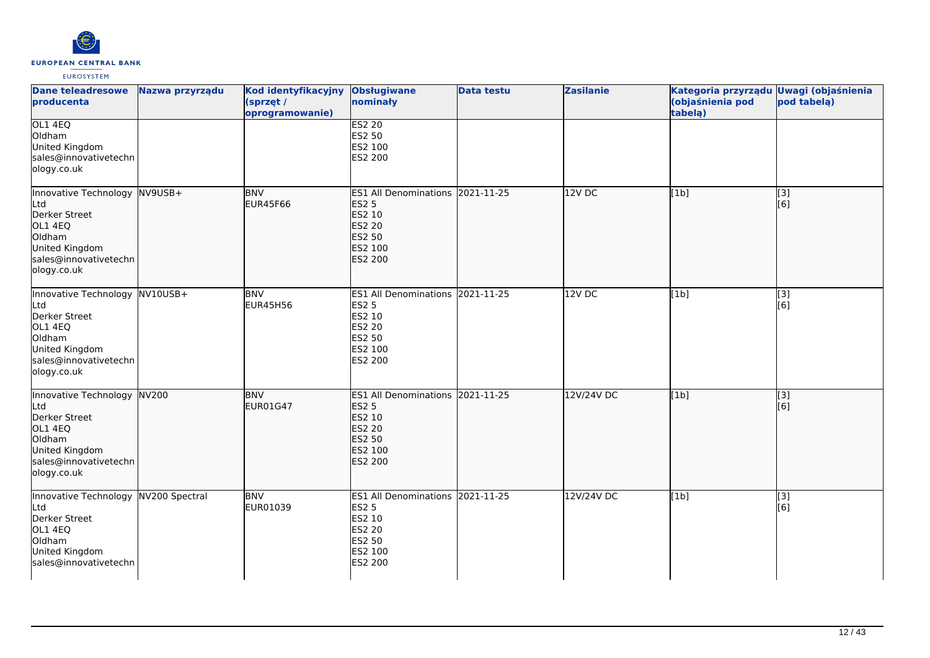

| <b>Dane teleadresowe</b><br><b>producenta</b>                                                                                         | Nazwa przyrządu | Kod identyfikacyjny<br>(sprzęt /<br>oprogramowanie) | <b>Obsługiwane</b><br>nominały                                                                              | <b>Data testu</b> | <b>Zasilanie</b> | Kategoria przyrządu Uwagi (objaśnienia<br>(objaśnienia pod<br>tabelą) | pod tabelą)             |
|---------------------------------------------------------------------------------------------------------------------------------------|-----------------|-----------------------------------------------------|-------------------------------------------------------------------------------------------------------------|-------------------|------------------|-----------------------------------------------------------------------|-------------------------|
| OL1 4EQ<br>Oldham<br>United Kingdom<br>sales@innovativetechn<br>ology.co.uk                                                           |                 |                                                     | <b>ES2 20</b><br>ES2 50<br>ES2 100<br>ES2 200                                                               |                   |                  |                                                                       |                         |
| Innovative Technology<br>Ltd<br>Derker Street<br>OL1 4EQ<br>Oldham<br>United Kingdom<br>sales@innovativetechn<br>ology.co.uk          | $NV9USB+$       | <b>BNV</b><br>EUR45F66                              | ES1 All Denominations 2021-11-25<br><b>ES2 5</b><br>ES2 10<br>ES2 20<br>ES2 50<br>ES2 100<br><b>ES2 200</b> |                   | 12V DC           | [1b]                                                                  | [3]<br>[6]              |
| Innovative Technology NV10USB+<br>Ltd<br>Derker Street<br>OL1 4EQ<br>Oldham<br>United Kingdom<br>sales@innovativetechn<br>ology.co.uk |                 | <b>BNV</b><br><b>EUR45H56</b>                       | ES1 All Denominations 2021-11-25<br><b>ES2 5</b><br>ES2 10<br>ES2 20<br>ES2 50<br>ES2 100<br>ES2 200        |                   | $12V$ DC         | [1b]                                                                  | $[3]$<br>[6]            |
| Innovative Technology NV200<br>Ltd<br>Derker Street<br>OL1 4EQ<br>Oldham<br>United Kingdom<br>sales@innovativetechn<br>ology.co.uk    |                 | <b>BNV</b><br>EUR01G47                              | ES1 All Denominations 2021-11-25<br><b>ES2 5</b><br>ES2 10<br>ES2 20<br>ES2 50<br>ES2 100<br><b>ES2 200</b> |                   | 12V/24V DC       | [1b]                                                                  | $\overline{[}3]$<br>[6] |
| Innovative Technology<br>Ltd<br>Derker Street<br>OL1 4EQ<br>Oldham<br>United Kingdom<br>sales@innovativetechn                         | NV200 Spectral  | <b>BNV</b><br>EUR01039                              | <b>ES1 All Denominations</b><br><b>ES2 5</b><br>ES2 10<br>ES2 20<br>ES2 50<br>ES2 100<br>ES2 200            | 2021-11-25        | 12V/24V DC       | [1b]                                                                  | [3]<br>[6]              |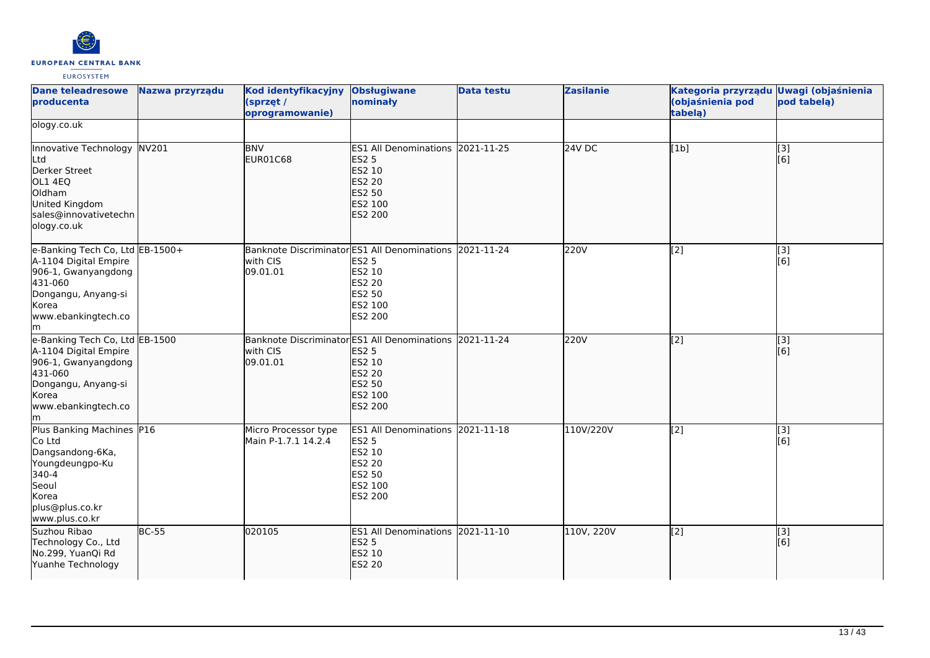

| <b>Dane teleadresowe</b><br>producenta                                                                                                                 | Nazwa przyrządu | Kod identyfikacyjny<br>(sprzęt /<br>oprogramowanie)                             | <b>Obsługiwane</b><br>nominały                                                                                              | <b>Data testu</b> | <b>Zasilanie</b> | Kategoria przyrządu Uwagi (objaśnienia<br>(objaśnienia pod<br>tabelą) | pod tabelą)                                    |
|--------------------------------------------------------------------------------------------------------------------------------------------------------|-----------------|---------------------------------------------------------------------------------|-----------------------------------------------------------------------------------------------------------------------------|-------------------|------------------|-----------------------------------------------------------------------|------------------------------------------------|
| ology.co.uk                                                                                                                                            |                 |                                                                                 |                                                                                                                             |                   |                  |                                                                       |                                                |
| Innovative Technology NV201<br>Ltd<br>Derker Street<br>OL1 4EQ<br>Oldham<br>United Kingdom<br>sales@innovativetechn<br>ology.co.uk                     |                 | <b>BNV</b><br>EUR01C68                                                          | ES1 All Denominations 2021-11-25<br><b>ES2 5</b><br>ES2 10<br><b>ES2 20</b><br>ES2 50<br>ES2 100<br>ES2 200                 |                   | <b>24V DC</b>    | [1b]                                                                  | $\begin{bmatrix} 1 & 3 \\ 6 & 1 \end{bmatrix}$ |
| e-Banking Tech Co, Ltd EB-1500+<br>A-1104 Digital Empire<br>906-1, Gwanyangdong<br>431-060<br>Dongangu, Anyang-si<br>Korea<br>www.ebankingtech.co<br>m |                 | with CIS<br>09.01.01                                                            | Banknote Discriminator ES1 All Denominations 2021-11-24<br><b>ES2 5</b><br>ES2 10<br>ES2 20<br>ES2 50<br>ES2 100<br>ES2 200 |                   | 220V             | [2]                                                                   | [3]<br>[6]                                     |
| e-Banking Tech Co, Ltd EB-1500<br>A-1104 Digital Empire<br>906-1, Gwanyangdong<br>431-060<br>Dongangu, Anyang-si<br>Korea<br>www.ebankingtech.co<br>m  |                 | Banknote Discriminator ES1 All Denominations 2021-11-24<br>with CIS<br>09.01.01 | <b>ES2 5</b><br>ES2 10<br>ES2 20<br>ES2 50<br>ES2 100<br>ES2 200                                                            |                   | 220V             | [2]                                                                   | [3]<br>[6]                                     |
| Plus Banking Machines P16<br>Co Ltd<br>Dangsandong-6Ka,<br>Youngdeungpo-Ku<br>340-4<br>Seoul<br>Korea<br>plus@plus.co.kr<br>www.plus.co.kr             |                 | Micro Processor type<br>Main P-1.7.1 14.2.4                                     | ES1 All Denominations 2021-11-18<br><b>ES2 5</b><br>ES2 10<br><b>ES2 20</b><br>ES2 50<br>ES2 100<br>ES2 200                 |                   | 110V/220V        | $\left[2\right]$                                                      | $\begin{bmatrix} 1 & 3 \\ 2 & 6 \end{bmatrix}$ |
| Suzhou Ribao<br>Technology Co., Ltd<br>No.299, YuanQi Rd<br>Yuanhe Technology                                                                          | <b>BC-55</b>    | 020105                                                                          | ES1 All Denominations 2021-11-10<br><b>ES2 5</b><br>ES2 10<br><b>ES2 20</b>                                                 |                   | 110V, 220V       | $\left[2\right]$                                                      | $\vert$ [3]<br>[6]                             |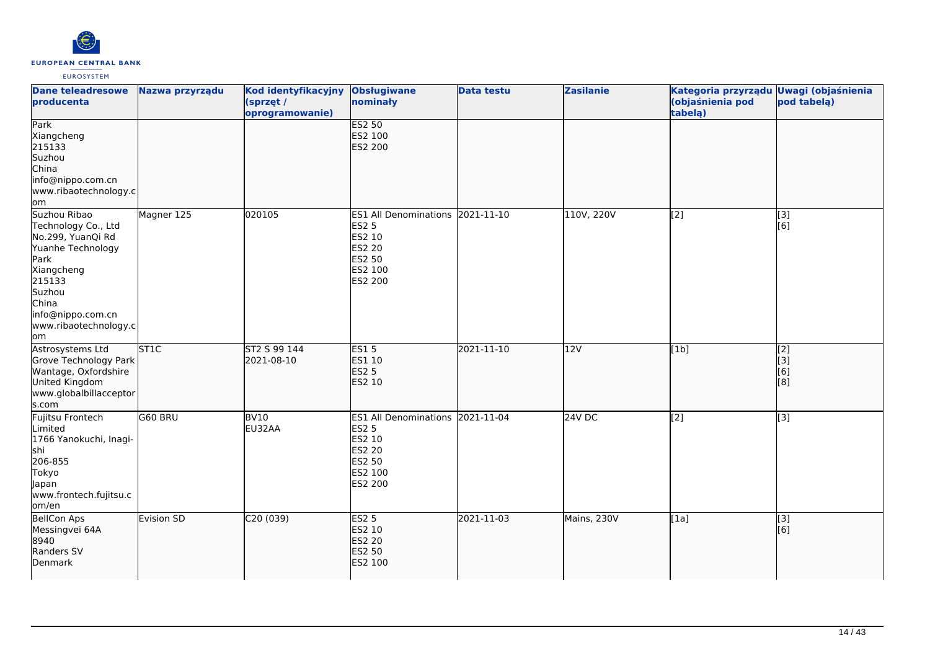

| <b>Dane teleadresowe</b><br>producenta                                                                                                                                                | Nazwa przyrządu  | Kod identyfikacyjny<br>(sprzęt /<br>oprogramowanie) | Obsługiwane<br>nominały                                                                                            | <b>Data testu</b> | <b>Zasilanie</b> | Kategoria przyrządu Uwagi (objaśnienia<br>(objaśnienia pod<br>tabelą) | pod tabelą)                            |
|---------------------------------------------------------------------------------------------------------------------------------------------------------------------------------------|------------------|-----------------------------------------------------|--------------------------------------------------------------------------------------------------------------------|-------------------|------------------|-----------------------------------------------------------------------|----------------------------------------|
| Park<br>Xiangcheng<br>215133<br>Suzhou<br>China<br>info@nippo.com.cn<br>www.ribaotechnology.c<br>om,                                                                                  |                  |                                                     | <b>ES2 50</b><br>ES2 100<br><b>ES2 200</b>                                                                         |                   |                  |                                                                       |                                        |
| Suzhou Ribao<br>Technology Co., Ltd<br>No.299, YuanQi Rd<br>Yuanhe Technology<br>Park<br>Xiangcheng<br>215133<br>Suzhou<br>China<br>info@nippo.com.cn<br>www.ribaotechnology.c<br>lom | Magner 125       | 020105                                              | ES1 All Denominations 2021-11-10<br><b>ES2 5</b><br>ES2 10<br><b>ES2 20</b><br><b>ES2 50</b><br>ES2 100<br>ES2 200 |                   | 110V, 220V       | [2]                                                                   | $[3]$<br>[6]                           |
| Astrosystems Ltd<br>Grove Technology Park<br>Wantage, Oxfordshire<br>United Kingdom<br>www.globalbillacceptor<br>s.com                                                                | ST <sub>1C</sub> | ST2 S 99 144<br>2021-08-10                          | <b>ES15</b><br>ES1 10<br><b>ES2 5</b><br>ES2 10                                                                    | 2021-11-10        | 12V              | [1b]                                                                  | $\overline{[2]}$<br>[[3]<br>[6]<br>[8] |
| Fujitsu Frontech<br>Limited<br>1766 Yanokuchi, Inagi-<br>shi<br>206-855<br>Tokyo<br>Japan<br>www.frontech.fujitsu.c<br>om/en                                                          | G60 BRU          | BV10<br>EU32AA                                      | <b>ES1 All Denominations</b><br><b>ES2 5</b><br>ES2 10<br>ES2 20<br><b>ES2 50</b><br>ES2 100<br><b>ES2 200</b>     | 2021-11-04        | 24V DC           | [2]                                                                   | [3]                                    |
| <b>BellCon Aps</b><br>Messingvei 64A<br>8940<br>Randers SV<br>Denmark                                                                                                                 | Evision SD       | C20(039)                                            | ES2 <sub>5</sub><br>ES2 10<br>ES2 20<br>ES2 50<br>ES2 100                                                          | 2021-11-03        | Mains, 230V      | [1a]                                                                  | [3]<br>[6]                             |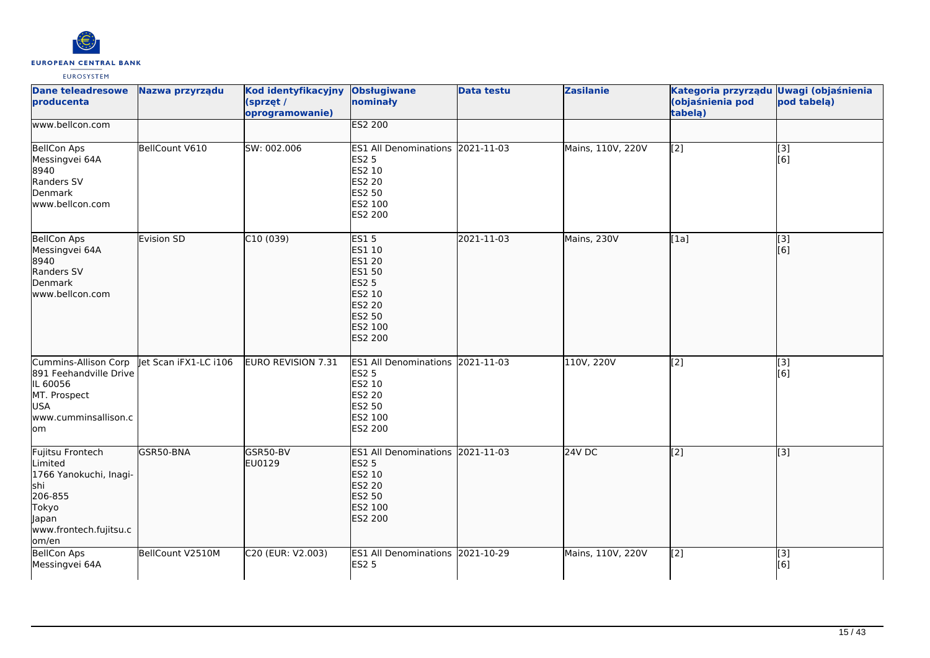

| <b>Dane teleadresowe</b><br>producenta                                                                                        | Nazwa przyrządu       | Kod identyfikacyjny<br>(sprzęt /<br>oprogramowanie) | <b>Obsługiwane</b><br>nominały                                                                                              | <b>Data testu</b> | <b>Zasilanie</b>  | Kategoria przyrządu Uwagi (objaśnienia<br>(objaśnienia pod<br>tabelą) | pod tabelą)             |
|-------------------------------------------------------------------------------------------------------------------------------|-----------------------|-----------------------------------------------------|-----------------------------------------------------------------------------------------------------------------------------|-------------------|-------------------|-----------------------------------------------------------------------|-------------------------|
| www.bellcon.com                                                                                                               |                       |                                                     | <b>ES2 200</b>                                                                                                              |                   |                   |                                                                       |                         |
| <b>BellCon Aps</b><br>Messingvei 64A<br>8940<br>Randers SV<br>Denmark<br>lwww.bellcon.com                                     | BellCount V610        | SW: 002.006                                         | ES1 All Denominations 2021-11-03<br><b>ES2 5</b><br>ES2 10<br><b>ES2 20</b><br>ES2 50<br>ES2 100<br>ES2 200                 |                   | Mains, 110V, 220V | [2]                                                                   | [3]<br>[6]              |
| <b>BellCon Aps</b><br>Messingvei 64A<br>8940<br>Randers SV<br>Denmark<br>lwww.bellcon.com                                     | Evision SD            | C10(039)                                            | <b>ES15</b><br>ES1 10<br>ES1 20<br>ES1 50<br><b>ES2 5</b><br>ES2 10<br><b>ES2 20</b><br><b>ES2 50</b><br>ES2 100<br>ES2 200 | 2021-11-03        | Mains, 230V       | [1a]                                                                  | $\overline{[3]}$<br>[6] |
| Cummins-Allison Corp<br>891 Feehandville Drive<br>IL 60056<br>MT. Prospect<br><b>USA</b><br>www.cumminsallison.c<br>lom       | let Scan iFX1-LC i106 | EURO REVISION 7.31                                  | ES1 All Denominations 2021-11-03<br><b>ES2 5</b><br>ES2 10<br>ES2 20<br>ES2 50<br>ES2 100<br>ES2 200                        |                   | 110V, 220V        | [2]                                                                   | $\overline{[}3]$<br>[6] |
| Fujitsu Frontech<br>Limited<br>1766 Yanokuchi, Inagi-<br>lshi<br>206-855<br>Tokyo<br>Japan<br>www.frontech.fujitsu.c<br>om/en | GSR50-BNA             | GSR50-BV<br>EU0129                                  | ES1 All Denominations 2021-11-03<br><b>ES2 5</b><br>ES2 10<br><b>ES2 20</b><br>ES2 50<br>ES2 100<br>ES2 200                 |                   | $24V$ DC          | $\overline{[2]}$                                                      | $\overline{[3]}$        |
| <b>BellCon Aps</b><br>Messingvei 64A                                                                                          | BellCount V2510M      | C20 (EUR: V2.003)                                   | ES1 All Denominations 2021-10-29<br><b>ES2 5</b>                                                                            |                   | Mains, 110V, 220V | $\overline{[2]}$                                                      | [3]<br>[6]              |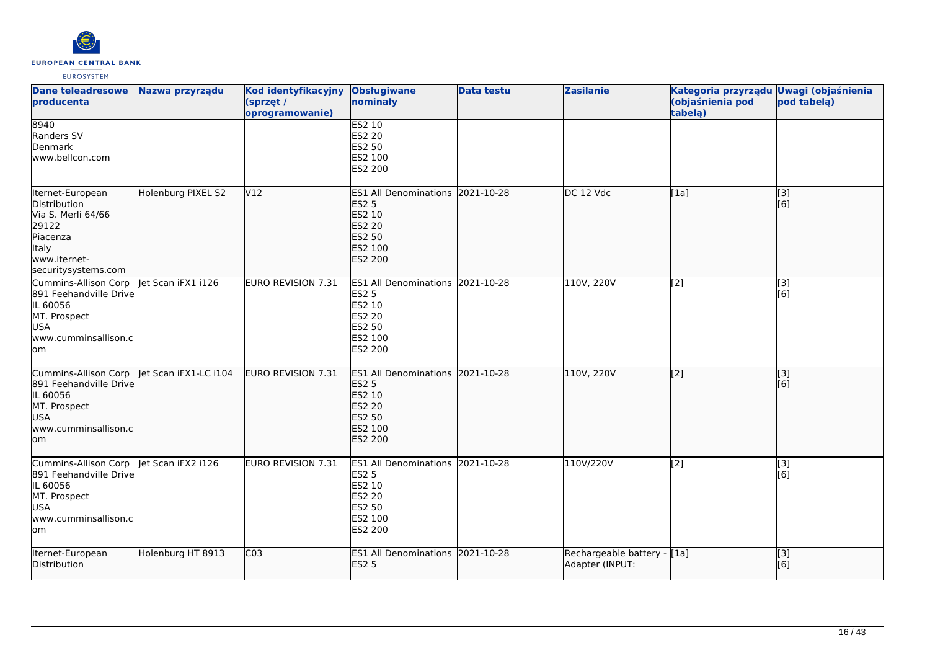

| <b>Dane teleadresowe</b><br>producenta                                                                                             | Nazwa przyrządu       | Kod identyfikacyjny<br>(sprzęt /<br>oprogramowanie) | <b>Obsługiwane</b><br>nominały                                                                                     | <b>Data testu</b> | <b>Zasilanie</b>                               | Kategoria przyrządu Uwagi (objaśnienia<br>(objaśnienia pod<br>tabela) | pod tabelą)                                           |
|------------------------------------------------------------------------------------------------------------------------------------|-----------------------|-----------------------------------------------------|--------------------------------------------------------------------------------------------------------------------|-------------------|------------------------------------------------|-----------------------------------------------------------------------|-------------------------------------------------------|
| 8940<br>Randers SV<br>Denmark<br>www.bellcon.com                                                                                   |                       |                                                     | <b>ES2 10</b><br>ES2 20<br>ES2 50<br>ES2 100<br>ES2 200                                                            |                   |                                                |                                                                       |                                                       |
| Iternet-European<br>Distribution<br>Via S. Merli 64/66<br>29122<br>Piacenza<br><b>Italy</b><br>www.iternet-<br>securitysystems.com | Holenburg PIXEL S2    | V12                                                 | <b>ES1 All Denominations</b><br><b>ES2 5</b><br>ES2 10<br><b>ES2 20</b><br>ES2 50<br>ES2 100<br><b>ES2 200</b>     | 2021-10-28        | DC 12 Vdc                                      | [[1a]                                                                 | $\left[ \begin{matrix} 3 \end{matrix} \right]$<br>[6] |
| Cummins-Allison Corp<br>891 Feehandville Drive<br>IL 60056<br>MT. Prospect<br><b>USA</b><br>www.cumminsallison.c<br>lom            | let Scan iFX1 i126    | <b>EURO REVISION 7.31</b>                           | <b>ES1 All Denominations</b><br><b>ES2 5</b><br>ES2 10<br>ES2 20<br>ES2 50<br>ES2 100<br>ES2 200                   | 2021-10-28        | 110V, 220V                                     | [2]                                                                   | $\overline{[3]}$<br>[6]                               |
| Cummins-Allison Corp<br>891 Feehandville Drive<br>IL 60056<br>MT. Prospect<br><b>USA</b><br>www.cumminsallison.c<br>lom            | let Scan iFX1-LC i104 | EURO REVISION 7.31                                  | ES1 All Denominations 2021-10-28<br><b>ES2 5</b><br>ES2 10<br><b>ES2 20</b><br><b>ES2 50</b><br>ES2 100<br>ES2 200 |                   | 110V, 220V                                     | [2]                                                                   | [3]<br>[6]                                            |
| Cummins-Allison Corp<br>891 Feehandville Drive<br>IL 60056<br>MT. Prospect<br><b>USA</b><br>www.cumminsallison.c<br>lom            | let Scan iFX2 i126    | <b>EURO REVISION 7.31</b>                           | <b>ES1 All Denominations</b><br><b>ES2 5</b><br>ES2 10<br><b>ES2 20</b><br>ES2 50<br>ES2 100<br>ES2 200            | 2021-10-28        | 110V/220V                                      | [2]                                                                   | [3]<br>[6]                                            |
| Iternet-European<br>Distribution                                                                                                   | Holenburg HT 8913     | CO <sub>3</sub>                                     | <b>ES1 All Denominations</b><br><b>ES2 5</b>                                                                       | 2021-10-28        | Rechargeable battery - [1a]<br>Adapter (INPUT: |                                                                       | $\overline{[}$ [3]<br>[6]                             |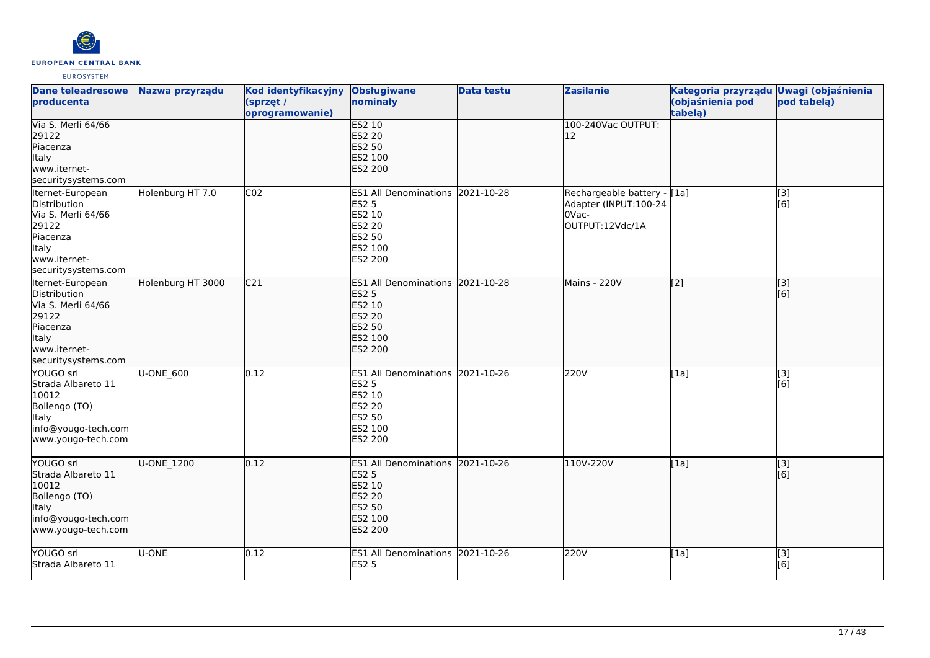

| <b>Dane teleadresowe</b><br><b>Iproducenta</b>                                                                              | Nazwa przyrządu   | Kod identyfikacyjny<br>(sprzęt /<br>oprogramowanie) | <b>Obsługiwane</b><br>nominały                                                                              | <b>Data testu</b> | <b>Zasilanie</b>                                                                 | Kategoria przyrządu Uwagi (objaśnienia<br>(objaśnienia pod<br>tabela) | pod tabelą)             |
|-----------------------------------------------------------------------------------------------------------------------------|-------------------|-----------------------------------------------------|-------------------------------------------------------------------------------------------------------------|-------------------|----------------------------------------------------------------------------------|-----------------------------------------------------------------------|-------------------------|
| Via S. Merli 64/66<br>29122<br>Piacenza<br>Italy<br>www.iternet-<br>securitysystems.com                                     |                   |                                                     | <b>ES2 10</b><br>ES2 20<br>ES2 50<br>ES2 100<br>ES2 200                                                     |                   | 100-240Vac OUTPUT:<br>12                                                         |                                                                       |                         |
| Iternet-European<br>Distribution<br>Via S. Merli 64/66<br>29122<br>Piacenza<br>Italy<br>www.iternet-<br>securitysystems.com | Holenburg HT 7.0  | CO <sub>2</sub>                                     | ES1 All Denominations 2021-10-28<br><b>ES2 5</b><br>ES2 10<br>ES2 20<br>ES2 50<br>ES2 100<br>ES2 200        |                   | Rechargeable battery - [1a]<br>Adapter (INPUT:100-24<br>OVac-<br>OUTPUT:12Vdc/1A |                                                                       | [3]<br>[6]              |
| Iternet-European<br>Distribution<br>Via S. Merli 64/66<br>29122<br>Piacenza<br>Italy<br>www.iternet-<br>securitysystems.com | Holenburg HT 3000 | $\overline{C21}$                                    | ES1 All Denominations 2021-10-28<br><b>ES2 5</b><br>ES2 10<br>ES2 20<br>ES2 50<br>ES2 100<br>ES2 200        |                   | Mains - 220V                                                                     | $\overline{[2]}$                                                      | $\overline{[3]}$<br>[6] |
| YOUGO srl<br>Strada Albareto 11<br>10012<br>Bollengo (TO)<br>Italy<br>info@yougo-tech.com<br>www.yougo-tech.com             | U-ONE 600         | 0.12                                                | ES1 All Denominations 2021-10-26<br><b>ES2 5</b><br>ES2 10<br>ES2 20<br>ES2 50<br>ES2 100<br>ES2 200        |                   | 220V                                                                             | [1a]                                                                  | [3]<br>[6]              |
| YOUGO srl<br>Strada Albareto 11<br>10012<br>Bollengo (TO)<br>Italy<br>info@yougo-tech.com<br>www.yougo-tech.com             | U-ONE_1200        | 0.12                                                | ES1 All Denominations 2021-10-26<br><b>ES2 5</b><br>ES2 10<br><b>ES2 20</b><br>ES2 50<br>ES2 100<br>ES2 200 |                   | 110V-220V                                                                        | [1a]                                                                  | $\overline{[3]}$<br>[6] |
| YOUGO srl<br><b>Strada Albareto 11</b>                                                                                      | U-ONE             | 0.12                                                | ES1 All Denominations 2021-10-26<br><b>ES2 5</b>                                                            |                   | 220V                                                                             | [1a]                                                                  | [3]<br>[6]              |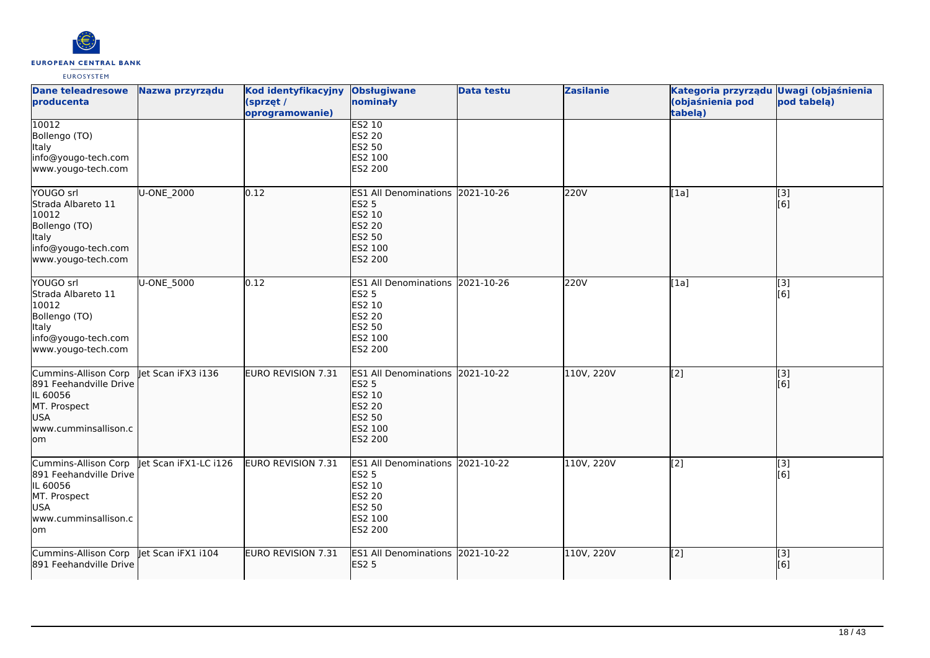

| <b>Dane teleadresowe</b><br>producenta                                                                                  | Nazwa przyrządu       | Kod identyfikacyjny<br>(sprzęt /<br>oprogramowanie) | <b>Obsługiwane</b><br>nominały                                                                                        | <b>Data testu</b> | <b>Zasilanie</b> | Kategoria przyrządu Uwagi (objaśnienia<br>(objaśnienia pod<br>tabela) | pod tabelą)             |
|-------------------------------------------------------------------------------------------------------------------------|-----------------------|-----------------------------------------------------|-----------------------------------------------------------------------------------------------------------------------|-------------------|------------------|-----------------------------------------------------------------------|-------------------------|
| 10012<br>Bollengo (TO)<br><b>Italy</b><br>info@yougo-tech.com<br>www.yougo-tech.com                                     |                       |                                                     | <b>ES2 10</b><br>ES2 20<br>ES2 50<br>ES2 100<br>ES2 200                                                               |                   |                  |                                                                       |                         |
| YOUGO srl<br>Strada Albareto 11<br>10012<br>Bollengo (TO)<br>Italy<br>info@yougo-tech.com<br>www.yougo-tech.com         | U-ONE 2000            | 0.12                                                | <b>ES1 All Denominations</b><br><b>ES2 5</b><br>ES2 10<br><b>ES2 20</b><br>ES2 50<br>ES2 100<br><b>ES2 200</b>        | 2021-10-26        | 220V             | [1a]                                                                  | [3]<br>[6]              |
| YOUGO srl<br>Strada Albareto 11<br>10012<br>Bollengo (TO)<br>Italy<br>info@yougo-tech.com<br>www.yougo-tech.com         | U-ONE_5000            | 0.12                                                | ES1 All Denominations 2021-10-26<br>ES2 5<br>ES2 10<br>ES2 20<br>ES2 50<br>ES2 100<br>ES2 200                         |                   | 220V             | [1a]                                                                  | $\overline{[3]}$<br>[6] |
| Cummins-Allison Corp<br>891 Feehandville Drive<br>IL 60056<br>MT. Prospect<br>USA<br>www.cumminsallison.c<br>lom        | Jet Scan iFX3 i136    | <b>EURO REVISION 7.31</b>                           | <b>ES1 All Denominations</b><br><b>ES2 5</b><br>ES2 10<br><b>ES2 20</b><br><b>ES2 50</b><br>ES2 100<br><b>ES2 200</b> | 2021-10-22        | 110V, 220V       | [2]                                                                   | [3]<br>[6]              |
| Cummins-Allison Corp<br>891 Feehandville Drive<br>IL 60056<br>MT. Prospect<br><b>USA</b><br>www.cumminsallison.c<br>lom | Jet Scan iFX1-LC i126 | EURO REVISION 7.31                                  | <b>ES1 All Denominations</b><br><b>ES2 5</b><br>ES2 10<br>ES2 20<br>ES2 50<br>ES2 100<br>ES2 200                      | 2021-10-22        | 110V, 220V       | [2]                                                                   | [3]<br>[6]              |
| Cummins-Allison Corp<br>891 Feehandville Drive                                                                          | Jet Scan iFX1 i104    | <b>EURO REVISION 7.31</b>                           | ES1 All Denominations 2021-10-22<br><b>ES2 5</b>                                                                      |                   | 110V, 220V       | [2]                                                                   | [3]<br>[6]              |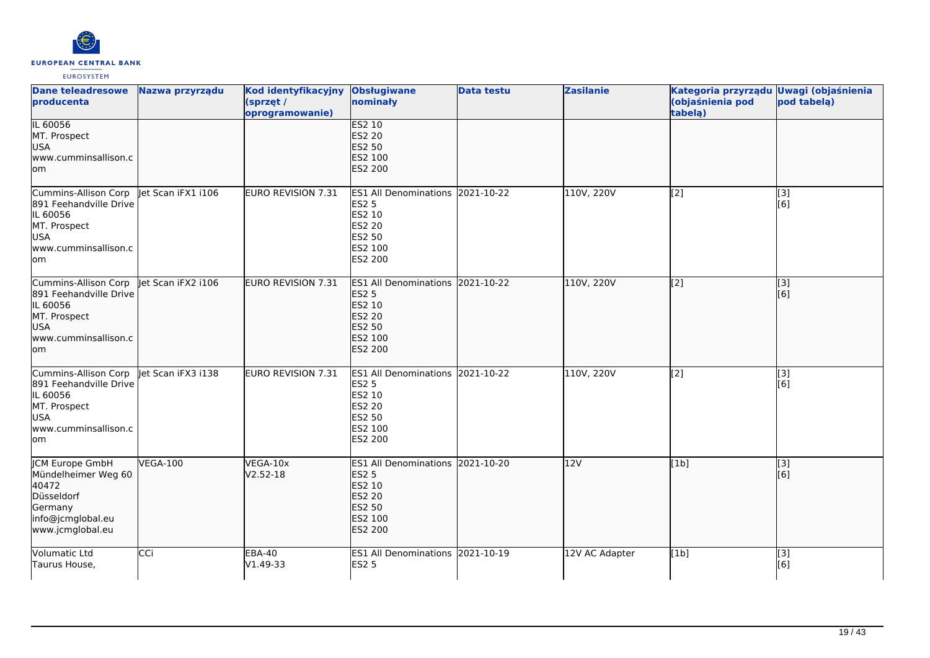

| <b>Dane teleadresowe</b><br>producenta                                                                                   | Nazwa przyrządu    | Kod identyfikacyjny<br>(sprzęt /<br>oprogramowanie) | <b>Obsługiwane</b><br>nominały                                                                          | <b>Data testu</b> | <b>Zasilanie</b> | Kategoria przyrządu Uwagi (objaśnienia<br>(objaśnienia pod<br>tabelą) | pod tabelą)             |
|--------------------------------------------------------------------------------------------------------------------------|--------------------|-----------------------------------------------------|---------------------------------------------------------------------------------------------------------|-------------------|------------------|-----------------------------------------------------------------------|-------------------------|
| IL 60056<br>MT. Prospect<br>USA<br>www.cumminsallison.c<br>lom                                                           |                    |                                                     | <b>ES2 10</b><br>ES2 20<br>ES2 50<br>ES2 100<br><b>ES2 200</b>                                          |                   |                  |                                                                       |                         |
| Cummins-Allison Corp<br>891 Feehandville Drive<br>IL 60056<br>MT. Prospect<br><b>USA</b><br>www.cumminsallison.c<br>lom  | et Scan iFX1 i106  | <b>EURO REVISION 7.31</b>                           | <b>ES1 All Denominations</b><br><b>ES2 5</b><br>ES2 10<br>ES2 20<br>ES2 50<br>ES2 100<br>ES2 200        | 2021-10-22        | 110V, 220V       | [2]                                                                   | [3]<br>[6]              |
| Cummins-Allison Corp<br>891 Feehandville Drive<br>IL 60056<br>MT. Prospect<br>USA<br>www.cumminsallison.c<br>lom         | let Scan iFX2 i106 | <b>EURO REVISION 7.31</b>                           | <b>ES1 All Denominations</b><br><b>ES2 5</b><br>ES2 10<br><b>ES2 20</b><br>ES2 50<br>ES2 100<br>ES2 200 | 2021-10-22        | 110V, 220V       | [2]                                                                   | $\overline{[}3]$<br>[6] |
| Cummins-Allison Corp<br>891 Feehandville Drive<br>IL 60056<br>MT. Prospect<br>USA<br>www.cumminsallison.c<br>lom         | let Scan iFX3 i138 | EURO REVISION 7.31                                  | ES1 All Denominations 2021-10-22<br><b>ES2 5</b><br>ES2 10<br>ES2 20<br>ES2 50<br>ES2 100<br>ES2 200    |                   | 110V, 220V       | [2]                                                                   | [3]<br>[6]              |
| <b>ICM Europe GmbH</b><br>Mündelheimer Weg 60<br>40472<br>Düsseldorf<br>Germany<br>info@jcmglobal.eu<br>www.jcmglobal.eu | <b>VEGA-100</b>    | VEGA-10x<br>$V2.52-18$                              | <b>ES1 All Denominations</b><br><b>ES2 5</b><br>ES2 10<br>ES2 20<br><b>ES2 50</b><br>ES2 100<br>ES2 200 | 2021-10-20        | 12V              | [1b]                                                                  | [3]<br>[6]              |
| Volumatic Ltd<br>Taurus House,                                                                                           | CCi                | <b>EBA-40</b><br>V1.49-33                           | ES1 All Denominations 2021-10-19<br><b>ES2 5</b>                                                        |                   | 12V AC Adapter   | [1b]                                                                  | [3]<br>[6]              |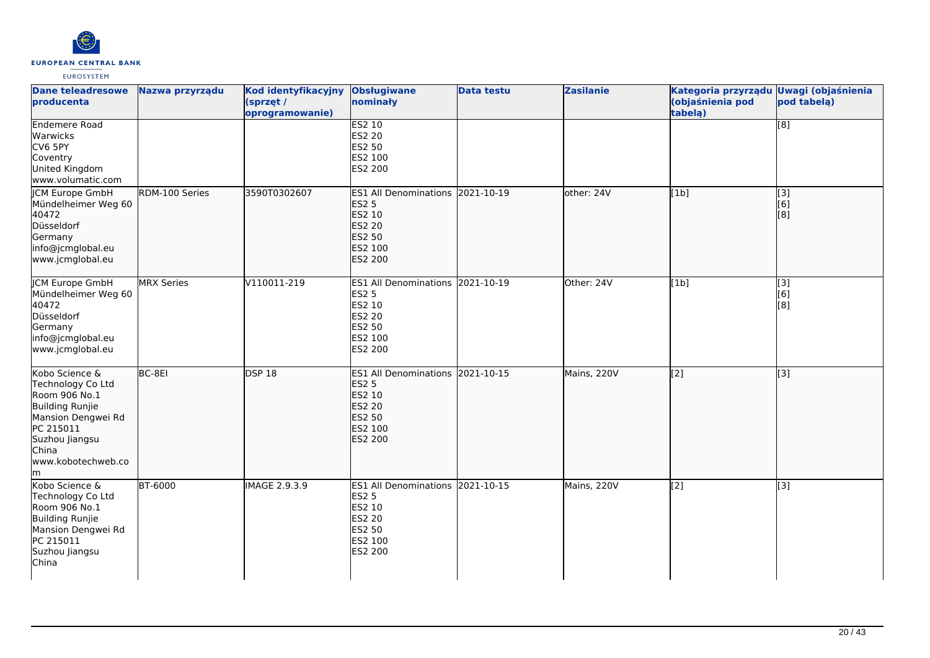

| <b>Dane teleadresowe</b><br>producenta                                                                                                                           | Nazwa przyrządu   | Kod identyfikacyjny<br>(sprzęt /<br>oprogramowanie) | <b>Obsługiwane</b><br>nominały                                                                              | <b>Data testu</b> | <b>Zasilanie</b> | Kategoria przyrządu Uwagi (objaśnienia<br>(objaśnienia pod<br>tabelą) | pod tabelą)                                                                                        |
|------------------------------------------------------------------------------------------------------------------------------------------------------------------|-------------------|-----------------------------------------------------|-------------------------------------------------------------------------------------------------------------|-------------------|------------------|-----------------------------------------------------------------------|----------------------------------------------------------------------------------------------------|
| <b>Endemere Road</b><br>Warwicks<br>CV6 5PY<br>Coventry<br>United Kingdom<br>www.volumatic.com                                                                   |                   |                                                     | <b>ES2 10</b><br>ES2 20<br>ES2 50<br>ES2 100<br>ES2 200                                                     |                   |                  |                                                                       | $\overline{[}8]$                                                                                   |
| ICM Europe GmbH<br>Mündelheimer Weg 60<br>40472<br>Düsseldorf<br>Germany<br>info@jcmglobal.eu<br>www.jcmglobal.eu                                                | RDM-100 Series    | 3590T0302607                                        | ES1 All Denominations 2021-10-19<br><b>ES2 5</b><br>ES2 10<br><b>ES2 20</b><br>ES2 50<br>ES2 100<br>ES2 200 |                   | other: 24V       | [1b]                                                                  | $\begin{bmatrix} 3 \\ 6 \end{bmatrix}$<br>$\left[ \begin{smallmatrix} 8 \end{smallmatrix} \right]$ |
| <b>CM Europe GmbH</b><br>Mündelheimer Weg 60<br>40472<br>Düsseldorf<br>Germany<br>info@jcmglobal.eu<br>www.jcmglobal.eu                                          | <b>MRX Series</b> | V110011-219                                         | ES1 All Denominations 2021-10-19<br><b>ES2 5</b><br>ES2 10<br><b>ES2 20</b><br>ES2 50<br>ES2 100<br>ES2 200 |                   | Other: 24V       | [1b]                                                                  | $\overline{[}3]$<br>[6]<br>$\left[ \begin{smallmatrix} 8 \end{smallmatrix} \right]$                |
| Kobo Science &<br>Technology Co Ltd<br>Room 906 No.1<br>Building Runjie<br>Mansion Dengwei Rd<br>PC 215011<br>Suzhou Jiangsu<br>China<br>www.kobotechweb.co<br>m | BC-8EI            | <b>DSP 18</b>                                       | ES1 All Denominations 2021-10-15<br><b>ES2 5</b><br>ES2 10<br><b>ES2 20</b><br>ES2 50<br>ES2 100<br>ES2 200 |                   | Mains, 220V      | $\sqrt{2}$                                                            | $\overline{[3]}$                                                                                   |
| Kobo Science &<br>Technology Co Ltd<br>Room 906 No.1<br>Building Runjie<br>Mansion Dengwei Rd<br>PC 215011<br>Suzhou Jiangsu<br>China                            | <b>BT-6000</b>    | <b>IMAGE 2.9.3.9</b>                                | ES1 All Denominations 2021-10-15<br><b>ES2 5</b><br>ES2 10<br><b>ES2 20</b><br>ES2 50<br>ES2 100<br>ES2 200 |                   | Mains, 220V      | $\overline{[2]}$                                                      | $\overline{[}3]$                                                                                   |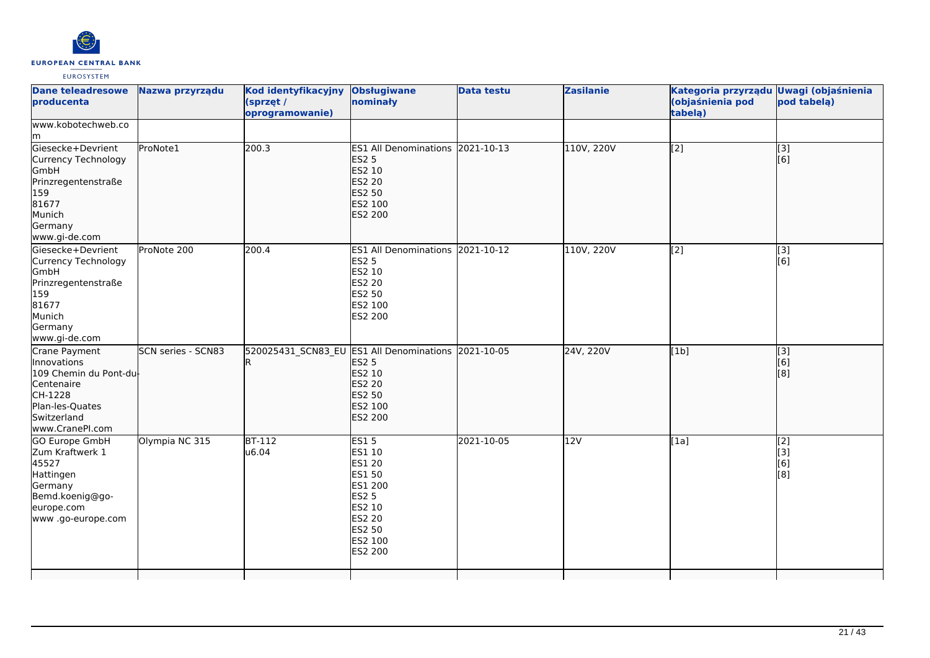

| <b>Dane teleadresowe</b><br>producenta                                                                                              | Nazwa przyrządu    | Kod identyfikacyjny<br>(sprzęt /<br>oprogramowanie) | <b>Obsługiwane</b><br>nominały                                                                                                 | <b>Data testu</b> | <b>Zasilanie</b> | Kategoria przyrządu Uwagi (objaśnienia<br>(objaśnienia pod<br>tabela) | pod tabela)                                                                               |
|-------------------------------------------------------------------------------------------------------------------------------------|--------------------|-----------------------------------------------------|--------------------------------------------------------------------------------------------------------------------------------|-------------------|------------------|-----------------------------------------------------------------------|-------------------------------------------------------------------------------------------|
| www.kobotechweb.co<br>lm.                                                                                                           |                    |                                                     |                                                                                                                                |                   |                  |                                                                       |                                                                                           |
| Giesecke+Devrient<br>Currency Technology<br>GmbH<br>Prinzregentenstraße<br>159<br>81677<br>Munich<br>Germany<br>www.gi-de.com       | ProNote1           | 200.3                                               | ES1 All Denominations 2021-10-13<br><b>ES2 5</b><br>ES2 10<br><b>ES2 20</b><br>ES2 50<br>ES2 100<br>ES2 200                    |                   | 110V, 220V       | [2]                                                                   | $\vert$ [3]<br>[6]                                                                        |
| Giesecke+Devrient<br>Currency Technology<br>GmbH<br>Prinzregentenstraße<br>159<br>81677<br>Munich<br>Germany<br>www.gi-de.com       | ProNote 200        | 200.4                                               | ES1 All Denominations 2021-10-12<br><b>ES2 5</b><br>ES2 10<br>ES2 20<br>ES2 50<br>ES2 100<br>ES2 200                           |                   | 110V, 220V       | $\overline{[2]}$                                                      | $\overline{[3]}$<br>[6]                                                                   |
| Crane Payment<br>Innovations<br>109 Chemin du Pont-du<br>Centenaire<br>CH-1228<br>Plan-les-Quates<br>Switzerland<br>www.CranePI.com | SCN series - SCN83 |                                                     | 520025431 SCN83 EU ES1 All Denominations 2021-10-05<br><b>ES2 5</b><br>ES2 10<br><b>ES2 20</b><br>ES2 50<br>ES2 100<br>ES2 200 |                   | 24V, 220V        | [1b]                                                                  | $\begin{bmatrix} 13 \\ 6 \end{bmatrix}$<br>$\left[ \begin{matrix} 8 \end{matrix} \right]$ |
| <b>GO Europe GmbH</b><br>Zum Kraftwerk 1<br>45527<br>Hattingen<br>Germany<br>Bemd.koenig@go-<br>europe.com<br>www.go-europe.com     | Olympia NC 315     | <b>BT-112</b><br>u6.04                              | <b>ES15</b><br>ES1 10<br>ES1 20<br>ES1 50<br>ES1 200<br><b>ES2 5</b><br>ES2 10<br>ES2 20<br>ES2 50<br>ES2 100<br>ES2 200       | 2021-10-05        | 12V              | [1a]                                                                  | $\left[$ [2]<br>$\left[$ [3]<br>[6]<br>[8]                                                |
|                                                                                                                                     |                    |                                                     |                                                                                                                                |                   |                  |                                                                       |                                                                                           |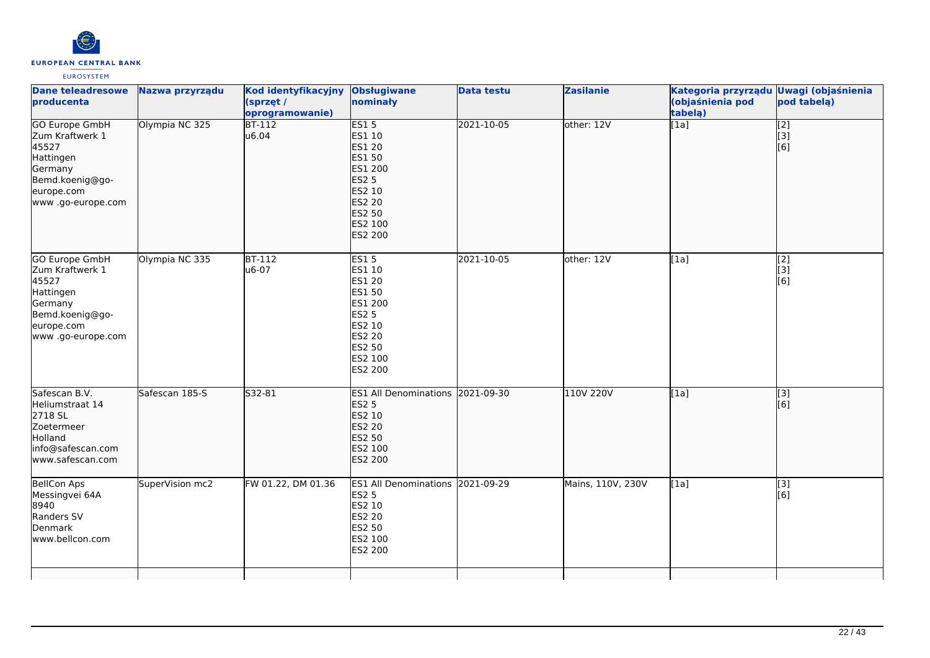

| <b>Dane teleadresowe</b><br>producenta                                                                                           | Nazwa przyrządu | Kod identyfikacyjny Obsługiwane<br>(sprzęt /<br>oprogramowanie) | nominały                                                                                                                 | <b>Data testu</b> | <b>Zasilanie</b>  | Kategoria przyrządu Uwagi (objaśnienia<br>(objaśnienia pod<br>tabelą) | pod tabelą)                                   |
|----------------------------------------------------------------------------------------------------------------------------------|-----------------|-----------------------------------------------------------------|--------------------------------------------------------------------------------------------------------------------------|-------------------|-------------------|-----------------------------------------------------------------------|-----------------------------------------------|
| <b>GO Europe GmbH</b><br>Zum Kraftwerk 1<br>45527<br>Hattingen<br>Germany<br>Bemd.koenig@go-<br>europe.com<br>www .go-europe.com | Olympia NC 325  | $BT-112$<br>u6.04                                               | ES15<br>ES1 10<br>ES1 20<br>ES1 50<br>ES1 200<br><b>ES2 5</b><br>ES2 10<br>ES2 20<br>ES2 50<br>ES2 100<br>ES2 200        | 2021-10-05        | other: 12V        | [1a]                                                                  | $\begin{bmatrix} 2 \\ 3 \end{bmatrix}$<br>[6] |
| GO Europe GmbH<br>Zum Kraftwerk 1<br>45527<br>Hattingen<br>Germany<br>Bemd.koenig@go-<br>europe.com<br>www .go-europe.com        | Olympia NC 335  | BT-112<br>u6-07                                                 | <b>ES15</b><br>ES1 10<br>ES1 20<br>ES1 50<br>ES1 200<br><b>ES2 5</b><br>ES2 10<br>ES2 20<br>ES2 50<br>ES2 100<br>ES2 200 | 2021-10-05        | other: 12V        | [1a]                                                                  | $\begin{bmatrix} 2 \\ 3 \end{bmatrix}$<br>[6] |
| Safescan B.V.<br>Heliumstraat 14<br>2718 SL<br>Zoetermeer<br>Holland<br>info@safescan.com<br>www.safescan.com                    | Safescan 185-S  | S32-81                                                          | ES1 All Denominations 2021-09-30<br><b>ES2 5</b><br>ES2 10<br><b>ES2 20</b><br>ES2 50<br>ES2 100<br>ES2 200              |                   | 110V 220V         | [1a]                                                                  | $\overline{[}3]$<br>[6]                       |
| <b>BellCon Aps</b><br>Messingvei 64A<br>8940<br>Randers SV<br>Denmark<br>www.bellcon.com                                         | SuperVision mc2 | FW 01.22, DM 01.36                                              | ES1 All Denominations 2021-09-29<br><b>ES2 5</b><br>ES2 10<br>ES2 20<br>ES2 50<br>ES2 100<br>ES2 200                     |                   | Mains, 110V, 230V | [1a]                                                                  | [3]<br>[6]                                    |
|                                                                                                                                  |                 |                                                                 |                                                                                                                          |                   |                   |                                                                       |                                               |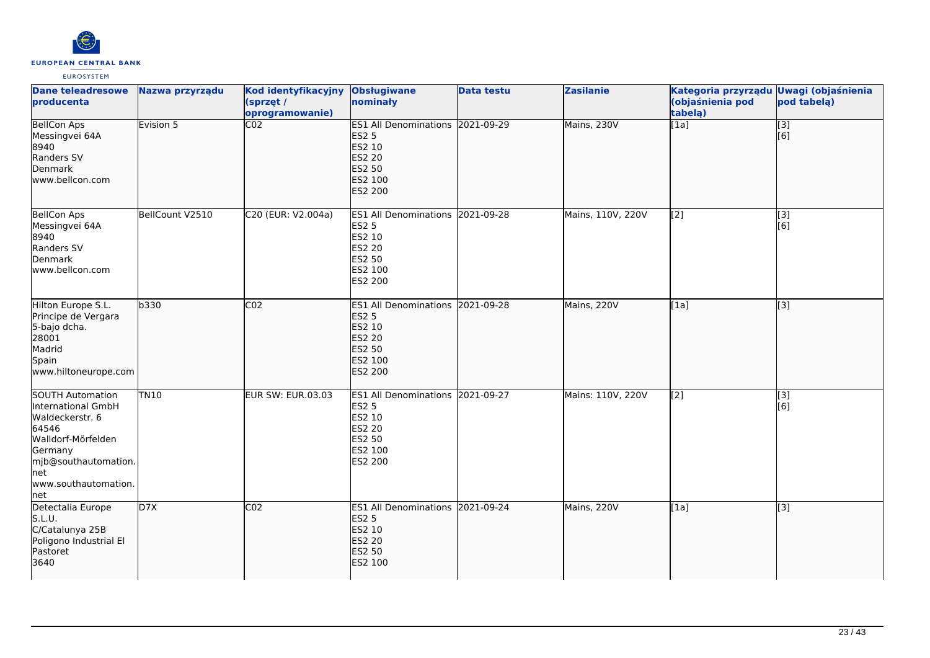

| <b>Dane teleadresowe</b><br>producenta                                                                                                                                   | Nazwa przyrządu | Kod identyfikacyjny<br>(sprzęt /<br>oprogramowanie) | <b>Obsługiwane</b><br>nominały                                                                                     | <b>Data testu</b> | <b>Zasilanie</b>  | Kategoria przyrządu Uwagi (objaśnienia<br>(objaśnienia pod<br>tabela) | pod tabelą)                                          |
|--------------------------------------------------------------------------------------------------------------------------------------------------------------------------|-----------------|-----------------------------------------------------|--------------------------------------------------------------------------------------------------------------------|-------------------|-------------------|-----------------------------------------------------------------------|------------------------------------------------------|
| <b>BellCon Aps</b><br>Messingvei 64A<br>8940<br>Randers SV<br>Denmark<br>www.bellcon.com                                                                                 | Evision 5       | $\overline{CO2}$                                    | ES1 All Denominations 2021-09-29<br><b>ES2 5</b><br>ES2 10<br><b>ES2 20</b><br>ES2 50<br>ES2 100<br><b>ES2 200</b> |                   | Mains, 230V       | $\overline{[1a]}$                                                     | $\begin{matrix}\boxed{3} \\ \boxed{6}\n\end{matrix}$ |
| <b>BellCon Aps</b><br>Messingvei 64A<br>8940<br>Randers SV<br>Denmark<br>lwww.bellcon.com                                                                                | BellCount V2510 | C20 (EUR: V2.004a)                                  | ES1 All Denominations 2021-09-28<br><b>ES2 5</b><br>ES2 10<br>ES2 20<br>ES2 50<br>ES2 100<br>ES2 200               |                   | Mains, 110V, 220V | [2]                                                                   | [3]<br>[6]                                           |
| Hilton Europe S.L.<br>Principe de Vergara<br>5-bajo dcha.<br>28001<br>Madrid<br>Spain<br>www.hiltoneurope.com                                                            | b330            | CO <sub>2</sub>                                     | ES1 All Denominations 2021-09-28<br><b>ES2 5</b><br>ES2 10<br>ES2 20<br><b>ES2 50</b><br>ES2 100<br>ES2 200        |                   | Mains, 220V       | [1a]                                                                  | [[3]                                                 |
| <b>SOUTH Automation</b><br>International GmbH<br>Waldeckerstr. 6<br>64546<br>Walldorf-Mörfelden<br>Germany<br>mjb@southautomation.<br>net<br>www.southautomation.<br>net | <b>TN10</b>     | <b>EUR SW: EUR.03.03</b>                            | ES1 All Denominations 2021-09-27<br><b>ES2 5</b><br>ES2 10<br>ES2 20<br>ES2 50<br>ES2 100<br>ES2 200               |                   | Mains: 110V, 220V | $\overline{[2]}$                                                      | $\overline{[}3]$<br>[6]                              |
| Detectalia Europe<br>S.L.U.<br>C/Catalunya 25B<br>Poligono Industrial El<br>Pastoret<br>3640                                                                             | D <sub>7X</sub> | CO <sub>2</sub>                                     | ES1 All Denominations 2021-09-24<br><b>ES2 5</b><br>ES2 10<br>ES2 20<br>ES2 50<br>ES2 100                          |                   | Mains, 220V       | [1a]                                                                  | $\overline{[}3]$                                     |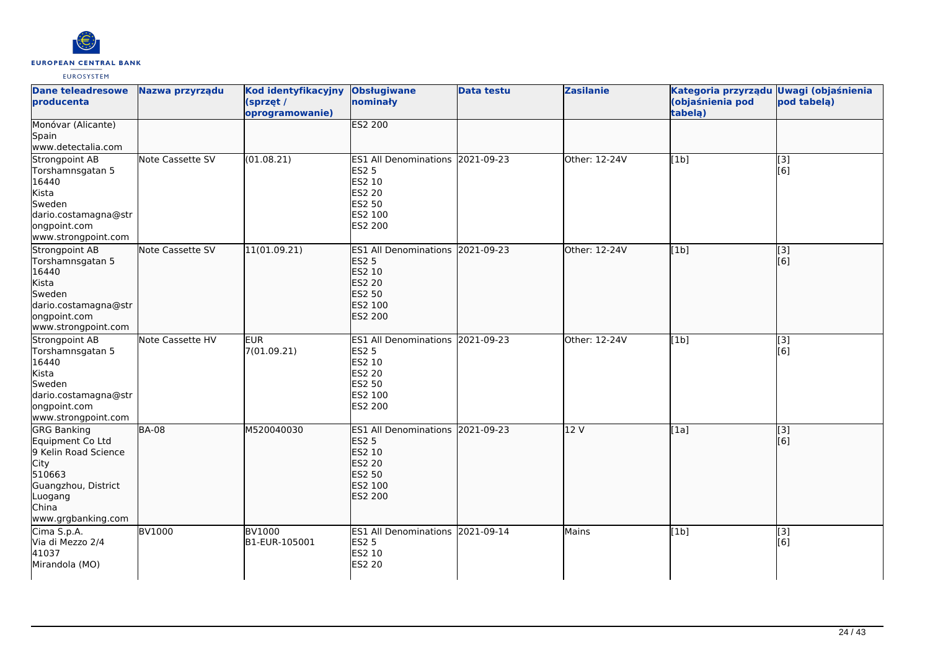

| <b>Dane teleadresowe</b><br>producenta                                                                                                                   | Nazwa przyrządu  | Kod identyfikacyjny<br>(sprzęt /<br>oprogramowanie) | <b>Obsługiwane</b><br>nominały                                                                              | <b>Data testu</b> | <b>Zasilanie</b> | Kategoria przyrządu Uwagi (objaśnienia<br>(objaśnienia pod<br>tabela) | pod tabelą)             |
|----------------------------------------------------------------------------------------------------------------------------------------------------------|------------------|-----------------------------------------------------|-------------------------------------------------------------------------------------------------------------|-------------------|------------------|-----------------------------------------------------------------------|-------------------------|
| Monóvar (Alicante)<br>Spain<br>www.detectalia.com                                                                                                        |                  |                                                     | <b>ES2 200</b>                                                                                              |                   |                  |                                                                       |                         |
| Strongpoint AB<br>Torshamnsgatan 5<br>16440<br>Kista<br>Sweden<br>dario.costamagna@str<br>ongpoint.com<br>www.strongpoint.com                            | Note Cassette SV | (01.08.21)                                          | ES1 All Denominations 2021-09-23<br><b>ES2 5</b><br>ES2 10<br>ES2 20<br>ES2 50<br>ES2 100<br>ES2 200        |                   | Other: 12-24V    | [1b]                                                                  | $\overline{[}3]$<br>[6] |
| Strongpoint AB<br>Torshamnsgatan 5<br>16440<br>Kista<br>Sweden<br>dario.costamagna@str<br>ongpoint.com<br>www.strongpoint.com                            | Note Cassette SV | 11(01.09.21)                                        | ES1 All Denominations 2021-09-23<br><b>ES2 5</b><br>ES2 10<br><b>ES2 20</b><br>ES2 50<br>ES2 100<br>ES2 200 |                   | Other: 12-24V    | [1b]                                                                  | $\overline{[3]}$<br>[6] |
| Strongpoint AB<br>Torshamnsgatan 5<br>16440<br>Kista<br>Sweden<br>dario.costamagna@str<br>ongpoint.com<br>www.strongpoint.com                            | Note Cassette HV | <b>EUR</b><br>7(01.09.21)                           | ES1 All Denominations 2021-09-23<br><b>ES2 5</b><br>ES2 10<br>ES2 20<br>ES2 50<br>ES2 100<br>ES2 200        |                   | Other: 12-24V    | [1b]                                                                  | [3]<br>[6]              |
| <b>GRG Banking</b><br>Equipment Co Ltd<br>9 Kelin Road Science<br><b>City</b><br>510663<br>Guangzhou, District<br>Luogang<br>China<br>www.grgbanking.com | <b>BA-08</b>     | M520040030                                          | ES1 All Denominations 2021-09-23<br><b>ES2 5</b><br>ES2 10<br><b>ES2 20</b><br>ES2 50<br>ES2 100<br>ES2 200 |                   | 12 V             | [1a]                                                                  | [3]<br>[6]              |
| Cima S.p.A.<br>Via di Mezzo 2/4<br>41037<br>Mirandola (MO)                                                                                               | <b>BV1000</b>    | <b>BV1000</b><br>B1-EUR-105001                      | ES1 All Denominations 2021-09-14<br><b>ES2 5</b><br>ES2 10<br>ES2 20                                        |                   | Mains            | [1b]                                                                  | [3]<br>[6]              |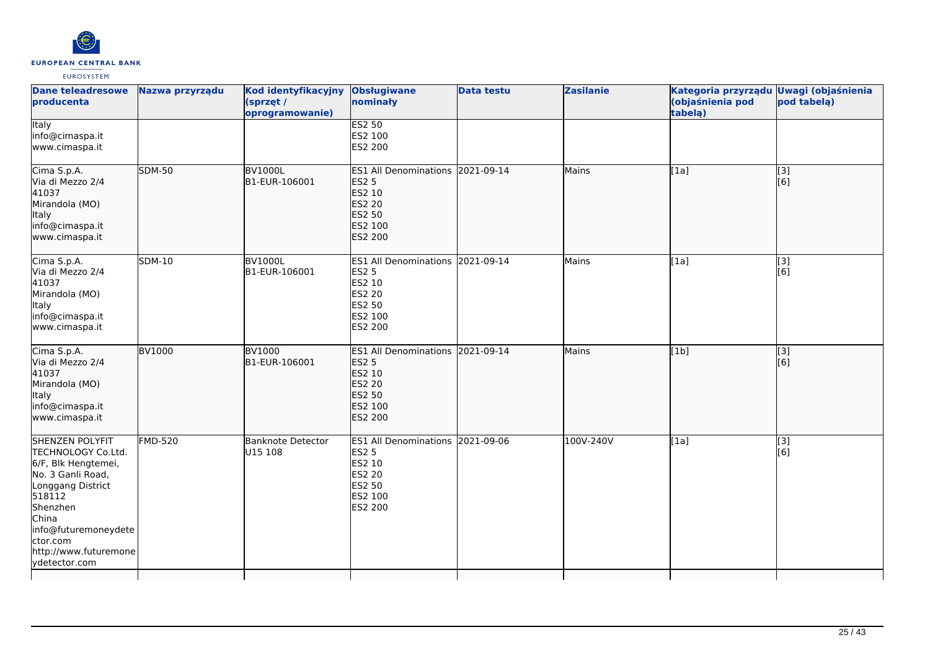

| <b>Dane teleadresowe</b><br>producenta                                                                                                                                                                                     | Nazwa przyrządu | Kod identyfikacyjny<br>(sprzęt /<br>oprogramowanie) | <b>Obsługiwane</b><br>nominały                                                                                     | <b>Data testu</b> | <b>Zasilanie</b> | Kategoria przyrządu Uwagi (objaśnienia<br>(objaśnienia pod<br>tabela) | pod tabelą)             |
|----------------------------------------------------------------------------------------------------------------------------------------------------------------------------------------------------------------------------|-----------------|-----------------------------------------------------|--------------------------------------------------------------------------------------------------------------------|-------------------|------------------|-----------------------------------------------------------------------|-------------------------|
| <b>Italy</b><br>info@cimaspa.it<br>www.cimaspa.it                                                                                                                                                                          |                 |                                                     | <b>ES2 50</b><br>ES2 100<br>ES2 200                                                                                |                   |                  |                                                                       |                         |
| Cima S.p.A.<br>Via di Mezzo 2/4<br>41037<br>Mirandola (MO)<br>Italy<br>info@cimaspa.it<br>www.cimaspa.it                                                                                                                   | <b>SDM-50</b>   | <b>BV1000L</b><br>B1-EUR-106001                     | ES1 All Denominations 2021-09-14<br><b>ES2 5</b><br>ES2 10<br><b>ES2 20</b><br>ES2 50<br>ES2 100<br>ES2 200        |                   | Mains            | [1a]                                                                  | $\overline{[}3]$<br>[6] |
| Cima S.p.A.<br>Via di Mezzo 2/4<br>41037<br>Mirandola (MO)<br><b>Italy</b><br>info@cimaspa.it<br>www.cimaspa.it                                                                                                            | <b>SDM-10</b>   | <b>BV1000L</b><br>B1-EUR-106001                     | ES1 All Denominations 2021-09-14<br><b>ES2 5</b><br>ES2 10<br>ES2 20<br>ES2 50<br>ES2 100<br>ES2 200               |                   | Mains            | [1a]                                                                  | $\overline{[3]}$<br>[6] |
| Cima S.p.A.<br>Via di Mezzo 2/4<br>41037<br>Mirandola (MO)<br>Italy<br>info@cimaspa.it<br>www.cimaspa.it                                                                                                                   | <b>BV1000</b>   | <b>BV1000</b><br>B1-EUR-106001                      | ES1 All Denominations 2021-09-14<br><b>ES2 5</b><br>ES2 10<br>ES2 20<br><b>ES2 50</b><br>ES2 100<br><b>ES2 200</b> |                   | Mains            | [1b]                                                                  | [3]<br>[6]              |
| <b>SHENZEN POLYFIT</b><br>TECHNOLOGY Co.Ltd.<br>6/F, Blk Hengtemei,<br>No. 3 Ganli Road,<br>Longgang District<br>518112<br>Shenzhen<br>China<br>info@futuremoneydete<br>ctor.com<br>http://www.futuremone<br>vdetector.com | $FMD-520$       | Banknote Detector<br>U15 108                        | ES1 All Denominations 2021-09-06<br><b>ES2 5</b><br>ES2 10<br><b>ES2 20</b><br>ES2 50<br>ES2 100<br>ES2 200        |                   | 100V-240V        | [1a]                                                                  | [3]<br>[6]              |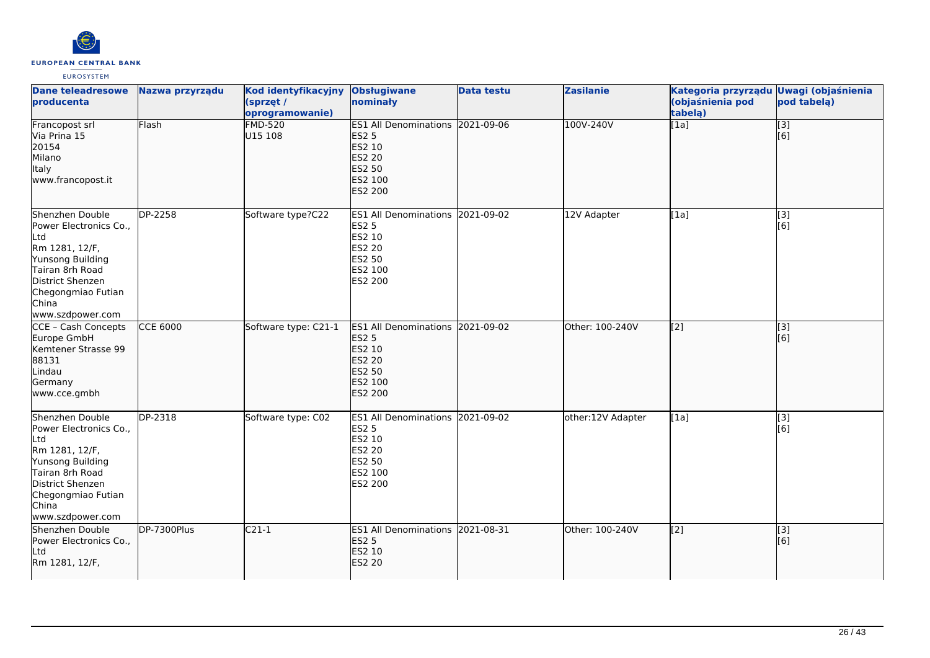

| <b>Dane teleadresowe</b><br>producenta                                                                                                                                           | Nazwa przyrządu | Kod identyfikacyjny Obsługiwane<br>(sprzęt /<br>oprogramowanie) | nominały                                                                                                                  | <b>Data testu</b> | <b>Zasilanie</b>  | Kategoria przyrządu Uwagi (objaśnienia<br>(objaśnienia pod<br>tabelą) | pod tabelą)             |
|----------------------------------------------------------------------------------------------------------------------------------------------------------------------------------|-----------------|-----------------------------------------------------------------|---------------------------------------------------------------------------------------------------------------------------|-------------------|-------------------|-----------------------------------------------------------------------|-------------------------|
| Francopost srl<br>Via Prina 15<br>20154<br>Milano<br>Italy<br>www.francopost.it                                                                                                  | Flash           | <b>FMD-520</b><br>U15 108                                       | ES1 All Denominations 2021-09-06<br><b>ES2 5</b><br>ES2 10<br><b>ES2 20</b><br>ES2 50<br>ES2 100<br><b>ES2 200</b>        |                   | 100V-240V         | $\overline{[1a]}$                                                     | $\overline{[}3]$<br>[6] |
| Shenzhen Double<br>Power Electronics Co.,<br>Ltd<br>Rm 1281, 12/F,<br>Yunsong Building<br>Tairan 8rh Road<br>District Shenzen<br>Chegongmiao Futian<br>China<br>www.szdpower.com | DP-2258         | Software type?C22                                               | ES1 All Denominations 2021-09-02<br><b>ES2 5</b><br>ES2 10<br>ES2 20<br>ES2 50<br>ES2 100<br>ES2 200                      |                   | 12V Adapter       | [1a]                                                                  | [3]<br>[6]              |
| CCE - Cash Concepts<br>Europe GmbH<br>Kemtener Strasse 99<br>88131<br>Lindau<br>Germany<br>www.cce.gmbh                                                                          | <b>CCE 6000</b> | Software type: C21-1                                            | ES1 All Denominations 2021-09-02<br><b>ES2 5</b><br>ES2 10<br><b>ES2 20</b><br><b>ES2 50</b><br>ES2 100<br><b>ES2 200</b> |                   | Other: 100-240V   | [2]                                                                   | [3]<br>[6]              |
| Shenzhen Double<br>Power Electronics Co.,<br>Ltd<br>Rm 1281, 12/F,<br>Yunsong Building<br>Tairan 8rh Road<br>District Shenzen<br>Chegongmiao Futian<br>China<br>www.szdpower.com | DP-2318         | Software type: C02                                              | ES1 All Denominations 2021-09-02<br><b>ES2 5</b><br>ES2 10<br><b>ES2 20</b><br>ES2 50<br>ES2 100<br>ES2 200               |                   | other:12V Adapter | [1a]                                                                  | [3]<br>[6]              |
| Shenzhen Double<br>Power Electronics Co.,<br>Ltd<br>Rm 1281, 12/F,                                                                                                               | DP-7300Plus     | $C21-1$                                                         | ES1 All Denominations 2021-08-31<br><b>ES2 5</b><br>ES2 10<br><b>ES2 20</b>                                               |                   | Other: 100-240V   | $\left[ \begin{matrix} 2 \end{matrix} \right]$                        | [3]<br>[6]              |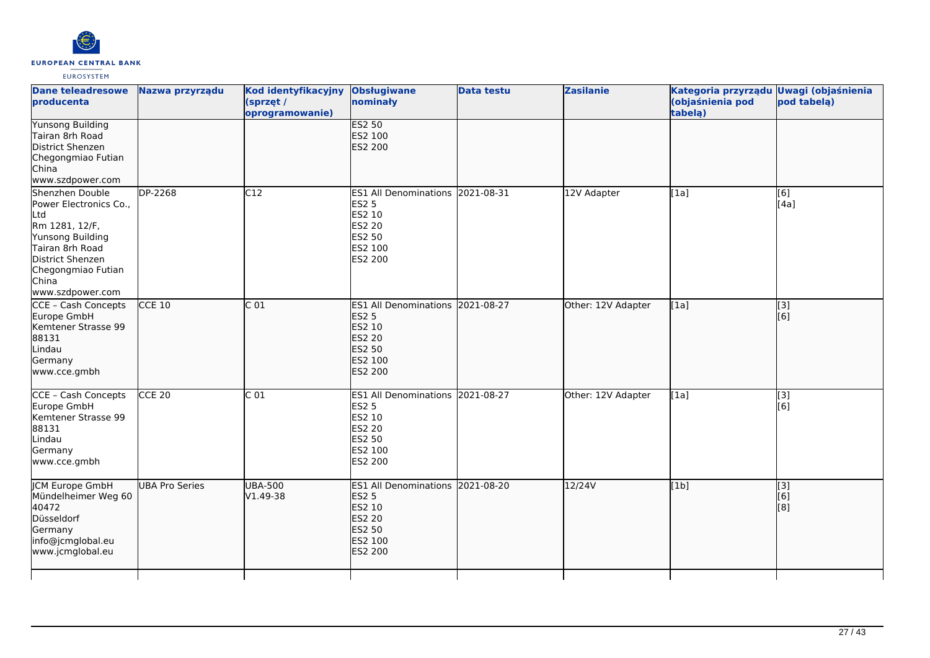

| <b>Dane teleadresowe</b><br>producenta                                                                                                                                           | Nazwa przyrządu       | <b>Kod identyfikacyjny</b><br>(sprzęt /<br>oprogramowanie) | Obsługiwane<br>nominały                                                                                 | <b>Data testu</b> | <b>Zasilanie</b>   | Kategoria przyrządu Uwagi (objaśnienia<br>(objaśnienia pod<br>tabelą) | pod tabelą)             |
|----------------------------------------------------------------------------------------------------------------------------------------------------------------------------------|-----------------------|------------------------------------------------------------|---------------------------------------------------------------------------------------------------------|-------------------|--------------------|-----------------------------------------------------------------------|-------------------------|
| <b>Yunsong Building</b><br>Tairan 8rh Road<br>District Shenzen<br>Chegongmiao Futian<br>China<br>www.szdpower.com                                                                |                       |                                                            | <b>ES2 50</b><br>ES2 100<br>ES2 200                                                                     |                   |                    |                                                                       |                         |
| Shenzhen Double<br>Power Electronics Co.,<br>Ltd<br>Rm 1281, 12/F,<br>Yunsong Building<br>Tairan 8rh Road<br>District Shenzen<br>Chegongmiao Futian<br>China<br>www.szdpower.com | DP-2268               | C12                                                        | <b>ES1 All Denominations</b><br>ES2 5<br>ES2 10<br>ES2 20<br>ES2 50<br>ES2 100<br>ES2 200               | 2021-08-31        | 12V Adapter        | [1a]                                                                  | [6]<br>[4a]             |
| CCE - Cash Concepts<br>Europe GmbH<br>Kemtener Strasse 99<br>88131<br>Lindau<br>Germany<br>www.cce.gmbh                                                                          | <b>CCE 10</b>         | C <sub>01</sub>                                            | <b>ES1 All Denominations</b><br><b>ES2 5</b><br>ES2 10<br><b>ES2 20</b><br>ES2 50<br>ES2 100<br>ES2 200 | 2021-08-27        | Other: 12V Adapter | [1a]                                                                  | $\overline{[3]}$<br>[6] |
| CCE - Cash Concepts<br>Europe GmbH<br>Kemtener Strasse 99<br>88131<br>Lindau<br>Germany<br>www.cce.gmbh                                                                          | $CCE$ 20              | C <sub>01</sub>                                            | ES1 All Denominations 2021-08-27<br><b>ES2 5</b><br>ES2 10<br>ES2 20<br>ES2 50<br>ES2 100<br>ES2 200    |                   | Other: 12V Adapter | [1a]                                                                  | $\overline{[3]}$<br>[6] |
| JCM Europe GmbH<br>Mündelheimer Weg 60<br>40472<br>Düsseldorf<br>Germany<br>info@jcmglobal.eu<br>www.jcmglobal.eu                                                                | <b>UBA Pro Series</b> | <b>UBA-500</b><br>V1.49-38                                 | <b>ES1 All Denominations</b><br><b>ES2 5</b><br>ES2 10<br>ES2 20<br>ES2 50<br>ES2 100<br><b>ES2 200</b> | 2021-08-20        | 12/24V             | [1b]                                                                  | [3]<br>[6]<br>[8]       |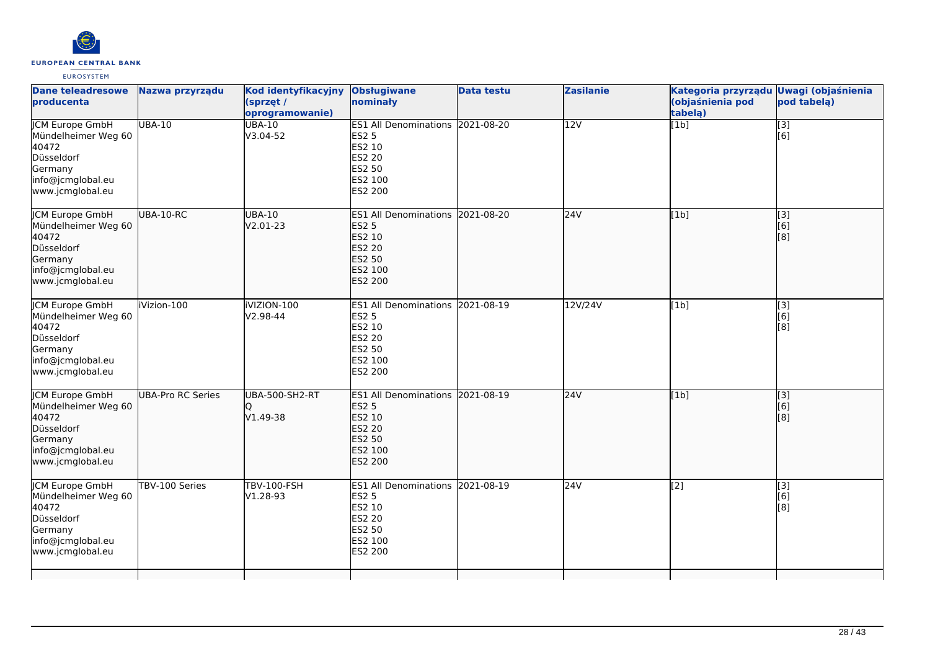

| <b>Dane teleadresowe</b><br>producenta                                                                                   | Nazwa przyrządu   | Kod identyfikacyjny<br>(sprzęt /<br>oprogramowanie) | <b>Obsługiwane</b><br>nominały                                                                                     | <b>Data testu</b> | <b>Zasilanie</b> | Kategoria przyrządu Uwagi (objaśnienia<br>(objaśnienia pod<br>tabelą) | pod tabelą)                                   |
|--------------------------------------------------------------------------------------------------------------------------|-------------------|-----------------------------------------------------|--------------------------------------------------------------------------------------------------------------------|-------------------|------------------|-----------------------------------------------------------------------|-----------------------------------------------|
| <b>JCM Europe GmbH</b><br>Mündelheimer Weg 60<br>40472<br>Düsseldorf<br>Germany<br>info@jcmglobal.eu<br>www.jcmglobal.eu | <b>UBA-10</b>     | <b>UBA-10</b><br>V3.04-52                           | ES1 All Denominations 2021-08-20<br><b>ES2 5</b><br>ES2 10<br>ES2 20<br>ES2 50<br>ES2 100<br>ES2 200               |                   | 12V              | [1b]                                                                  | $\overline{[}3]$<br>[6]                       |
| JCM Europe GmbH<br>Mündelheimer Weg 60<br>40472<br>Düsseldorf<br>Germany<br>info@jcmglobal.eu<br>www.jcmglobal.eu        | UBA-10-RC         | <b>UBA-10</b><br>V2.01-23                           | ES1 All Denominations 2021-08-20<br><b>ES2 5</b><br>ES2 10<br><b>ES2 20</b><br>ES2 50<br>ES2 100<br>ES2 200        |                   | 24V              | [1b]                                                                  | $\begin{bmatrix} 3 \\ 6 \end{bmatrix}$<br>[8] |
| <b>CM Europe GmbH</b><br>Mündelheimer Weg 60<br>40472<br>Düsseldorf<br>Germany<br>info@jcmglobal.eu<br>www.jcmglobal.eu  | iVizion-100       | iVIZION-100<br>$V2.98 - 44$                         | ES1 All Denominations 2021-08-19<br><b>ES2 5</b><br>ES2 10<br><b>ES2 20</b><br><b>ES2 50</b><br>ES2 100<br>ES2 200 |                   | 12V/24V          | [1b]                                                                  | [3]<br>[6]<br>[8]                             |
| JCM Europe GmbH<br>Mündelheimer Weg 60<br>40472<br>Düsseldorf<br>Germany<br>info@jcmglobal.eu<br>www.jcmglobal.eu        | UBA-Pro RC Series | UBA-500-SH2-RT<br>O<br>V1.49-38                     | ES1 All Denominations 2021-08-19<br><b>ES2 5</b><br>ES2 10<br><b>ES2 20</b><br>ES2 50<br>ES2 100<br>ES2 200        |                   | 24V              | [1b]                                                                  | [3]<br>[6]<br>[8]                             |
| <b>CM Europe GmbH</b><br>Mündelheimer Weg 60<br>40472<br>Düsseldorf<br>Germany<br>info@jcmglobal.eu<br>www.jcmglobal.eu  | TBV-100 Series    | <b>TBV-100-FSH</b><br>V1.28-93                      | ES1 All Denominations 2021-08-19<br><b>ES2 5</b><br>ES2 10<br><b>ES2 20</b><br>ES2 50<br>ES2 100<br>ES2 200        |                   | 24V              | $\overline{[2]}$                                                      | [3]<br>[6]<br>[8]                             |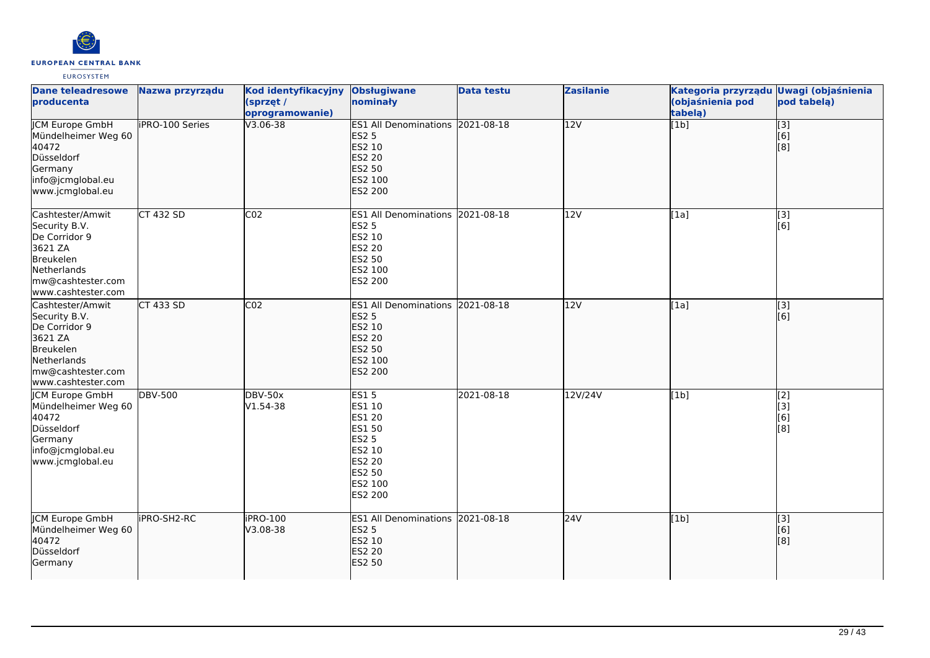

| <b>Dane teleadresowe</b><br>producenta                                                                                               | Nazwa przyrządu        | Kod identyfikacyjny<br>(sprzęt /<br>oprogramowanie) | <b>Obsługiwane</b><br>nominały                                                                                     | <b>Data testu</b> | <b>Zasilanie</b> | Kategoria przyrządu<br>(objaśnienia pod<br>tabelą) | <b>Uwagi (objaśnienia</b><br>pod tabelą)               |
|--------------------------------------------------------------------------------------------------------------------------------------|------------------------|-----------------------------------------------------|--------------------------------------------------------------------------------------------------------------------|-------------------|------------------|----------------------------------------------------|--------------------------------------------------------|
| <b>JCM Europe GmbH</b><br>Mündelheimer Weg 60<br>40472<br>Düsseldorf<br>Germany<br>info@jcmglobal.eu<br>www.jcmglobal.eu             | <b>iPRO-100 Series</b> | V3.06-38                                            | <b>ES1 All Denominations</b><br><b>ES2 5</b><br>ES2 10<br><b>ES2 20</b><br>ES2 50<br>ES2 100<br>ES2 200            | 2021-08-18        | $\overline{12V}$ | [1b]                                               | $\overline{[}3]$<br>[6]<br>[8]                         |
| Cashtester/Amwit<br>Security B.V.<br>De Corridor 9<br>3621 ZA<br>Breukelen<br>Netherlands<br>mw@cashtester.com<br>www.cashtester.com | <b>CT 432 SD</b>       | CO <sub>2</sub>                                     | ES1 All Denominations 2021-08-18<br><b>ES2 5</b><br>ES2 10<br><b>ES2 20</b><br>ES2 50<br>ES2 100<br>ES2 200        |                   | 12V              | [1a]                                               | [3]<br>[6]                                             |
| Cashtester/Amwit<br>Security B.V.<br>De Corridor 9<br>3621 ZA<br>Breukelen<br>Netherlands<br>mw@cashtester.com<br>www.cashtester.com | $CT$ 433 SD            | CO <sub>2</sub>                                     | ES1 All Denominations 2021-08-18<br><b>ES2 5</b><br>ES2 10<br><b>ES2 20</b><br>ES2 50<br>ES2 100<br><b>ES2 200</b> |                   | 12V              | [1a]                                               | $\begin{bmatrix} 3 \\ 6 \end{bmatrix}$                 |
| <b>CM Europe GmbH</b><br>Mündelheimer Weg 60<br>40472<br>Düsseldorf<br>Germany<br>info@jcmglobal.eu<br>www.jcmglobal.eu              | <b>DBV-500</b>         | <b>DBV-50x</b><br>V1.54-38                          | <b>ES15</b><br>ES1 10<br>ES1 20<br>ES1 50<br><b>ES2 5</b><br>ES2 10<br>ES2 20<br>ES2 50<br>ES2 100<br>ES2 200      | 2021-08-18        | 12V/24V          | [1b]                                               | [2]<br>[3]<br>[6]<br>[8]                               |
| <b>ICM Europe GmbH</b><br>Mündelheimer Weg 60<br>40472<br>Düsseldorf<br>Germany                                                      | <b>IPRO-SH2-RC</b>     | iPRO-100<br>V3.08-38                                | ES1 All Denominations 2021-08-18<br><b>ES2 5</b><br>ES2 10<br>ES2 20<br><b>ES2 50</b>                              |                   | 24V              | [1b]                                               | $\overline{[3]}$<br>$\overline{[}6\overline{)}$<br>[8] |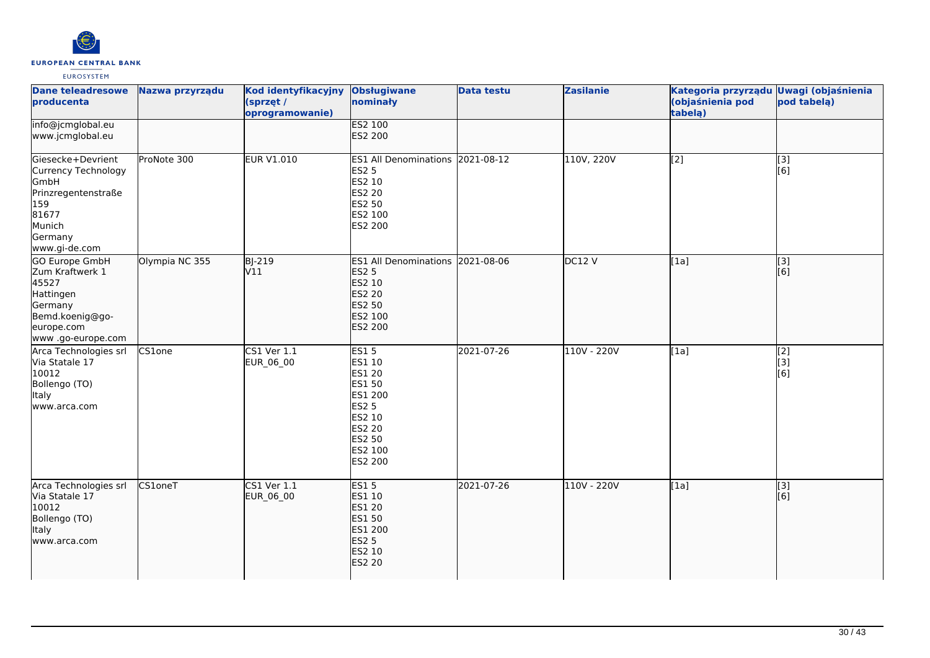

| <b>Dane teleadresowe</b><br>producenta                                                                                        | Nazwa przyrządu | Kod identyfikacyjny<br>(sprzęt /<br>oprogramowanie) | <b>Obsługiwane</b><br>nominały                                                                                                  | <b>Data testu</b> | <b>Zasilanie</b> | Kategoria przyrządu Uwagi (objaśnienia<br>(objaśnienia pod<br>tabela) | pod tabelą)               |
|-------------------------------------------------------------------------------------------------------------------------------|-----------------|-----------------------------------------------------|---------------------------------------------------------------------------------------------------------------------------------|-------------------|------------------|-----------------------------------------------------------------------|---------------------------|
| info@jcmglobal.eu<br>www.jcmglobal.eu                                                                                         |                 |                                                     | <b>ES2 100</b><br>ES2 200                                                                                                       |                   |                  |                                                                       |                           |
| Giesecke+Devrient<br>Currency Technology<br>GmbH<br>Prinzregentenstraße<br>159<br>81677<br>Munich<br>Germany<br>www.gi-de.com | ProNote 300     | <b>EUR V1.010</b>                                   | ES1 All Denominations 2021-08-12<br><b>ES2 5</b><br>ES2 10<br><b>ES2 20</b><br>ES2 50<br>ES2 100<br>ES2 200                     |                   | 110V, 220V       | $\overline{[2]}$                                                      | $\overline{[3]}$<br>[6]   |
| GO Europe GmbH<br>Zum Kraftwerk 1<br>45527<br>Hattingen<br>Germany<br>Bemd.koenig@go-<br>europe.com<br>www .go-europe.com     | Olympia NC 355  | <b>BJ-219</b><br>V11                                | ES1 All Denominations 2021-08-06<br><b>ES2 5</b><br>ES2 10<br><b>ES2 20</b><br>ES2 50<br>ES2 100<br>ES2 200                     |                   | DC12 V           | [1a]                                                                  | [3]<br>[6]                |
| Arca Technologies srl<br>Via Statale 17<br>10012<br>Bollengo (TO)<br><b>Italy</b><br>www.arca.com                             | CS1one          | <b>CS1 Ver 1.1</b><br>EUR_06_00                     | <b>ES15</b><br>ES1 10<br>ES1 20<br>ES1 50<br>ES1 200<br><b>ES2 5</b><br>ES2 10<br><b>ES2 20</b><br>ES2 50<br>ES2 100<br>ES2 200 | 2021-07-26        | 110V - 220V      | [1a]                                                                  | [2]<br>[3]<br>[6]         |
| Arca Technologies srl<br>Via Statale 17<br>10012<br>Bollengo (TO)<br><b>Italy</b><br>www.arca.com                             | CS1oneT         | CS1 Ver 1.1<br>EUR_06_00                            | <b>ES15</b><br>ES1 10<br><b>ES1 20</b><br>ES1 50<br><b>ES1 200</b><br><b>ES2 5</b><br>ES2 10<br><b>ES2 20</b>                   | 2021-07-26        | 110V - 220V      | [1a]                                                                  | $\overline{[}$ [3]<br>[6] |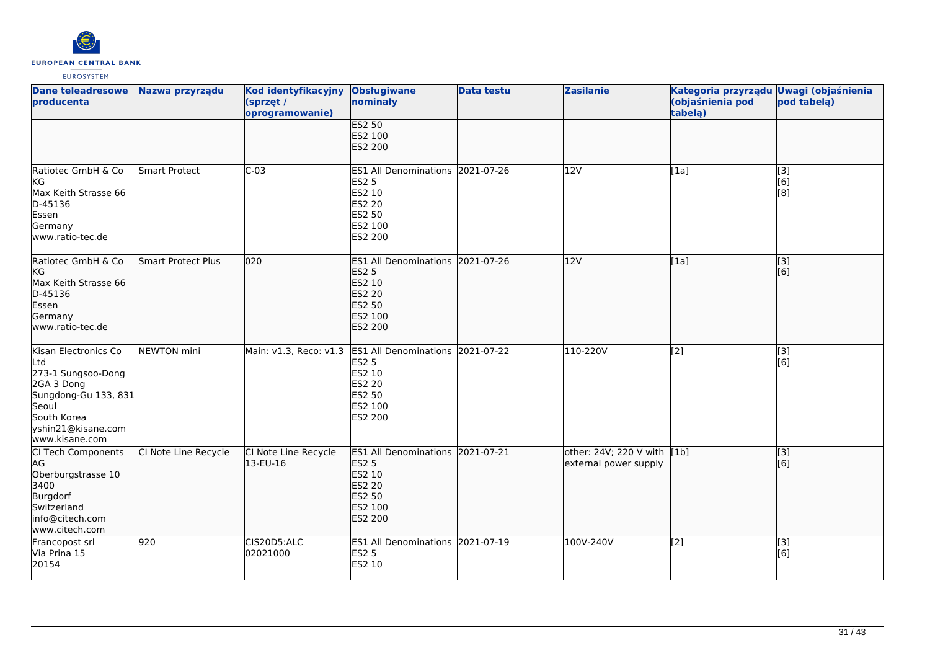

| <b>Dane teleadresowe</b><br>producenta                                                                                                                  | Nazwa przyrządu      | Kod identyfikacyjny<br>(sprzęt /<br>oprogramowanie) | <b>Obsługiwane</b><br>nominały                                                                                                            | <b>Data testu</b> | <b>Zasilanie</b>                                     | Kategoria przyrządu Uwagi (objaśnienia<br>(objaśnienia pod<br>tabelą) | pod tabelą)             |
|---------------------------------------------------------------------------------------------------------------------------------------------------------|----------------------|-----------------------------------------------------|-------------------------------------------------------------------------------------------------------------------------------------------|-------------------|------------------------------------------------------|-----------------------------------------------------------------------|-------------------------|
|                                                                                                                                                         |                      |                                                     | <b>ES2 50</b><br>ES2 100<br>ES2 200                                                                                                       |                   |                                                      |                                                                       |                         |
| Ratiotec GmbH & Co<br>KG<br>Max Keith Strasse 66<br>D-45136<br>Essen<br>Germany<br>www.ratio-tec.de                                                     | Smart Protect        | $C-03$                                              | ES1 All Denominations 2021-07-26<br><b>ES2 5</b><br>ES2 10<br><b>ES2 20</b><br>ES2 50<br>ES2 100<br>ES2 200                               |                   | 12V                                                  | [1a]                                                                  | [3]<br>[6]<br>[8]       |
| Ratiotec GmbH & Co<br><b>KG</b><br>Max Keith Strasse 66<br>D-45136<br>Essen<br>Germany<br>www.ratio-tec.de                                              | Smart Protect Plus   | 020                                                 | ES1 All Denominations 2021-07-26<br><b>ES2 5</b><br>ES2 10<br>ES2 20<br><b>ES2 50</b><br>ES2 100<br><b>ES2 200</b>                        |                   | 12V                                                  | [1a]                                                                  | $\overline{[}3]$<br>[6] |
| Kisan Electronics Co<br>Ltd<br>273-1 Sungsoo-Dong<br>2GA 3 Dong<br>Sungdong-Gu 133, 831<br>Seoul<br>South Korea<br>yshin21@kisane.com<br>www.kisane.com | NEWTON mini          |                                                     | Main: v1.3, Reco: v1.3 ES1 All Denominations 2021-07-22<br><b>ES2 5</b><br>ES2 10<br>ES2 20<br><b>ES2 50</b><br>ES2 100<br><b>ES2 200</b> |                   | 110-220V                                             | [2]                                                                   | [3]<br>[6]              |
| CI Tech Components<br>AG<br>Oberburgstrasse 10<br>3400<br>Burgdorf<br>Switzerland<br>info@citech.com<br>www.citech.com                                  | CI Note Line Recycle | CI Note Line Recycle<br>13-EU-16                    | <b>ES1 All Denominations</b><br><b>ES2 5</b><br>ES2 10<br><b>ES2 20</b><br><b>ES2 50</b><br>ES2 100<br>ES2 200                            | 2021-07-21        | other: 24V; 220 V with [1b]<br>external power supply |                                                                       | [3]<br>[6]              |
| Francopost srl<br>Via Prina 15<br>20154                                                                                                                 | 920                  | CIS20D5:ALC<br>02021000                             | ES1 All Denominations 2021-07-19<br><b>ES2 5</b><br>ES2 10                                                                                |                   | 100V-240V                                            | [2]                                                                   | [3]<br>[6]              |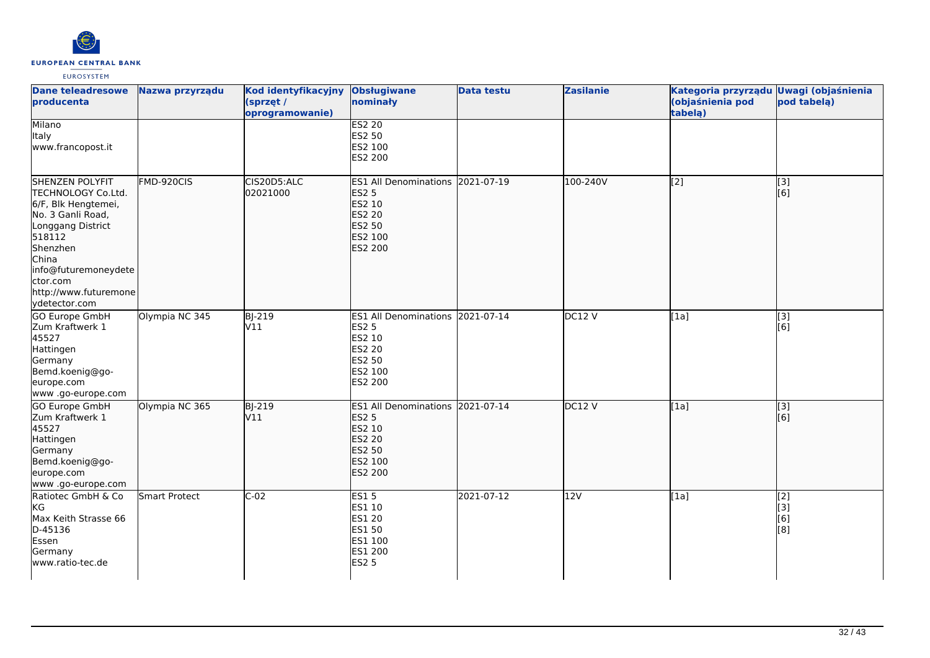

| <b>Dane teleadresowe</b><br>producenta                                                                                                                                                                              | Nazwa przyrządu | Kod identyfikacyjny<br>(sprzęt /<br>oprogramowanie) | <b>Obsługiwane</b><br>nominały                                                                              | <b>Data testu</b> | <b>Zasilanie</b> | Kategoria przyrządu Uwagi (objaśnienia<br>(objaśnienia pod<br>tabelą) | pod tabelą)              |
|---------------------------------------------------------------------------------------------------------------------------------------------------------------------------------------------------------------------|-----------------|-----------------------------------------------------|-------------------------------------------------------------------------------------------------------------|-------------------|------------------|-----------------------------------------------------------------------|--------------------------|
| <b>Milano</b><br><b>Italy</b><br>www.francopost.it                                                                                                                                                                  |                 |                                                     | <b>ES2 20</b><br>ES2 50<br>ES2 100<br>ES2 200                                                               |                   |                  |                                                                       |                          |
| SHENZEN POLYFIT<br>TECHNOLOGY Co.Ltd.<br>6/F, Blk Hengtemei,<br>No. 3 Ganli Road,<br>Longgang District<br>518112<br>Shenzhen<br>China<br>info@futuremoneydete<br>ctor.com<br>http://www.futuremone<br>ydetector.com | FMD-920CIS      | CIS20D5:ALC<br>02021000                             | <b>ES1 All Denominations</b><br><b>ES2 5</b><br>ES2 10<br>ES2 20<br>ES2 50<br>ES2 100<br><b>ES2 200</b>     | 2021-07-19        | 100-240V         | [2]                                                                   | [3]<br>[6]               |
| <b>GO Europe GmbH</b><br>Zum Kraftwerk 1<br>45527<br>Hattingen<br>Germany<br>Bemd.koenig@go-<br>europe.com<br>www .go-europe.com                                                                                    | Olympia NC 345  | <b>BJ-219</b><br>V11                                | ES1 All Denominations 2021-07-14<br><b>ES2 5</b><br>ES2 10<br><b>ES2 20</b><br>ES2 50<br>ES2 100<br>ES2 200 |                   | DC12V            | [1a]                                                                  | $\overline{[3]}$<br>[6]  |
| <b>GO Europe GmbH</b><br>Zum Kraftwerk 1<br>45527<br>Hattingen<br>Germany<br>Bemd.koenig@go-<br>europe.com<br>www.go-europe.com                                                                                     | Olympia NC 365  | $B$ -219<br>V11                                     | <b>ES1 All Denominations</b><br><b>ES2 5</b><br>ES2 10<br>ES2 20<br>ES2 50<br>ES2 100<br>ES2 200            | 2021-07-14        | DC12V            | [1a]                                                                  | $\overline{[}3]$<br>[6]  |
| Ratiotec GmbH & Co<br>kG<br>Max Keith Strasse 66<br>D-45136<br>Essen<br>Germany<br>www.ratio-tec.de                                                                                                                 | Smart Protect   | $C-02$                                              | <b>ES15</b><br>ES1 10<br>ES1 20<br>ES1 50<br>ES1 100<br>ES1 200<br><b>ES2 5</b>                             | 2021-07-12        | 12V              | [1a]                                                                  | [2]<br>[3]<br>[6]<br>[8] |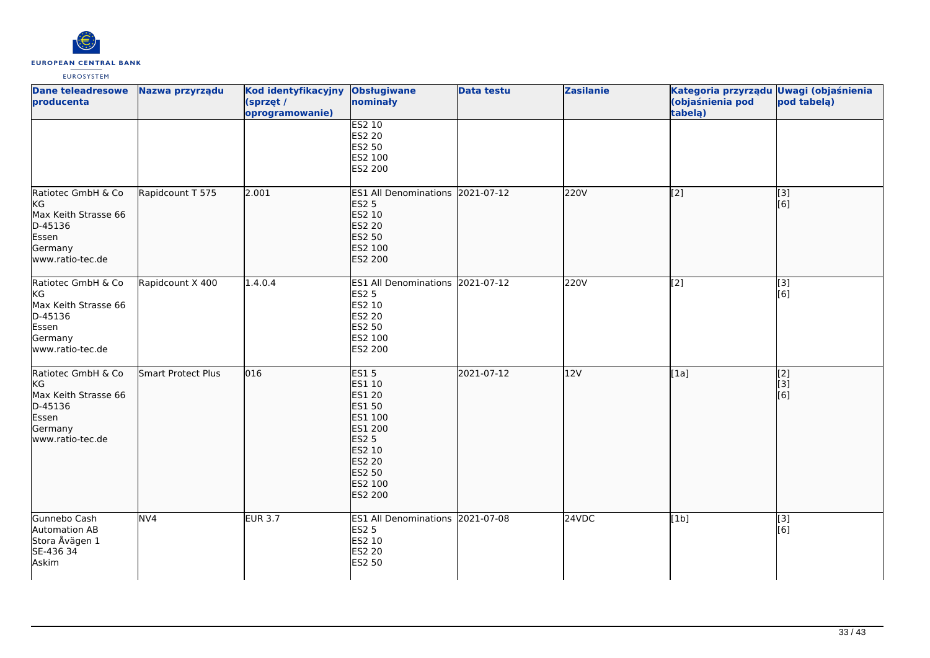

| <b>Dane teleadresowe</b><br>producenta                                                               | Nazwa przyrządu    | Kod identyfikacyjny<br>(sprzęt /<br>oprogramowanie) | <b>Obsługiwane</b><br>nominały                                                                                                                    | <b>Data testu</b> | <b>Zasilanie</b> | Kategoria przyrządu Uwagi (objaśnienia<br>(objaśnienia pod<br>tabelą) | pod tabelą)             |
|------------------------------------------------------------------------------------------------------|--------------------|-----------------------------------------------------|---------------------------------------------------------------------------------------------------------------------------------------------------|-------------------|------------------|-----------------------------------------------------------------------|-------------------------|
|                                                                                                      |                    |                                                     | <b>ES2 10</b><br>ES2 20<br>ES2 50<br>ES2 100<br>ES2 200                                                                                           |                   |                  |                                                                       |                         |
| Ratiotec GmbH & Co<br>KG<br>Max Keith Strasse 66<br>D-45136<br>Essen<br>Germany<br>www.ratio-tec.de  | Rapidcount T 575   | 2.001                                               | ES1 All Denominations 2021-07-12<br><b>ES2 5</b><br>ES2 10<br><b>ES2 20</b><br>ES2 50<br>ES2 100<br>ES2 200                                       |                   | 220V             | $\overline{[2]}$                                                      | [3]<br>[6]              |
| Ratiotec GmbH & Co<br>KG<br>Max Keith Strasse 66<br>D-45136<br>Essen<br>Germany<br>www.ratio-tec.de  | Rapidcount X 400   | 1.4.0.4                                             | ES1 All Denominations 2021-07-12<br><b>ES2 5</b><br>ES2 10<br>ES2 20<br>ES2 50<br>ES2 100<br>ES2 200                                              |                   | 220V             | [2]                                                                   | [3]<br>[6]              |
| Ratiotec GmbH & Co<br> KG<br>Max Keith Strasse 66<br>D-45136<br>Essen<br>Germany<br>www.ratio-tec.de | Smart Protect Plus | 016                                                 | <b>ES15</b><br>ES1 10<br>ES1 20<br>ES1 50<br>ES1 100<br>ES1 200<br><b>ES2 5</b><br>ES2 10<br><b>ES2 20</b><br>ES2 50<br>ES2 100<br><b>ES2 200</b> | 2021-07-12        | 12V              | $\overline{[1a]}$                                                     | [2]<br>[[3]<br>[6]      |
| Gunnebo Cash<br>Automation AB<br>Stora Åvägen 1<br>SE-436 34<br>Askim                                | NV <sub>4</sub>    | <b>EUR 3.7</b>                                      | ES1 All Denominations 2021-07-08<br><b>ES2 5</b><br>ES2 10<br>ES2 20<br><b>ES2 50</b>                                                             |                   | 24VDC            | [1b]                                                                  | $\overline{[3]}$<br>[6] |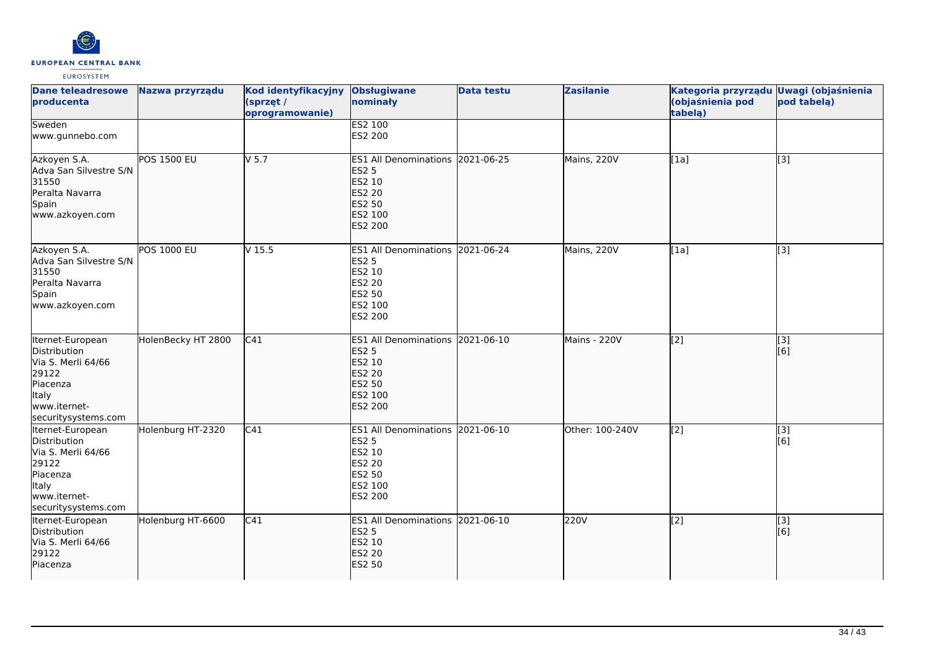

| <b>Dane teleadresowe</b><br>producenta                                                                                             | Nazwa przyrządu    | <b>Kod identyfikacyjny</b><br>(sprzęt /<br>oprogramowanie) | <b>Obsługiwane</b><br>nominały                                                                              | <b>Data testu</b> | <b>Zasilanie</b> | Kategoria przyrządu Uwagi (objaśnienia<br>(objaśnienia pod<br>tabela) | pod tabela)      |
|------------------------------------------------------------------------------------------------------------------------------------|--------------------|------------------------------------------------------------|-------------------------------------------------------------------------------------------------------------|-------------------|------------------|-----------------------------------------------------------------------|------------------|
| Sweden<br>www.gunnebo.com                                                                                                          |                    |                                                            | <b>ES2 100</b><br>ES2 200                                                                                   |                   |                  |                                                                       |                  |
| Azkoyen S.A.<br>Adva San Silvestre S/N<br>31550<br>Peralta Navarra<br>Spain<br>www.azkoyen.com                                     | <b>POS 1500 EU</b> | $V$ 5.7                                                    | ES1 All Denominations 2021-06-25<br><b>ES2 5</b><br>ES2 10<br><b>ES2 20</b><br>ES2 50<br>ES2 100<br>ES2 200 |                   | Mains, 220V      | [1a]                                                                  | $\overline{[}3]$ |
| Azkoyen S.A.<br>Adva San Silvestre S/N<br>31550<br>Peralta Navarra<br>Spain<br>www.azkoyen.com                                     | <b>POS 1000 EU</b> | V <sub>15.5</sub>                                          | ES1 All Denominations 2021-06-24<br><b>ES2 5</b><br>ES2 10<br>ES2 20<br>ES2 50<br>ES2 100<br>ES2 200        |                   | Mains, 220V      | [1a]                                                                  | $\overline{[3]}$ |
| Iternet-European<br>Distribution<br>Via S. Merli 64/66<br>29122<br>Piacenza<br>Italy<br>www.iternet-<br>securitysystems.com        | HolenBecky HT 2800 | C <sub>41</sub>                                            | ES1 All Denominations 2021-06-10<br><b>ES2 5</b><br>ES2 10<br><b>ES2 20</b><br>ES2 50<br>ES2 100<br>ES2 200 |                   | Mains - 220V     | $\overline{[2]}$                                                      | [3]<br>[6]       |
| Iternet-European<br>Distribution<br>Via S. Merli 64/66<br>29122<br>Piacenza<br><b>Italy</b><br>www.iternet-<br>securitysystems.com | Holenburg HT-2320  | C41                                                        | ES1 All Denominations 2021-06-10<br><b>ES2 5</b><br>ES2 10<br>ES2 20<br>ES2 50<br>ES2 100<br>ES2 200        |                   | Other: 100-240V  | $\left[2\right]$                                                      | [3]<br>[6]       |
| Iternet-European<br>Distribution<br>Via S. Merli 64/66<br>29122<br>Piacenza                                                        | Holenburg HT-6600  | C41                                                        | ES1 All Denominations 2021-06-10<br><b>ES2 5</b><br>ES2 10<br><b>ES2 20</b><br>ES2 50                       |                   | 220V             | $\overline{[2]}$                                                      | [3]<br>[6]       |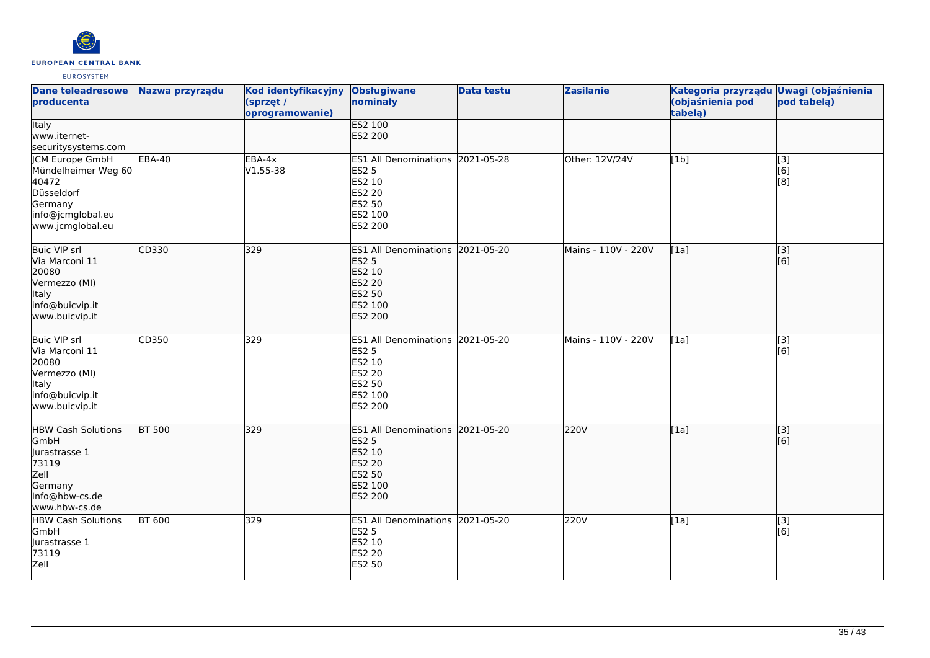

| <b>Dane teleadresowe</b><br>producenta                                                                                   | Nazwa przyrządu | Kod identyfikacyjny<br>(sprzęt /<br>oprogramowanie) | <b>Obsługiwane</b><br>nominały                                                                                     | Data testu | <b>Zasilanie</b>    | Kategoria przyrządu Uwagi (objaśnienia<br>(objaśnienia pod<br>tabelą) | pod tabelą)                            |
|--------------------------------------------------------------------------------------------------------------------------|-----------------|-----------------------------------------------------|--------------------------------------------------------------------------------------------------------------------|------------|---------------------|-----------------------------------------------------------------------|----------------------------------------|
| <b>Italy</b><br>www.iternet-<br>securitysystems.com                                                                      |                 |                                                     | <b>ES2 100</b><br>ES2 200                                                                                          |            |                     |                                                                       |                                        |
| <b>JCM Europe GmbH</b><br>Mündelheimer Weg 60<br>40472<br>Düsseldorf<br>Germany<br>info@jcmglobal.eu<br>www.jcmglobal.eu | <b>EBA-40</b>   | $EBA-4x$<br>$V1.55 - 38$                            | ES1 All Denominations 2021-05-28<br><b>ES2 5</b><br>ES2 10<br>ES2 20<br>ES2 50<br>ES2 100<br>ES2 200               |            | Other: 12V/24V      | [1b]                                                                  | $[3]$<br>[6]<br>[8]                    |
| <b>Buic VIP srl</b><br>Via Marconi 11<br>20080<br>Vermezzo (MI)<br>Italy<br>info@buicvip.it<br>www.buicvip.it            | CD330           | 329                                                 | ES1 All Denominations 2021-05-20<br><b>ES2 5</b><br>ES2 10<br>ES2 20<br>ES2 50<br>ES2 100<br><b>ES2 200</b>        |            | Mains - 110V - 220V | [[1a]                                                                 | $\overline{[}$ [3]<br>[6]              |
| <b>Buic VIP srl</b><br>Via Marconi 11<br>20080<br>Vermezzo (MI)<br>Italy<br>info@buicvip.it<br>www.buicvip.it            | CD350           | 329                                                 | ES1 All Denominations 2021-05-20<br><b>ES2 5</b><br>ES2 10<br>ES2 20<br>ES2 50<br>ES2 100<br>ES2 200               |            | Mains - 110V - 220V | [1a]                                                                  | [3]<br>[6]                             |
| <b>HBW Cash Solutions</b><br>GmbH<br>Jurastrasse 1<br>73119<br>Zell<br>Germany<br>Info@hbw-cs.de<br>www.hbw-cs.de        | <b>BT 500</b>   | 329                                                 | ES1 All Denominations 2021-05-20<br><b>ES2 5</b><br>ES2 10<br><b>ES2 20</b><br>ES2 50<br>ES2 100<br><b>ES2 200</b> |            | 220V                | [1a]                                                                  | $\begin{bmatrix} 3 \\ 6 \end{bmatrix}$ |
| <b>HBW Cash Solutions</b><br>GmbH<br>Jurastrasse 1<br>73119<br>Zell                                                      | <b>BT 600</b>   | 329                                                 | ES1 All Denominations 2021-05-20<br><b>ES2 5</b><br>ES2 10<br>ES2 20<br><b>ES2 50</b>                              |            | 220V                | [1a]                                                                  | [3]<br>[6]                             |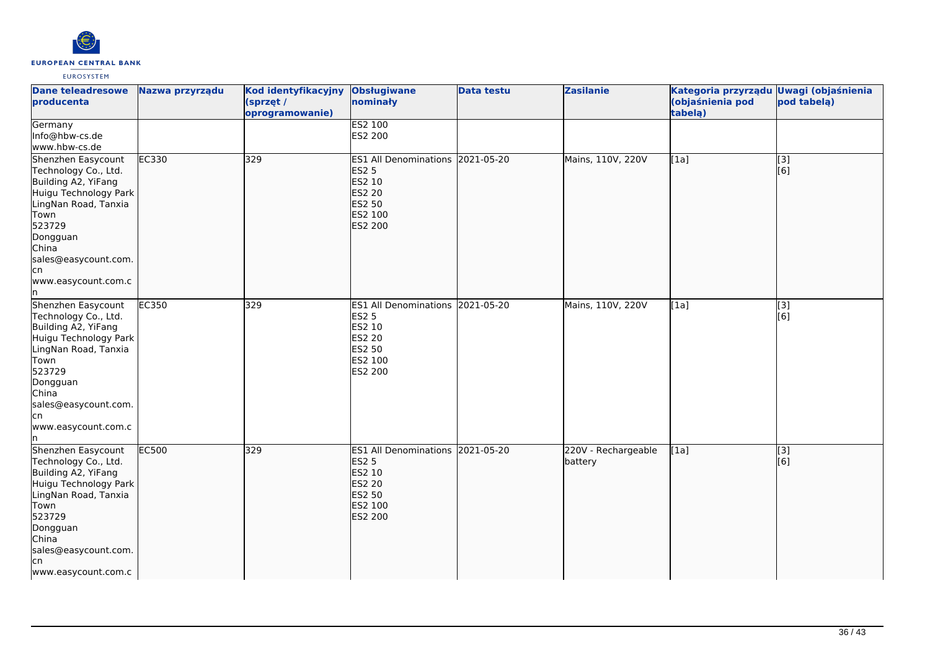

| <b>Dane teleadresowe</b><br>producenta                                                                                                                                                                                 | Nazwa przyrządu | Kod identyfikacyjny<br>(sprzęt /<br>oprogramowanie) | <b>Obsługiwane</b><br>nominały                                                                                     | <b>Data testu</b> | <b>Zasilanie</b>               | Kategoria przyrządu Uwagi (objaśnienia<br>(objaśnienia pod<br>tabelą) | pod tabelą)             |
|------------------------------------------------------------------------------------------------------------------------------------------------------------------------------------------------------------------------|-----------------|-----------------------------------------------------|--------------------------------------------------------------------------------------------------------------------|-------------------|--------------------------------|-----------------------------------------------------------------------|-------------------------|
| Germany<br>Info@hbw-cs.de<br>www.hbw-cs.de                                                                                                                                                                             |                 |                                                     | <b>ES2 100</b><br>ES2 200                                                                                          |                   |                                |                                                                       |                         |
| Shenzhen Easycount<br>Technology Co., Ltd.<br>Building A2, YiFang<br>Huigu Technology Park<br>LingNan Road, Tanxia<br>Town<br>523729<br>Dongguan<br>China<br>sales@easycount.com.<br>lcn<br>www.easycount.com.c<br>ln. | <b>EC330</b>    | 329                                                 | ES1 All Denominations 2021-05-20<br><b>ES2 5</b><br>ES2 10<br><b>ES2 20</b><br>ES2 50<br>ES2 100<br><b>ES2 200</b> |                   | Mains, 110V, 220V              | [1a]                                                                  | $\overline{[}3]$<br>[6] |
| Shenzhen Easycount<br>Technology Co., Ltd.<br>Building A2, YiFang<br>Huigu Technology Park<br>LingNan Road, Tanxia<br>Town<br>523729<br>Dongguan<br>China<br>sales@easycount.com.<br>lcn<br>www.easycount.com.c<br>In  | EC350           | 329                                                 | ES1 All Denominations 2021-05-20<br><b>ES2 5</b><br>ES2 10<br>ES2 20<br><b>ES2 50</b><br>ES2 100<br>ES2 200        |                   | Mains, 110V, 220V              | [1a]                                                                  | $\overline{[3]}$<br>[6] |
| Shenzhen Easycount<br>Technology Co., Ltd.<br>Building A2, YiFang<br>Huigu Technology Park<br>LingNan Road, Tanxia<br>Town<br>523729<br>Dongguan<br>China<br>sales@easycount.com.<br>lcn<br>www.easycount.com.c        | <b>EC500</b>    | 329                                                 | ES1 All Denominations 2021-05-20<br><b>ES2 5</b><br>ES2 10<br><b>ES2 20</b><br>ES2 50<br>ES2 100<br><b>ES2 200</b> |                   | 220V - Rechargeable<br>battery | [1a]                                                                  | [3]<br>[6]              |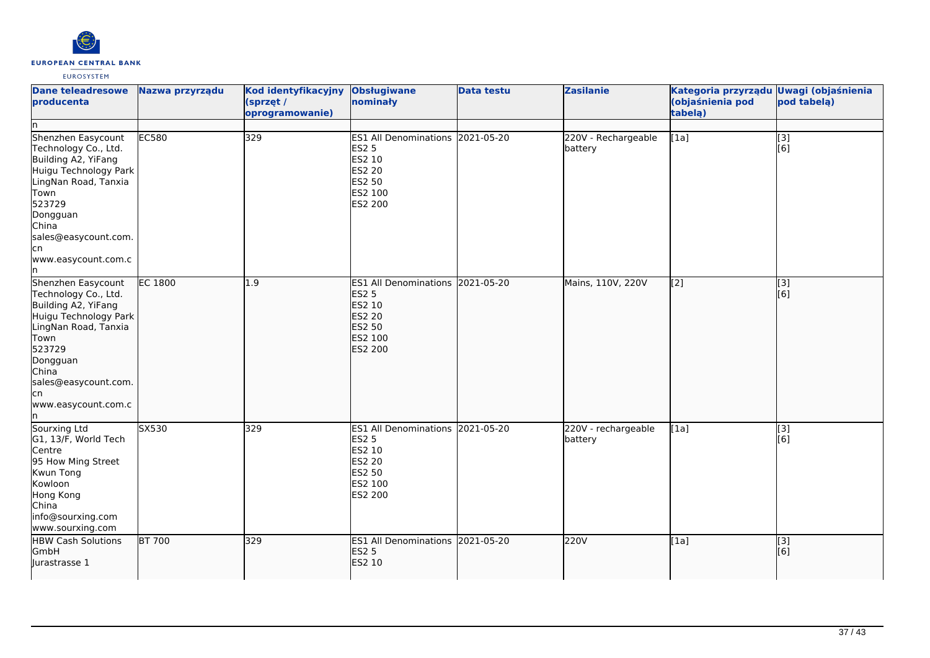

| <b>Dane teleadresowe</b><br>producenta<br>In                                                                                                                                                                          | Nazwa przyrządu | Kod identyfikacyjny<br>(sprzęt /<br>oprogramowanie) | <b>Obsługiwane</b><br>nominały                                                                                     | <b>Data testu</b> | <b>Zasilanie</b>               | Kategoria przyrządu Uwagi (objaśnienia<br>(objaśnienia pod<br>tabela) | pod tabela)             |
|-----------------------------------------------------------------------------------------------------------------------------------------------------------------------------------------------------------------------|-----------------|-----------------------------------------------------|--------------------------------------------------------------------------------------------------------------------|-------------------|--------------------------------|-----------------------------------------------------------------------|-------------------------|
| Shenzhen Easycount<br>Technology Co., Ltd.<br>Building A2, YiFang<br>Huigu Technology Park<br>LingNan Road, Tanxia<br>Town<br>523729<br>Dongguan<br>China<br>sales@easycount.com.<br>cn<br>www.easycount.com.c<br>ln. | EC580           | 329                                                 | ES1 All Denominations 2021-05-20<br><b>ES2 5</b><br>ES2 10<br><b>ES2 20</b><br>ES2 50<br>ES2 100<br>ES2 200        |                   | 220V - Rechargeable<br>battery | $\overline{[1a]}$                                                     | $\overline{[}3]$<br>[6] |
| Shenzhen Easycount<br>Technology Co., Ltd.<br>Building A2, YiFang<br>Huigu Technology Park<br>LingNan Road, Tanxia<br>Town<br>523729<br>Dongguan<br>China<br>sales@easycount.com.<br>cn<br>www.easycount.com.c<br>ln. | <b>EC 1800</b>  | 1.9                                                 | <b>ES1 All Denominations</b><br><b>ES2 5</b><br>ES2 10<br><b>ES2 20</b><br>ES2 50<br>ES2 100<br>ES2 200            | 2021-05-20        | Mains, 110V, 220V              | [2]                                                                   | $\overline{[}3]$<br>[6] |
| Sourxing Ltd<br>G1, 13/F, World Tech<br>Centre<br>95 How Ming Street<br>Kwun Tong<br>Kowloon<br>Hong Kong<br>China<br>info@sourxing.com<br>www.sourxing.com                                                           | SX530           | 329                                                 | ES1 All Denominations 2021-05-20<br><b>ES2 5</b><br>ES2 10<br><b>ES2 20</b><br><b>ES2 50</b><br>ES2 100<br>ES2 200 |                   | 220V - rechargeable<br>battery | [1a]                                                                  | [3]<br>[6]              |
| <b>HBW Cash Solutions</b><br><b>GmbH</b><br>lurastrasse 1                                                                                                                                                             | <b>BT 700</b>   | 329                                                 | ES1 All Denominations 2021-05-20<br><b>ES2 5</b><br>ES2 10                                                         |                   | 220V                           | [1a]                                                                  | [3]<br>[6]              |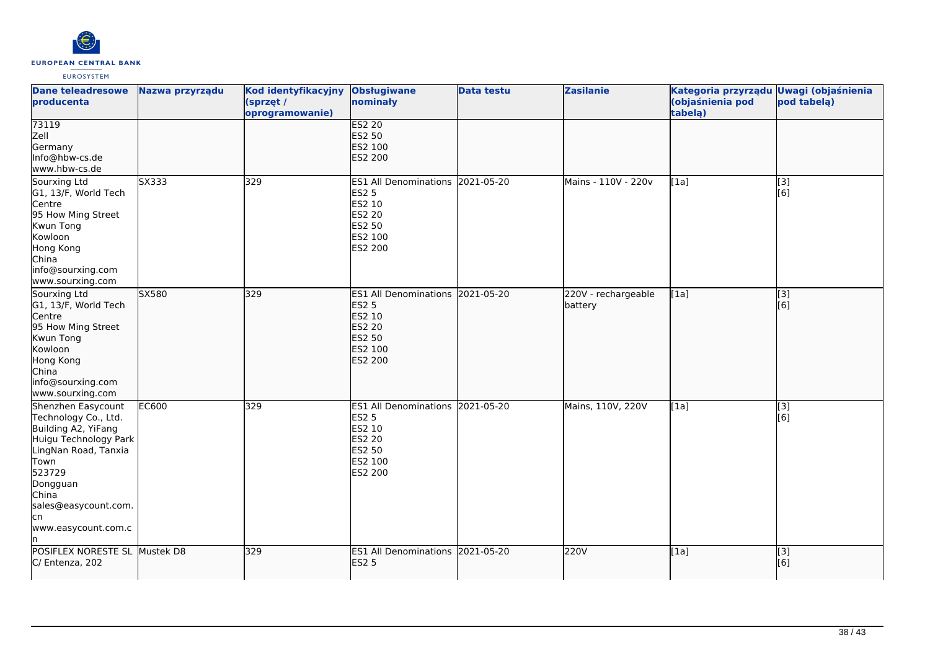

| <b>Dane teleadresowe</b><br>producenta                                                                                                                                                                                 | Nazwa przyrządu | Kod identyfikacyjny<br>(sprzęt /<br>oprogramowanie) | <b>Obsługiwane</b><br>nominały                                                                                     | <b>Data testu</b> | <b>Zasilanie</b>               | Kategoria przyrządu Uwagi (objaśnienia<br>(objaśnienia pod<br>tabela) | pod tabelą)  |
|------------------------------------------------------------------------------------------------------------------------------------------------------------------------------------------------------------------------|-----------------|-----------------------------------------------------|--------------------------------------------------------------------------------------------------------------------|-------------------|--------------------------------|-----------------------------------------------------------------------|--------------|
| 73119<br>Zell<br>Germany<br>Info@hbw-cs.de<br>www.hbw-cs.de                                                                                                                                                            |                 |                                                     | <b>ES2 20</b><br>ES2 50<br>ES2 100<br>ES2 200                                                                      |                   |                                |                                                                       |              |
| Sourxing Ltd<br>G1, 13/F, World Tech<br>Centre<br>95 How Ming Street<br>Kwun Tong<br>Kowloon<br>Hong Kong<br>China<br>info@sourxing.com<br>www.sourxing.com                                                            | SX333           | 329                                                 | ES1 All Denominations 2021-05-20<br><b>ES2 5</b><br>ES2 10<br><b>ES2 20</b><br>ES2 50<br>ES2 100<br>ES2 200        |                   | Mains - 110V - 220v            | [1a]                                                                  | [3]<br>[6]   |
| Sourxing Ltd<br>G1, 13/F, World Tech<br>Centre<br>95 How Ming Street<br>Kwun Tong<br>Kowloon<br>Hong Kong<br>China<br>info@sourxing.com<br>www.sourxing.com                                                            | SX580           | 329                                                 | ES1 All Denominations 2021-05-20<br><b>ES2 5</b><br>ES2 10<br><b>ES2 20</b><br><b>ES2 50</b><br>ES2 100<br>ES2 200 |                   | 220V - rechargeable<br>battery | [1a]                                                                  | [3]<br>[6]   |
| Shenzhen Easycount<br>Technology Co., Ltd.<br>Building A2, YiFang<br>Huigu Technology Park<br>LingNan Road, Tanxia<br>Town<br>523729<br>Dongguan<br>China<br>sales@easycount.com.<br>lcn<br>www.easycount.com.c<br>ln. | <b>EC600</b>    | 329                                                 | ES1 All Denominations 2021-05-20<br><b>ES2 5</b><br>ES2 10<br>ES2 20<br>ES2 50<br>ES2 100<br>ES2 200               |                   | Mains, 110V, 220V              | [1a]                                                                  | $[3]$<br>[6] |
| POSIFLEX NORESTE SL Mustek D8<br>C/ Entenza, 202                                                                                                                                                                       |                 | 329                                                 | ES1 All Denominations 2021-05-20<br><b>ES2 5</b>                                                                   |                   | 220V                           | [1a]                                                                  | [3]<br>[6]   |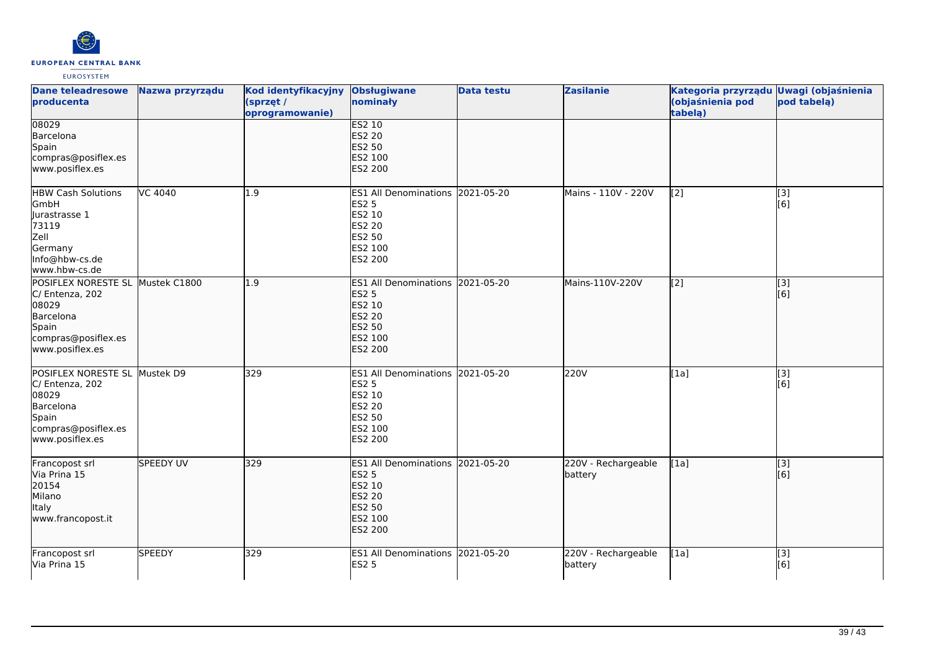

| <b>Dane teleadresowe</b><br>producenta                                                                                       | Nazwa przyrządu | Kod identyfikacyjny<br>(sprzęt /<br>oprogramowanie) | <b>Obsługiwane</b><br>nominały                                                                                     | <b>Data testu</b> | <b>Zasilanie</b>               | Kategoria przyrządu Uwagi (objaśnienia<br>(objaśnienia pod<br>tabelą) | pod tabelą)             |
|------------------------------------------------------------------------------------------------------------------------------|-----------------|-----------------------------------------------------|--------------------------------------------------------------------------------------------------------------------|-------------------|--------------------------------|-----------------------------------------------------------------------|-------------------------|
| 08029<br>Barcelona<br>Spain<br>compras@posiflex.es<br>www.posiflex.es                                                        |                 |                                                     | <b>ES2 10</b><br><b>ES2 20</b><br><b>ES2 50</b><br>ES2 100<br><b>ES2 200</b>                                       |                   |                                |                                                                       |                         |
| <b>HBW Cash Solutions</b><br>GmbH<br>Jurastrasse 1<br>73119<br>Zell<br>Germany<br>Info@hbw-cs.de<br>www.hbw-cs.de            | VC 4040         | 1.9                                                 | ES1 All Denominations 2021-05-20<br><b>ES2 5</b><br>ES2 10<br><b>ES2 20</b><br>ES2 50<br>ES2 100<br>ES2 200        |                   | Mains - 110V - 220V            | [2]                                                                   | [3]<br>[6]              |
| POSIFLEX NORESTE SL Mustek C1800<br>C/ Entenza, 202<br>08029<br>Barcelona<br>Spain<br>compras@posiflex.es<br>www.posiflex.es |                 | 1.9                                                 | ES1 All Denominations 2021-05-20<br><b>ES2 5</b><br>ES2 10<br><b>ES2 20</b><br>ES2 50<br>ES2 100<br><b>ES2 200</b> |                   | Mains-110V-220V                | $\overline{[2]}$                                                      | $\overline{[}3]$<br>[6] |
| POSIFLEX NORESTE SL Mustek D9<br>C/ Entenza, 202<br>08029<br>Barcelona<br>Spain<br>compras@posiflex.es<br>www.posiflex.es    |                 | 329                                                 | ES1 All Denominations 2021-05-20<br><b>ES2 5</b><br>ES2 10<br><b>ES2 20</b><br>ES2 50<br>ES2 100<br>ES2 200        |                   | 220V                           | [1a]                                                                  | $\overline{[3]}$<br>[6] |
| Francopost srl<br>Via Prina 15<br>20154<br>Milano<br>Italy<br>www.francopost.it                                              | SPEEDY UV       | 329                                                 | ES1 All Denominations 2021-05-20<br><b>ES2 5</b><br>ES2 10<br><b>ES2 20</b><br><b>ES2 50</b><br>ES2 100<br>ES2 200 |                   | 220V - Rechargeable<br>battery | [1a]                                                                  | $\overline{[3]}$<br>[6] |
| Francopost srl<br>Via Prina 15                                                                                               | <b>SPEEDY</b>   | 329                                                 | ES1 All Denominations 2021-05-20<br><b>ES2 5</b>                                                                   |                   | 220V - Rechargeable<br>battery | [1a]                                                                  | $\overline{[}3]$<br>[6] |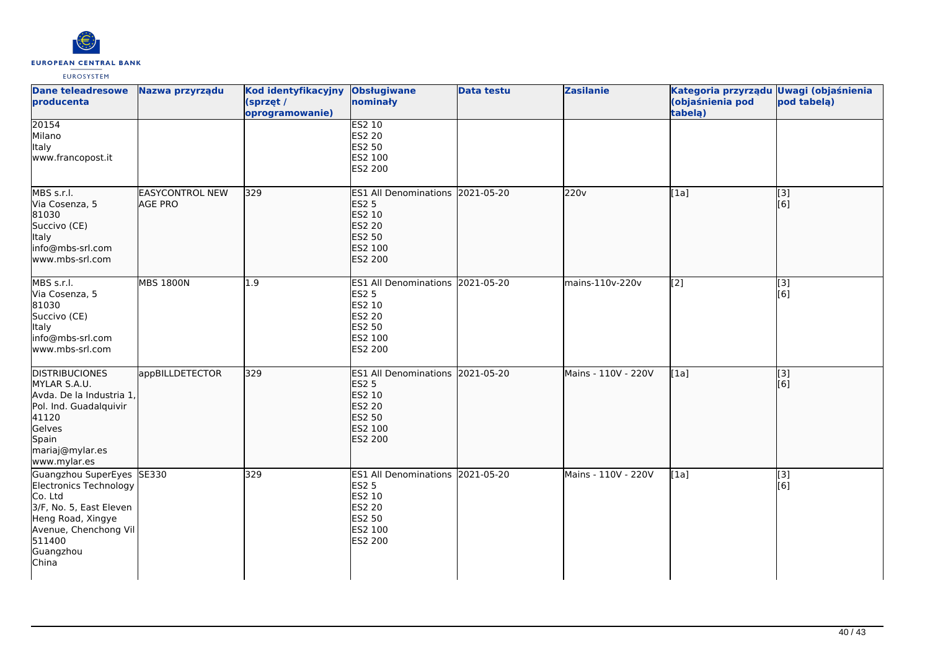

| <b>Dane teleadresowe</b><br>producenta                                                                                                                                  | Nazwa przyrządu                          | Kod identyfikacyjny<br>(sprzęt /<br>oprogramowanie) | <b>Obsługiwane</b><br>nominały                                                                                            | <b>Data testu</b> | <b>Zasilanie</b>    | Kategoria przyrządu Uwagi (objaśnienia<br>(objaśnienia pod<br>tabelą) | pod tabelą)             |
|-------------------------------------------------------------------------------------------------------------------------------------------------------------------------|------------------------------------------|-----------------------------------------------------|---------------------------------------------------------------------------------------------------------------------------|-------------------|---------------------|-----------------------------------------------------------------------|-------------------------|
| 20154<br>Milano<br>Italy<br>www.francopost.it                                                                                                                           |                                          |                                                     | <b>ES2 10</b><br><b>ES2 20</b><br>ES2 50<br>ES2 100<br><b>ES2 200</b>                                                     |                   |                     |                                                                       |                         |
| MBS s.r.l.<br>Via Cosenza, 5<br>81030<br>Succivo (CE)<br>Italy<br>info@mbs-srl.com<br>www.mbs-srl.com                                                                   | <b>EASYCONTROL NEW</b><br><b>AGE PRO</b> | 329                                                 | ES1 All Denominations 2021-05-20<br><b>ES2 5</b><br>ES2 10<br><b>ES2 20</b><br><b>ES2 50</b><br>ES2 100<br><b>ES2 200</b> |                   | 220v                | [1a]                                                                  | [[3]<br>[6]             |
| MBS s.r.l.<br>Via Cosenza, 5<br>81030<br>Succivo (CE)<br>Italy<br>info@mbs-srl.com<br>www.mbs-srl.com                                                                   | <b>MBS 1800N</b>                         | 1.9                                                 | ES1 All Denominations 2021-05-20<br><b>ES2 5</b><br>ES2 10<br><b>ES2 20</b><br><b>ES2 50</b><br>ES2 100<br>ES2 200        |                   | mains-110v-220v     | [2]                                                                   | $\overline{[3]}$<br>[6] |
| <b>DISTRIBUCIONES</b><br>MYLAR S.A.U.<br>Avda. De la Industria 1,<br>Pol. Ind. Guadalquivir<br>41120<br>Gelves<br>Spain<br>mariaj@mylar.es<br>www.mylar.es              | appBILLDETECTOR                          | 329                                                 | ES1 All Denominations 2021-05-20<br><b>ES2 5</b><br>ES2 10<br><b>ES2 20</b><br>ES2 50<br>ES2 100<br><b>ES2 200</b>        |                   | Mains - 110V - 220V | [1a]                                                                  | [3]<br>[6]              |
| Guangzhou SuperEyes SE330<br>Electronics Technology<br>Co. Ltd<br>3/F, No. 5, East Eleven<br>Heng Road, Xingye<br>Avenue, Chenchong Vil<br>511400<br>Guangzhou<br>China |                                          | 329                                                 | ES1 All Denominations 2021-05-20<br><b>ES2 5</b><br>ES2 10<br><b>ES2 20</b><br>ES2 50<br>ES2 100<br>ES2 200               |                   | Mains - 110V - 220V | [1a]                                                                  | $\overline{[}3]$<br>[6] |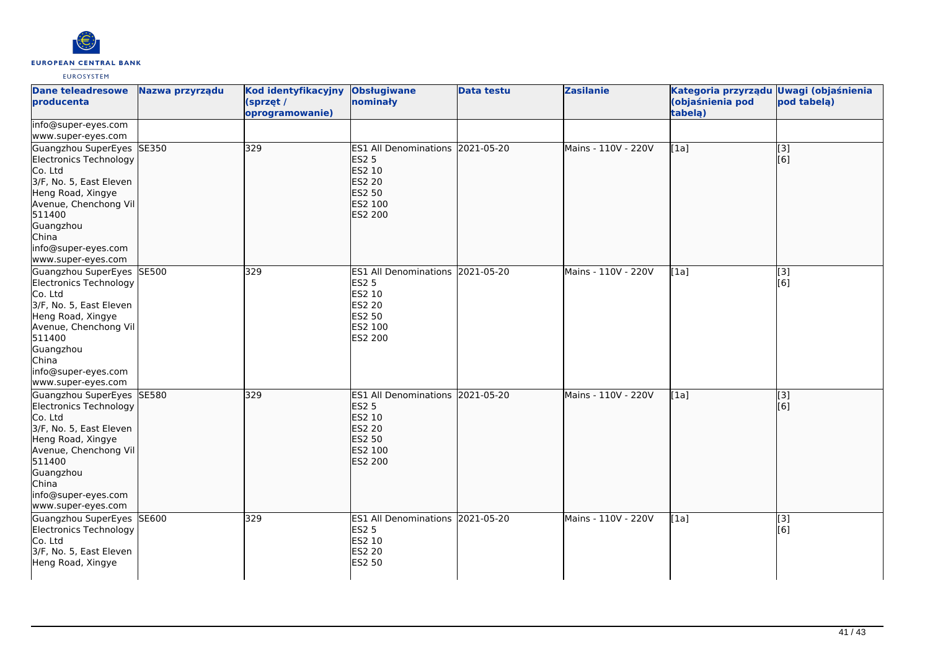

| Dane teleadresowe<br>producenta                                                                                                                                                                                      | Nazwa przyrządu | Kod identyfikacyjny<br>(sprzęt /<br>oprogramowanie) | <b>Obsługiwane</b><br>nominały                                                                              | <b>Data testu</b> | <b>Zasilanie</b>    | Kategoria przyrządu Uwagi (objaśnienia<br>(objaśnienia pod<br>tabelą) | pod tabelą)                                    |
|----------------------------------------------------------------------------------------------------------------------------------------------------------------------------------------------------------------------|-----------------|-----------------------------------------------------|-------------------------------------------------------------------------------------------------------------|-------------------|---------------------|-----------------------------------------------------------------------|------------------------------------------------|
| info@super-eyes.com<br>www.super-eyes.com                                                                                                                                                                            |                 |                                                     |                                                                                                             |                   |                     |                                                                       |                                                |
| Guangzhou SuperEyes SE350<br>Electronics Technology<br>Co. Ltd<br>3/F, No. 5, East Eleven<br>Heng Road, Xingye<br>Avenue, Chenchong Vil<br>511400<br>Guangzhou<br>China<br>info@super-eyes.com<br>www.super-eyes.com |                 | 329                                                 | ES1 All Denominations 2021-05-20<br><b>ES2 5</b><br>ES2 10<br><b>ES2 20</b><br>ES2 50<br>ES2 100<br>ES2 200 |                   | Mains - 110V - 220V | [1a]                                                                  | $\begin{bmatrix} 1 & 3 \\ 6 & 1 \end{bmatrix}$ |
| Guangzhou SuperEyes SE500<br>Electronics Technology<br>Co. Ltd<br>3/F, No. 5, East Eleven<br>Heng Road, Xingye<br>Avenue, Chenchong Vil<br>511400<br>Guangzhou<br>China<br>info@super-eyes.com<br>www.super-eyes.com |                 | 329                                                 | ES1 All Denominations 2021-05-20<br><b>ES2 5</b><br>ES2 10<br><b>ES2 20</b><br>ES2 50<br>ES2 100<br>ES2 200 |                   | Mains - 110V - 220V | [1a]                                                                  | [3]<br>[6]                                     |
| Guangzhou SuperEyes SE580<br>Electronics Technology<br>Co. Ltd<br>3/F, No. 5, East Eleven<br>Heng Road, Xingye<br>Avenue, Chenchong Vil<br>511400<br>Guangzhou<br>China<br>info@super-eyes.com<br>www.super-eyes.com |                 | 329                                                 | ES1 All Denominations 2021-05-20<br><b>ES2 5</b><br>ES2 10<br><b>ES2 20</b><br>ES2 50<br>ES2 100<br>ES2 200 |                   | Mains - 110V - 220V | [1a]                                                                  | $\overline{[3]}$<br>[6]                        |
| Guangzhou SuperEyes SE600<br>Electronics Technology<br>Co. Ltd<br>3/F, No. 5, East Eleven<br>Heng Road, Xingye                                                                                                       |                 | 329                                                 | ES1 All Denominations 2021-05-20<br><b>ES2 5</b><br>ES2 10<br><b>ES2 20</b><br>ES2 50                       |                   | Mains - 110V - 220V | [1a]                                                                  | $\overline{[}3]$<br>[6]                        |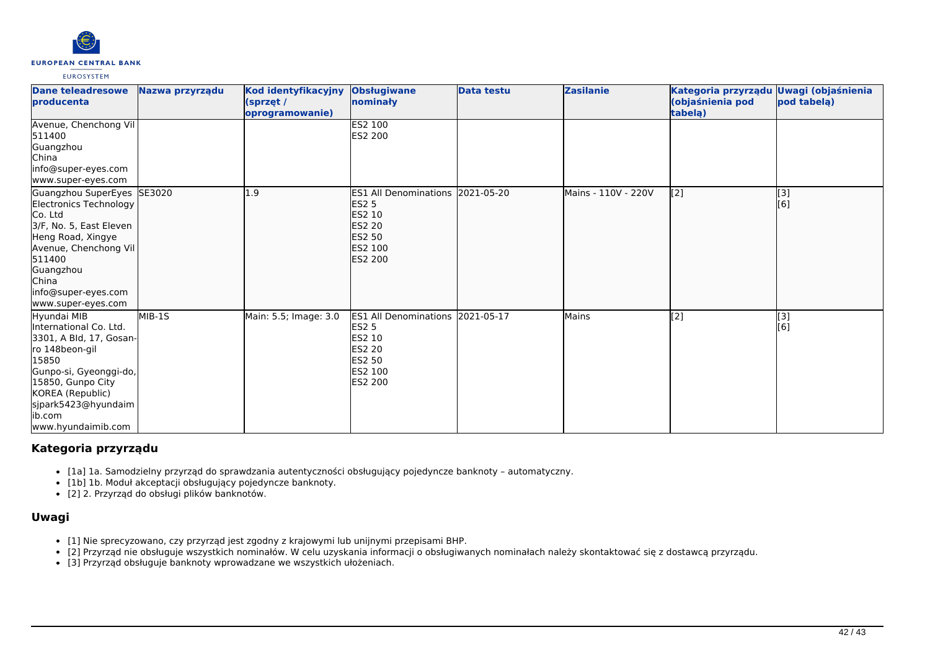

| Dane teleadresowe<br>producenta                                                                                                                                                                                       | Nazwa przyrządu | Kod identyfikacyjny<br>(sprzęt /<br>oprogramowanie) | <b>Obsługiwane</b><br>nominały                                                                                                    | Data testu | <b>Zasilanie</b>    | Kategoria przyrządu<br>(objaśnienia pod<br>tabelą) | <b>Uwagi (objaśnienia</b><br>pod tabela) |
|-----------------------------------------------------------------------------------------------------------------------------------------------------------------------------------------------------------------------|-----------------|-----------------------------------------------------|-----------------------------------------------------------------------------------------------------------------------------------|------------|---------------------|----------------------------------------------------|------------------------------------------|
| Avenue, Chenchong Vil<br>511400<br>Guangzhou<br><b>China</b><br>info@super-eyes.com<br>www.super-eyes.com                                                                                                             |                 |                                                     | <b>ES2 100</b><br>ES2 200                                                                                                         |            |                     |                                                    |                                          |
| Guangzhou SuperEyes SE3020<br>Electronics Technology<br>Co. Ltd<br>3/F, No. 5, East Eleven<br>Heng Road, Xingye<br>Avenue, Chenchong Vil<br>511400<br>Guangzhou<br>China<br>info@super-eyes.com<br>www.super-eyes.com |                 | 1.9                                                 | ES1 All Denominations 2021-05-20<br><b>ES2 5</b><br><b>ES2 10</b><br><b>ES2 20</b><br><b>ES2 50</b><br><b>IES2 100</b><br>ES2 200 |            | Mains - 110V - 220V | [2]                                                | [3]<br>[6]                               |
| Hyundai MIB<br>International Co. Ltd.<br>3301, A Bld, 17, Gosan-<br>ro 148beon-gil<br>15850<br>Gunpo-si, Gyeonggi-do,<br>15850, Gunpo City<br>KOREA (Republic)<br>sjpark5423@hyundaim<br>ib.com<br>www.hyundaimib.com | MIB-1S          | Main: 5.5; Image: 3.0                               | ES1 All Denominations 2021-05-17<br><b>ES2 5</b><br>ES2 10<br><b>ES2 20</b><br><b>ES2 50</b><br><b>ES2 100</b><br><b>ES2 200</b>  |            | Mains               | [2]                                                | [3]<br>[6]                               |

# **Kategoria przyrządu**

- [1a] 1a. Samodzielny przyrząd do sprawdzania autentyczności obsługujący pojedyncze banknoty automatyczny.
- [1b] 1b. Moduł akceptacji obsługujący pojedyncze banknoty.
- [2] 2. Przyrząd do obsługi plików banknotów.

### **Uwagi**

- [1] Nie sprecyzowano, czy przyrząd jest zgodny z krajowymi lub unijnymi przepisami BHP.
- [2] Przyrząd nie obsługuje wszystkich nominałów. W celu uzyskania informacji o obsługiwanych nominałach należy skontaktować się z dostawcą przyrządu.
- [3] Przyrząd obsługuje banknoty wprowadzane we wszystkich ułożeniach.